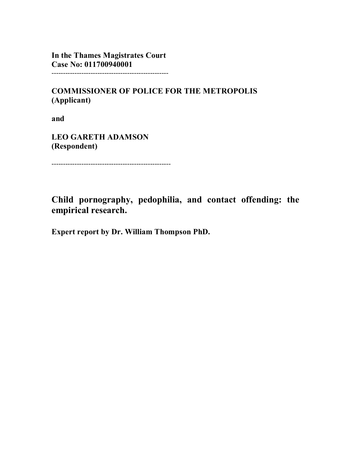**In the Thames Magistrates Court Case No: 011700940001** ---------------------------------------------------

**COMMISSIONER OF POLICE FOR THE METROPOLIS (Applicant)**

**and**

**LEO GARETH ADAMSON (Respondent)**

----------------------------------------------------

**Child pornography, pedophilia, and contact offending: the empirical research.**

**Expert report by Dr. William Thompson PhD.**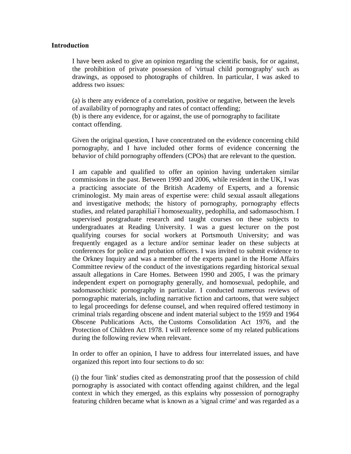#### **Introduction**

I have been asked to give an opinion regarding the scientific basis, for or against, the prohibition of private possession of 'virtual child pornography' such as drawings, as opposed to photographs of children. In particular, I was asked to address two issues:

(a) is there any evidence of a correlation, positive or negative, between the levels of availability of pornography and rates of contact offending; (b) is there any evidence, for or against, the use of pornography to facilitate contact offending.

Given the original question, I have concentrated on the evidence concerning child pornography, and I have included other forms of evidence concerning the behavior of child pornography offenders (CPOs) that are relevant to the question.

I am capable and qualified to offer an opinion having undertaken similar commissions in the past. Between 1990 and 2006, while resident in the UK, I was a practicing associate of the British Academy of Experts, and a forensic criminologist. My main areas of expertise were: child sexual assault allegations and investigative methods; the history of pornography, pornography effects studies, and related paraphiliaóóhomosexuality, pedophilia, and sadomasochism. I supervised postgraduate research and taught courses on these subjects to undergraduates at Reading University. I was a guest lecturer on the post qualifying courses for social workers at Portsmouth University; and was frequently engaged as a lecture and/or seminar leader on these subjects at conferences for police and probation officers. I was invited to submit evidence to the Orkney Inquiry and was a member of the experts panel in the Home Affairs Committee review of the conduct of the investigations regarding historical sexual assault allegations in Care Homes. Between 1990 and 2005, I was the primary independent expert on pornography generally, and homosexual, pedophile, and sadomasochistic pornography in particular. I conducted numerous reviews of pornographic materials, including narrative fiction and cartoons, that were subject to legal proceedings for defense counsel, and when required offered testimony in criminal trials regarding obscene and indent material subject to the 1959 and 1964 Obscene Publications Acts, the Customs Consolidation Act 1976, and the Protection of Children Act 1978. I will reference some of my related publications during the following review when relevant.

In order to offer an opinion, I have to address four interrelated issues, and have organized this report into four sections to do so:

(i) the four 'link' studies cited as demonstrating proof that the possession of child pornography is associated with contact offending against children, and the legal context in which they emerged, as this explains why possession of pornography featuring children became what is known as a 'signal crime' and was regarded as a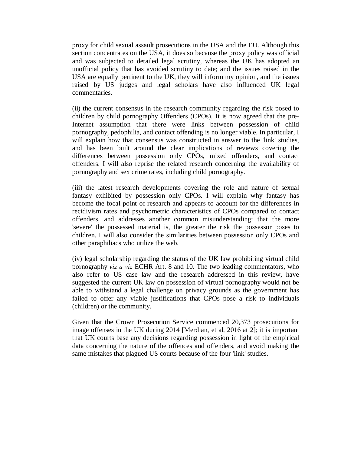proxy for child sexual assault prosecutions in the USA and the EU. Although this section concentrates on the USA, it does so because the proxy policy was official and was subjected to detailed legal scrutiny, whereas the UK has adopted an unofficial policy that has avoided scrutiny to date; and the issues raised in the USA are equally pertinent to the UK, they will inform my opinion, and the issues raised by US judges and legal scholars have also influenced UK legal commentaries.

(ii) the current consensus in the research community regarding the risk posed to children by child pornography Offenders (CPOs). It is now agreed that the pre-Internet assumption that there were links between possession of child pornography, pedophilia, and contact offending is no longer viable. In particular, I will explain how that consensus was constructed in answer to the 'link' studies, and has been built around the clear implications of reviews covering the differences between possession only CPOs, mixed offenders, and contact offenders. I will also reprise the related research concerning the availability of pornography and sex crime rates, including child pornography.

(iii) the latest research developments covering the role and nature of sexual fantasy exhibited by possession only CPOs. I will explain why fantasy has become the focal point of research and appears to account for the differences in recidivism rates and psychometric characteristics of CPOs compared to contact offenders, and addresses another common misunderstanding: that the more 'severe' the possessed material is, the greater the risk the possessor poses to children. I will also consider the similarities between possession only CPOs and other paraphiliacs who utilize the web.

(iv) legal scholarship regarding the status of the UK law prohibiting virtual child pornography *viz a viz* ECHR Art. 8 and 10. The two leading commentators, who also refer to US case law and the research addressed in this review, have suggested the current UK law on possession of virtual pornography would not be able to withstand a legal challenge on privacy grounds as the government has failed to offer any viable justifications that CPOs pose a risk to individuals (children) or the community.

Given that the Crown Prosecution Service commenced 20,373 prosecutions for image offenses in the UK during 2014 [Merdian, et al, 2016 at 2]; it is important that UK courts base any decisions regarding possession in light of the empirical data concerning the nature of the offences and offenders, and avoid making the same mistakes that plagued US courts because of the four 'link' studies.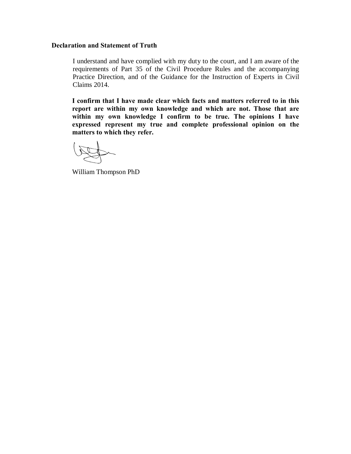## **Declaration and Statement of Truth**

I understand and have complied with my duty to the court, and I am aware of the requirements of Part 35 of the Civil Procedure Rules and the accompanying Practice Direction, and of the Guidance for the Instruction of Experts in Civil Claims 2014.

**I confirm that I have made clear which facts and matters referred to in this report are within my own knowledge and which are not. Those that are within my own knowledge I confirm to be true. The opinions I have expressed represent my true and complete professional opinion on the matters to which they refer.**

William Thompson PhD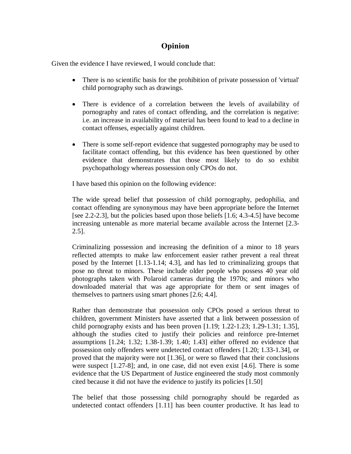# **Opinion**

Given the evidence I have reviewed, I would conclude that:

- · There is no scientific basis for the prohibition of private possession of 'virtual' child pornography such as drawings.
- There is evidence of a correlation between the levels of availability of pornography and rates of contact offending, and the correlation is negative: i.e. an increase in availability of material has been found to lead to a decline in contact offenses, especially against children.
- There is some self-report evidence that suggested pornography may be used to facilitate contact offending, but this evidence has been questioned by other evidence that demonstrates that those most likely to do so exhibit psychopathology whereas possession only CPOs do not.

I have based this opinion on the following evidence:

The wide spread belief that possession of child pornography, pedophilia, and contact offending are synonymous may have been appropriate before the Internet [see 2.2-2.3], but the policies based upon those beliefs [1.6; 4.3-4.5] have become increasing untenable as more material became available across the Internet [2.3- 2.5].

Criminalizing possession and increasing the definition of a minor to 18 years reflected attempts to make law enforcement easier rather prevent a real threat posed by the Internet [1.13-1.14; 4.3], and has led to criminalizing groups that pose no threat to minors. These include older people who possess 40 year old photographs taken with Polaroid cameras during the 1970s; and minors who downloaded material that was age appropriate for them or sent images of themselves to partners using smart phones [2.6; 4.4].

Rather than demonstrate that possession only CPOs posed a serious threat to children, government Ministers have asserted that a link between possession of child pornography exists and has been proven  $[1.19; 1.22-1.23; 1.29-1.31; 1.35]$ , although the studies cited to justify their policies and reinforce pre-Internet assumptions [1.24; 1.32; 1.38-1.39; 1.40; 1.43] either offered no evidence that possession only offenders were undetected contact offenders [1.20; 1.33-1.34], or proved that the majority were not [1.36], or were so flawed that their conclusions were suspect [1.27-8]; and, in one case, did not even exist [4.6]. There is some evidence that the US Department of Justice engineered the study most commonly cited because it did not have the evidence to justify its policies [1.50]

The belief that those possessing child pornography should be regarded as undetected contact offenders [1.11] has been counter productive. It has lead to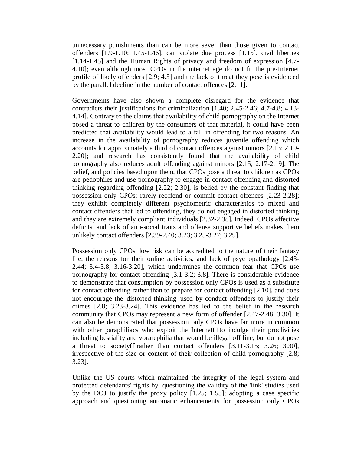unnecessary punishments than can be more sever than those given to contact offenders [1.9-1.10; 1.45-1.46], can violate due process [1.15], civil liberties [1.14-1.45] and the Human Rights of privacy and freedom of expression [4.7-4.10]; even although most CPOs in the internet age do not fit the pre-Internet profile of likely offenders [2.9; 4.5] and the lack of threat they pose is evidenced by the parallel decline in the number of contact offences [2.11].

Governments have also shown a complete disregard for the evidence that contradicts their justifications for criminalization [1.40; 2.45-2.46; 4.7-4.8; 4.13- 4.14]. Contrary to the claims that availability of child pornography on the Internet posed a threat to children by the consumers of that material, it could have been predicted that availability would lead to a fall in offending for two reasons. An increase in the availability of pornography reduces juvenile offending which accounts for approximately a third of contact offences against minors [2.13; 2.19- 2.20]; and research has consistently found that the availability of child pornography also reduces adult offending against minors [2.15; 2.17-2.19]. The belief, and policies based upon them, that CPOs pose a threat to children as CPOs are pedophiles and use pornography to engage in contact offending and distorted thinking regarding offending [2.22; 2.30], is belied by the constant finding that possession only CPOs: rarely reoffend or commit contact offences [2.23-2.28]; they exhibit completely different psychometric characteristics to mixed and contact offenders that led to offending, they do not engaged in distorted thinking and they are extremely compliant individuals [2.32-2.38]. Indeed, CPOs affective deficits, and lack of anti-social traits and offense supportive beliefs makes them unlikely contact offenders [2.39-2.40; 3.23; 3.25-3.27; 3.29].

Possession only CPOs' low risk can be accredited to the nature of their fantasy life, the reasons for their online activities, and lack of psychopathology [2.43- 2.44; 3.4-3.8; 3.16-3.20], which undermines the common fear that CPOs use pornography for contact offending [3.1-3.2; 3.8]. There is considerable evidence to demonstrate that consumption by possession only CPOs is used as a substitute for contact offending rather than to prepare for contact offending [2.10], and does not encourage the 'distorted thinking' used by conduct offenders to justify their crimes [2.8; 3.23-3.24]. This evidence has led to the belief in the research community that CPOs may represent a new form of offender [2.47-2.48; 3.30]. It can also be demonstrated that possession only CPOs have far more in common with other paraphiliacs who exploit the Internetóoto indulge their proclivities including bestiality and vorarephilia that would be illegal off line, but do not pose a threat to societyó frather than contact offenders [3.11-3.15; 3.26; 3.30], irrespective of the size or content of their collection of child pornography [2.8; 3.23].

Unlike the US courts which maintained the integrity of the legal system and protected defendants' rights by: questioning the validity of the 'link' studies used by the DOJ to justify the proxy policy [1.25; 1.53]; adopting a case specific approach and questioning automatic enhancements for possession only CPOs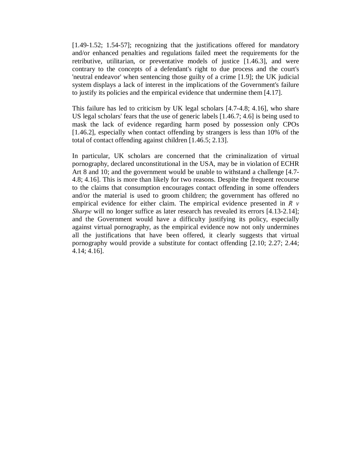[1.49-1.52; 1.54-57]; recognizing that the justifications offered for mandatory and/or enhanced penalties and regulations failed meet the requirements for the retributive, utilitarian, or preventative models of justice [1.46.3], and were contrary to the concepts of a defendant's right to due process and the court's 'neutral endeavor' when sentencing those guilty of a crime [1.9]; the UK judicial system displays a lack of interest in the implications of the Government's failure to justify its policies and the empirical evidence that undermine them [4.17].

This failure has led to criticism by UK legal scholars [4.7-4.8; 4.16], who share US legal scholars' fears that the use of generic labels [1.46.7; 4.6] is being used to mask the lack of evidence regarding harm posed by possession only CPOs [1.46.2], especially when contact offending by strangers is less than 10% of the total of contact offending against children [1.46.5; 2.13].

In particular, UK scholars are concerned that the criminalization of virtual pornography, declared unconstitutional in the USA, may be in violation of ECHR Art 8 and 10; and the government would be unable to withstand a challenge [4.7- 4.8; 4.16]. This is more than likely for two reasons. Despite the frequent recourse to the claims that consumption encourages contact offending in some offenders and/or the material is used to groom children; the government has offered no empirical evidence for either claim. The empirical evidence presented in *R v Sharpe* will no longer suffice as later research has revealed its errors [4.13-2.14]; and the Government would have a difficulty justifying its policy, especially against virtual pornography, as the empirical evidence now not only undermines all the justifications that have been offered, it clearly suggests that virtual pornography would provide a substitute for contact offending [2.10; 2.27; 2.44; 4.14; 4.16].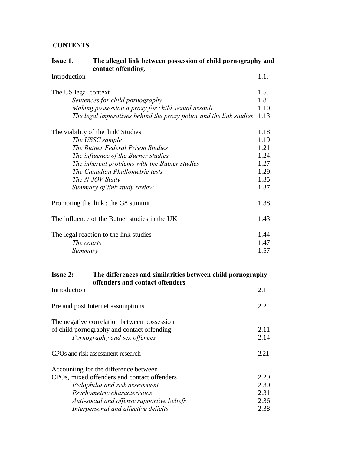# **CONTENTS**

| Issue 1.                                      | The alleged link between possession of child pornography and<br>contact offending. |       |
|-----------------------------------------------|------------------------------------------------------------------------------------|-------|
| Introduction                                  |                                                                                    | 1.1.  |
| The US legal context                          |                                                                                    | 1.5.  |
| Sentences for child pornography               |                                                                                    |       |
|                                               | Making possession a proxy for child sexual assault                                 | 1.10  |
|                                               | The legal imperatives behind the proxy policy and the link studies                 | 1.13  |
|                                               | The viability of the 'link' Studies                                                | 1.18  |
| The USSC sample                               |                                                                                    | 1.19  |
|                                               | The Butner Federal Prison Studies                                                  | 1.21  |
|                                               | The influence of the Burner studies                                                | 1.24. |
|                                               | The inherent problems with the Butner studies                                      | 1.27  |
|                                               | The Canadian Phallometric tests                                                    | 1.29. |
|                                               | The N-JOV Study                                                                    | 1.35  |
|                                               | Summary of link study review.                                                      | 1.37  |
| Promoting the 'link': the G8 summit           |                                                                                    | 1.38  |
| The influence of the Butner studies in the UK |                                                                                    | 1.43  |
| The legal reaction to the link studies        |                                                                                    | 1.44  |
|                                               | The courts                                                                         | 1.47  |
|                                               | Summary                                                                            | 1.57  |
| <b>Issue 2:</b>                               | The differences and similarities between child pornography                         |       |
|                                               | offenders and contact offenders                                                    |       |
| Introduction                                  |                                                                                    | 2.1   |
|                                               | Pre and post Internet assumptions                                                  |       |
|                                               | The negative correlation between possession                                        |       |
| of child pornography and contact offending    |                                                                                    | 2.11  |
|                                               | Pornography and sex offences                                                       | 2.14  |
| CPOs and risk assessment research             |                                                                                    |       |
|                                               | Accounting for the difference between                                              |       |
| CPOs, mixed offenders and contact offenders   |                                                                                    | 2.29  |
|                                               | Pedophilia and risk assessment                                                     | 2.30  |
|                                               | Psychometric characteristics                                                       | 2.31  |
|                                               | Anti-social and offense supportive beliefs                                         | 2.36  |

*Interpersonal and affective deficits* 2.38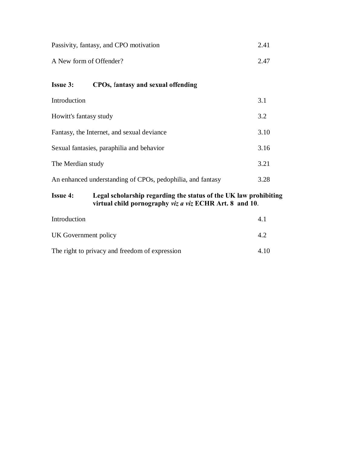| Passivity, fantasy, and CPO motivation | 2.41 |
|----------------------------------------|------|
| A New form of Offender?                | 2.47 |

# **Issue 3: CPOs,** f**antasy and sexual offending**

| Introduction                                               | 3.1  |
|------------------------------------------------------------|------|
| Howitt's fantasy study                                     | 3.2  |
| Fantasy, the Internet, and sexual deviance                 | 3.10 |
| Sexual fantasies, paraphilia and behavior                  |      |
| The Merdian study                                          |      |
| An enhanced understanding of CPOs, pedophilia, and fantasy | 3.28 |

# **Issue 4: Legal scholarship regarding the status of the UK law prohibiting virtual child pornography** *viz a viz* **ECHR Art. 8 and 10**.

| Introduction                                   |      |
|------------------------------------------------|------|
| UK Government policy                           | 42   |
| The right to privacy and freedom of expression | 4.10 |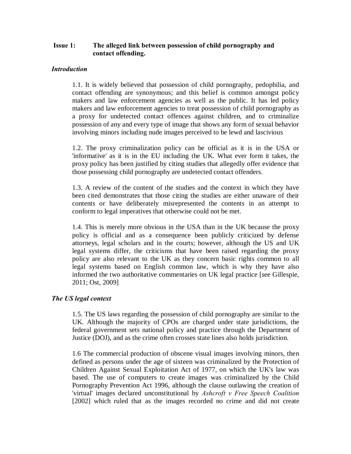# **Issue 1: The alleged link between possession of child pornography and contact offending.**

## *Introduction*

1.1. It is widely believed that possession of child pornography, pedophilia, and contact offending are synonymous; and this belief is common amongst policy makers and law enforcement agencies as well as the public. It has led policy makers and law enforcement agencies to treat possession of child pornography as a proxy for undetected contact offences against children, and to criminalize possession of any and every type of image that shows any form of sexual behavior involving minors including nude images perceived to be lewd and lascivious

1.2. The proxy criminalization policy can be official as it is in the USA or 'informative' as it is in the EU including the UK. What ever form it takes, the proxy policy has been justified by citing studies that allegedly offer evidence that those possessing child pornography are undetected contact offenders.

1.3. A review of the content of the studies and the context in which they have been cited demonstrates that those citing the studies are either unaware of their contents or have deliberately misrepresented the contents in an attempt to conform to legal imperatives that otherwise could not be met.

1.4. This is merely more obvious in the USA than in the UK because the proxy policy is official and as a consequence been publicly criticized by defense attorneys, legal scholars and in the courts; however, although the US and UK legal systems differ, the criticisms that have been raised regarding the proxy policy are also relevant to the UK as they concern basic rights common to all legal systems based on English common law, which is why they have also informed the two authoritative commentaries on UK legal practice [see Gillespie, 2011; Ost, 2009]

## *The US legal context*

1.5. The US laws regarding the possession of child pornography are similar to the UK. Although the majority of CPOs are charged under state jurisdictions, the federal government sets national policy and practice through the Department of Justice (DOJ), and as the crime often crosses state lines also holds jurisdiction.

1.6 The commercial production of obscene visual images involving minors, then defined as persons under the age of sixteen was criminalized by the Protection of Children Against Sexual Exploitation Act of 1977, on which the UK's law was based. The use of computers to create images was criminalized by the Child Pornography Prevention Act 1996, although the clause outlawing the creation of 'virtual' images declared unconstitutional by *Ashcroft v Free Speech Coalition* [2002] which ruled that as the images recorded no crime and did not create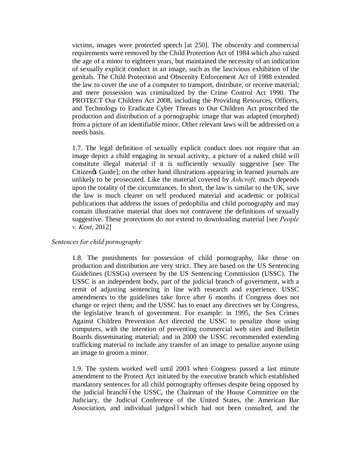victims, images were protected speech [at 250]. The obscenity and commercial requirements were removed by the Child Protection Act of 1984 which also raised the age of a minor to eighteen years, but maintained the necessity of an indication of sexually explicit conduct in an image, such as the lascivious exhibition of the genitals. The Child Protection and Obscenity Enforcement Act of 1988 extended the law to cover the use of a computer to transport, distribute, or receive material; and mere possession was criminalized by the Crime Control Act 1990. The PROTECT Our Children Act 2008, including the Providing Resources, Officers, and Technology to Eradicate Cyber Threats to Our Children Act proscribed the production and distribution of a pornographic image that was adapted (morphed) from a picture of an identifiable minor. Other relevant laws will be addressed on a needs basis.

1.7. The legal definition of sexually explicit conduct does not require that an image depict a child engaging in sexual activity, a picture of a naked child will constitute illegal material if it is sufficiently sexually suggestive [see The Citizen & Guide]; on the other hand illustrations appearing in learned journals are unlikely to be prosecuted. Like the material covered by *Ashcroft,* much depends upon the totality of the circumstances. In short, the law is similar to the UK, save the law is much clearer on self produced material and academic or political publications that address the issues of pedophilia and child pornography and may contain illustrative material that does not contravene the definitions of sexually suggestive. These protections do not extend to downloading material [see *People v. Kent,* 2012]

## *Sentences for child pornography*

1.8. The punishments for possession of child pornography, like those on production and distribution are very strict. They are based on the US Sentencing Guidelines (USSGs) overseen by the US Sentencing Commission (USSC). The USSC is an independent body, part of the judicial branch of government, with a remit of adjusting sentencing in line with research and experience. USSC amendments to the guidelines take force after 6 months if Congress does not change or reject them; and the USSC has to enact any directives set by Congress, the legislative branch of government. For example: in 1995, the Sex Crimes Against Children Prevention Act directed the USSC to penalize those using computers, with the intention of preventing commercial web sites and Bulletin Boards disseminating material; and in 2000 the USSC recommended extending trafficking material to include any transfer of an image to penalize anyone using an image to groom a minor.

1.9. The system worked well until 2003 when Congress passed a last minute amendment to the Protect Act initiated by the executive branch which established mandatory sentences for all child pornography offenses despite being opposed by the judicial branchóóthe USSC, the Chairman of the House Committee on the Judiciary, the Judicial Conference of the United States, the American Bar Association, and individual judgesó owhich had not been consulted, and the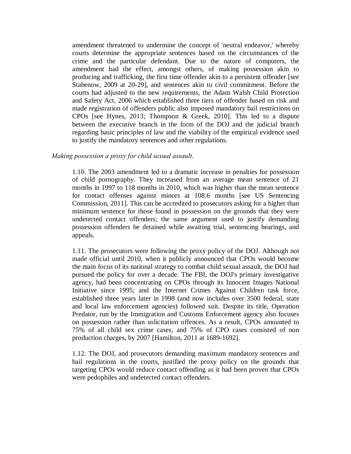amendment threatened to undermine the concept of 'neutral endeavor,' whereby courts determine the appropriate sentences based on the circumstances of the crime and the particular defendant. Due to the nature of computers, the amendment had the effect, amongst others, of making possession akin to producing and trafficking, the first time offender akin to a persistent offender [see Stabenow, 2009 at 20-29], and sentences akin to civil commitment. Before the courts had adjusted to the new requirements, the Adam Walsh Child Protection and Safety Act, 2006 which established three tiers of offender based on risk and made registration of offenders public also imposed mandatory bail restrictions on CPOs [see Hynes, 2013; Thompson & Greek, 2010]. This led to a dispute between the executive branch in the form of the DOJ and the judicial branch regarding basic principles of law and the viability of the empirical evidence used to justify the mandatory sentences and other regulations.

#### *Making possession a proxy for child sexual assault*.

1.10. The 2003 amendment led to a dramatic increase in penalties for possession of child pornography. They increased from an average mean sentence of 21 months in 1997 to 118 months in 2010, which was higher than the mean sentence for contact offenses against minors at 108.6 months [see US Sentencing Commission, 2011]. This can be accredited to prosecutors asking for a higher than minimum sentence for those found in possession on the grounds that they were undetected contact offenders; the same argument used to justify demanding possession offenders be detained while awaiting trial, sentencing hearings, and appeals.

1.11. The prosecutors were following the proxy policy of the DOJ. Although not made official until 2010, when it publicly announced that CPOs would become the main focus of its national strategy to combat child sexual assault, the DOJ had pursued the policy for over a decade. The FBI, the DOJ's primary investigative agency, had been concentrating on CPOs through its Innocent Images National Initiative since 1995; and the Internet Crimes Against Children task force, established three years later in 1998 (and now includes over 3500 federal, state and local law enforcement agencies) followed suit. Despite its title, Operation Predator, run by the Immigration and Customs Enforcement agency also focuses on possession rather than solicitation offences. As a result, CPOs amounted to 75% of all child sex crime cases, and 75% of CPO cases consisted of non production charges, by 2007 [Hamilton, 2011 at 1689-1692].

1.12. The DOJ, and prosecutors demanding maximum mandatory sentences and bail regulations in the courts, justified the proxy policy on the grounds that targeting CPOs would reduce contact offending as it had been proven that CPOs were pedophiles and undetected contact offenders.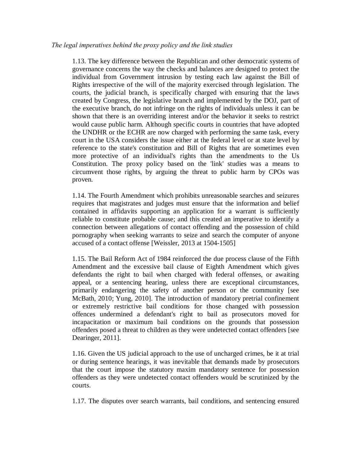1.13. The key difference between the Republican and other democratic systems of governance concerns the way the checks and balances are designed to protect the individual from Government intrusion by testing each law against the Bill of Rights irrespective of the will of the majority exercised through legislation. The courts, the judicial branch, is specifically charged with ensuring that the laws created by Congress, the legislative branch and implemented by the DOJ, part of the executive branch, do not infringe on the rights of individuals unless it can be shown that there is an overriding interest and/or the behavior it seeks to restrict would cause public harm. Although specific courts in countries that have adopted the UNDHR or the ECHR are now charged with performing the same task, every court in the USA considers the issue either at the federal level or at state level by reference to the state's constitution and Bill of Rights that are sometimes even more protective of an individual's rights than the amendments to the Us Constitution. The proxy policy based on the 'link' studies was a means to circumvent those rights, by arguing the threat to public harm by CPOs was proven.

1.14. The Fourth Amendment which prohibits unreasonable searches and seizures requires that magistrates and judges must ensure that the information and belief contained in affidavits supporting an application for a warrant is sufficiently reliable to constitute probable cause; and this created an imperative to identify a connection between allegations of contact offending and the possession of child pornography when seeking warrants to seize and search the computer of anyone accused of a contact offense [Weissler, 2013 at 1504-1505]

1.15. The Bail Reform Act of 1984 reinforced the due process clause of the Fifth Amendment and the excessive bail clause of Eighth Amendment which gives defendants the right to bail when charged with federal offenses, or awaiting appeal, or a sentencing hearing, unless there are exceptional circumstances, primarily endangering the safety of another person or the community [see McBath, 2010; Yung, 2010]. The introduction of mandatory pretrial confinement or extremely restrictive bail conditions for those changed with possession offences undermined a defendant's right to bail as prosecutors moved for incapacitation or maximum bail conditions on the grounds that possession offenders posed a threat to children as they were undetected contact offenders [see Dearinger, 2011].

1.16. Given the US judicial approach to the use of uncharged crimes, be it at trial or during sentence hearings, it was inevitable that demands made by prosecutors that the court impose the statutory maxim mandatory sentence for possession offenders as they were undetected contact offenders would be scrutinized by the courts.

1.17. The disputes over search warrants, bail conditions, and sentencing ensured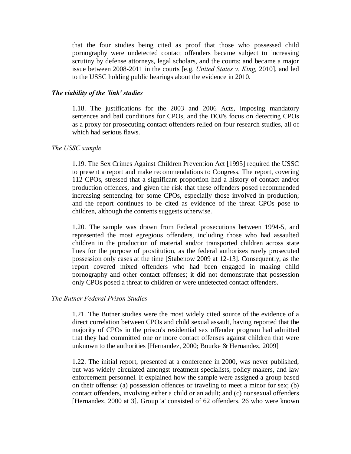that the four studies being cited as proof that those who possessed child pornography were undetected contact offenders became subject to increasing scrutiny by defense attorneys, legal scholars, and the courts; and became a major issue between 2008-2011 in the courts [e.g. *United States v. King,* 2010], and led to the USSC holding public hearings about the evidence in 2010.

## *The viability of the 'link' studies*

1.18. The justifications for the 2003 and 2006 Acts, imposing mandatory sentences and bail conditions for CPOs, and the DOJ's focus on detecting CPOs as a proxy for prosecuting contact offenders relied on four research studies, all of which had serious flaws.

#### *The USSC sample*

1.19. The Sex Crimes Against Children Prevention Act [1995] required the USSC to present a report and make recommendations to Congress. The report, covering 112 CPOs, stressed that a significant proportion had a history of contact and/or production offences, and given the risk that these offenders posed recommended increasing sentencing for some CPOs, especially those involved in production; and the report continues to be cited as evidence of the threat CPOs pose to children, although the contents suggests otherwise.

1.20. The sample was drawn from Federal prosecutions between 1994-5, and represented the most egregious offenders, including those who had assaulted children in the production of material and/or transported children across state lines for the purpose of prostitution, as the federal authorizes rarely prosecuted possession only cases at the time [Stabenow 2009 at 12-13]. Consequently, as the report covered mixed offenders who had been engaged in making child pornography and other contact offenses; it did not demonstrate that possession only CPOs posed a threat to children or were undetected contact offenders.

#### *The Butner Federal Prison Studies*

.

1.21. The Butner studies were the most widely cited source of the evidence of a direct correlation between CPOs and child sexual assault, having reported that the majority of CPOs in the prison's residential sex offender program had admitted that they had committed one or more contact offenses against children that were unknown to the authorities [Hernandez, 2000; Bourke & Hernandez, 2009]

1.22. The initial report, presented at a conference in 2000, was never published, but was widely circulated amongst treatment specialists, policy makers, and law enforcement personnel. It explained how the sample were assigned a group based on their offense: (a) possession offences or traveling to meet a minor for sex; (b) contact offenders, involving either a child or an adult; and (c) nonsexual offenders [Hernandez, 2000 at 3]. Group 'a' consisted of 62 offenders, 26 who were known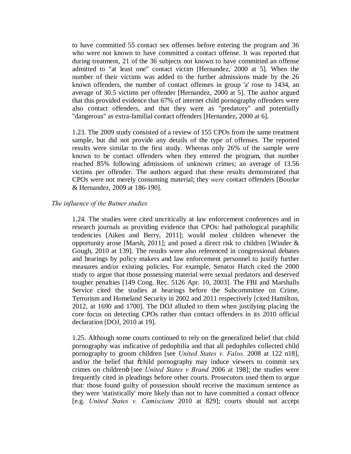to have committed 55 contact sex offenses before entering the program and 36 who were not known to have committed a contact offense. It was reported that during treatment, 21 of the 36 subjects not known to have committed an offense admitted to "at least one" contact victim [Hernandez, 2000 at 5]. When the number of their victims was added to the further admissions made by the 26 known offenders, the number of contact offenses in group 'a' rose to 1434, an average of 30.5 victims per offender [Hernandez, 2000 at 5]. The author argued that this provided evidence that 67% of internet child pornography offenders were also contact offenders, and that they were as "predatory" and potentially "dangerous" as extra-familial contact offenders [Hernandez, 2000 at 6].

1.23. The 2009 study consisted of a review of 155 CPOs from the same treatment sample, but did not provide any details of the type of offenses. The reported results were similar to the first study. Whereas only 26% of the sample were known to be contact offenders when they entered the program, that number reached 85% following admissions of unknown crimes; an average of 13.56 victims per offender. The authors argued that these results demonstrated that CPOs were not merely consuming material; they *were* contact offenders [Bourke & Hernandez, 2009 at 186-190].

## *The influence of the Butner studies*

1.24. The studies were cited uncritically at law enforcement conferences and in research journals as providing evidence that CPOs: had pathological paraphilic tendencies [Aiken and Berry, 2011]; would molest children whenever the opportunity arose [Marsh, 2011]; and posed a direct risk to children [Winder & Gough, 2010 at 139]. The results were also referenced in congressional debates and hearings by policy makers and law enforcement personnel to justify further measures and/or existing policies. For example, Senator Hatch cited the 2000 study to argue that those possessing material were sexual predators and deserved tougher penalties [149 Cong. Rec. 5126 Apr. 10, 2003]. The FBI and Marshalls Service cited the studies at hearings before the Subcommittee on Crime, Terrorism and Homeland Security in 2002 and 2011 respectively [cited Hamilton, 2012, at 1690 and 1700]. The DOJ alluded to them when justifying placing the core focus on detecting CPOs rather than contact offenders in its 2010 official declaration [DOJ, 2010 at 19].

1.25. Although some courts continued to rely on the generalized belief that child pornography was indicative of pedophilia and that all pedophiles collected child pornography to groom children [see *United States v. Falso,* 2008 at 122 n18], and/or the belief that  $\tilde{\alpha}$ child pornography may induce viewers to commit sex crimes on childrenö [see *United States v Brand* 2006 at 198]; the studies were frequently cited in pleadings before other courts. Prosecutors used them to argue that: those found guilty of possession should receive the maximum sentence as they were 'statistically' more likely than not to have committed a contact offence [e.g. *United States v. Camiscione* 2010 at 829]; courts should not accept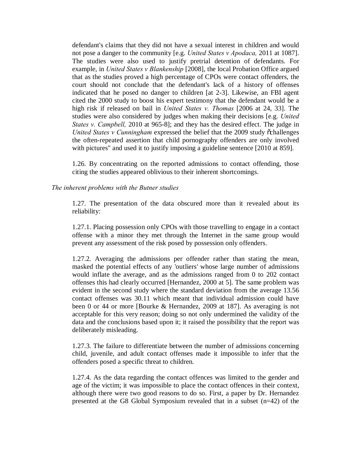defendant's claims that they did not have a sexual interest in children and would not pose a danger to the community [e.g. *United States v Apodaca,* 2011 at 1087]. The studies were also used to justify pretrial detention of defendants. For example, in *United States v Blankenship* [2008], the local Probation Office argued that as the studies proved a high percentage of CPOs were contact offenders, the court should not conclude that the defendant's lack of a history of offenses indicated that he posed no danger to children [at 2-3]. Likewise, an FBI agent cited the 2000 study to boost his expert testimony that the defendant would be a high risk if released on bail in *United States v. Thomas* [2006 at 24, 33]. The studies were also considered by judges when making their decisions [e.g. *United States v. Campbell,* 2010 at 965-8]; and they has the desired effect. The judge in *United States v Cunningham* expressed the belief that the 2009 study ochallenges the often-repeated assertion that child pornography offenders are only involved with pictures" and used it to justify imposing a guideline sentence [2010 at 859].

1.26. By concentrating on the reported admissions to contact offending, those citing the studies appeared oblivious to their inherent shortcomings.

#### *The inherent problems with the Butner studies*

1.27. The presentation of the data obscured more than it revealed about its reliability:

1.27.1. Placing possession only CPOs with those travelling to engage in a contact offense with a minor they met through the Internet in the same group would prevent any assessment of the risk posed by possession only offenders.

1.27.2. Averaging the admissions per offender rather than stating the mean, masked the potential effects of any 'outliers' whose large number of admissions would inflate the average, and as the admissions ranged from 0 to 202 contact offenses this had clearly occurred [Hernandez, 2000 at 5]. The same problem was evident in the second study where the standard deviation from the average 13.56 contact offenses was 30.11 which meant that individual admission could have been 0 or 44 or more [Bourke & Hernandez, 2009 at 187]. As averaging is not acceptable for this very reason; doing so not only undermined the validity of the data and the conclusions based upon it; it raised the possibility that the report was deliberately misleading.

1.27.3. The failure to differentiate between the number of admissions concerning child, juvenile, and adult contact offenses made it impossible to infer that the offenders posed a specific threat to children.

1.27.4. As the data regarding the contact offences was limited to the gender and age of the victim; it was impossible to place the contact offences in their context, although there were two good reasons to do so. First, a paper by Dr. Hernandez presented at the G8 Global Symposium revealed that in a subset (n=42) of the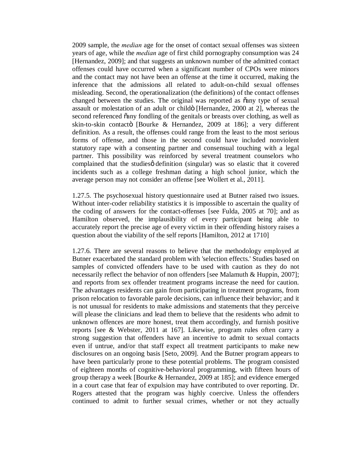2009 sample, the *median* age for the onset of contact sexual offenses was sixteen years of age, while the *median* age of first child pornography consumption was 24 [Hernandez, 2009]; and that suggests an unknown number of the admitted contact offenses could have occurred when a significant number of CPOs were minors and the contact may not have been an offense at the time it occurred, making the inference that the admissions all related to adult-on-child sexual offenses misleading. Second, the operationalization (the definitions) of the contact offenses changed between the studies. The original was reported as  $\tilde{c}$  any type of sexual assault or molestation of an adult or childö [Hernandez, 2000 at 2], whereas the second referenced õany fondling of the genitals or breasts over clothing, as well as skin-to-skin contactö [Bourke & Hernandez, 2009 at 186]; a very different definition. As a result, the offenses could range from the least to the most serious forms of offense, and those in the second could have included nonviolent statutory rape with a consenting partner and consensual touching with a legal partner. This possibility was reinforced by several treatment counselors who complained that the studies odefinition (singular) was so elastic that it covered incidents such as a college freshman dating a high school junior, which the average person may not consider an offense [see Wollert et al., 2011].

1.27.5. The psychosexual history questionnaire used at Butner raised two issues. Without inter-coder reliability statistics it is impossible to ascertain the quality of the coding of answers for the contact-offenses [see Fulda, 2005 at 70]; and as Hamilton observed, the implausibility of every participant being able to accurately report the precise age of every victim in their offending history raises a question about the viability of the self reports [Hamilton, 2012 at 1710]

1.27.6. There are several reasons to believe that the methodology employed at Butner exacerbated the standard problem with 'selection effects.' Studies based on samples of convicted offenders have to be used with caution as they do not necessarily reflect the behavior of non offenders [see Malamuth & Huppin, 2007]; and reports from sex offender treatment programs increase the need for caution. The advantages residents can gain from participating in treatment programs, from prison relocation to favorable parole decisions, can influence their behavior; and it is not unusual for residents to make admissions and statements that they perceive will please the clinicians and lead them to believe that the residents who admit to unknown offences are more honest, treat them accordingly, and furnish positive reports [see & Webster, 2011 at 167]. Likewise, program rules often carry a strong suggestion that offenders have an incentive to admit to sexual contacts even if untrue, and/or that staff expect all treatment participants to make new disclosures on an ongoing basis [Seto, 2009]. And the Butner program appears to have been particularly prone to these potential problems. The program consisted of eighteen months of cognitive-behavioral programming, with fifteen hours of group therapy a week [Bourke & Hernandez, 2009 at 185]; and evidence emerged in a court case that fear of expulsion may have contributed to over reporting. Dr. Rogers attested that the program was highly coercive. Unless the offenders continued to admit to further sexual crimes, whether or not they actually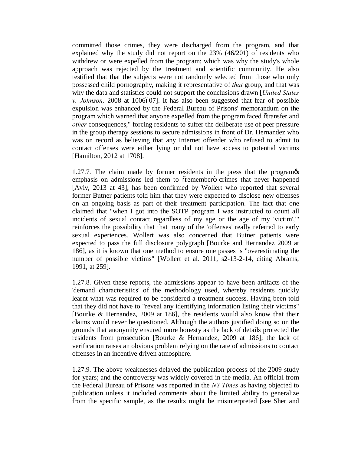committed those crimes, they were discharged from the program, and that explained why the study did not report on the 23% (46/201) of residents who withdrew or were expelled from the program; which was why the study's whole approach was rejected by the treatment and scientific community. He also testified that that the subjects were not randomly selected from those who only possessed child pornography, making it representative of *that* group, and that was why the data and statistics could not support the conclusions drawn [*United States v. Johnson,* 2008 at 1006607]. It has also been suggested that fear of possible expulsion was enhanced by the Federal Bureau of Prisons' memorandum on the program which warned that anyone expelled from the program faced  $\tilde{\alpha}$  transfer and *other* consequences," forcing residents to suffer the deliberate use of peer pressure in the group therapy sessions to secure admissions in front of Dr. Hernandez who was on record as believing that any Internet offender who refused to admit to contact offenses were either lying or did not have access to potential victims [Hamilton, 2012 at 1708].

1.27.7. The claim made by former residents in the press that the program of emphasis on admissions led them to oremembero crimes that never happened [Aviv, 2013 at 43], has been confirmed by Wollert who reported that several former Butner patients told him that they were expected to disclose new offenses on an ongoing basis as part of their treatment participation. The fact that one claimed that "when I got into the SOTP program I was instructed to count all incidents of sexual contact regardless of my age or the age of my 'victim',"' reinforces the possibility that that many of the 'offenses' really referred to early sexual experiences. Wollert was also concerned that Butner patients were expected to pass the full disclosure polygraph [Bourke and Hernandez 2009 at 186], as it is known that one method to ensure one passes is "overestimating the number of possible victims" [Wollert et al. 2011, s2-13-2-14, citing Abrams, 1991, at 259].

1.27.8. Given these reports, the admissions appear to have been artifacts of the 'demand characteristics' of the methodology used, whereby residents quickly learnt what was required to be considered a treatment success. Having been told that they did not have to "reveal any identifying information listing their victims" [Bourke & Hernandez, 2009 at 186], the residents would also know that their claims would never be questioned. Although the authors justified doing so on the grounds that anonymity ensured more honesty as the lack of details protected the residents from prosecution [Bourke & Hernandez, 2009 at 186]; the lack of verification raises an obvious problem relying on the rate of admissions to contact offenses in an incentive driven atmosphere.

1.27.9. The above weaknesses delayed the publication process of the 2009 study for years; and the controversy was widely covered in the media. An official from the Federal Bureau of Prisons was reported in the *NY Times* as having objected to publication unless it included comments about the limited ability to generalize from the specific sample, as the results might be misinterpreted [see Sher and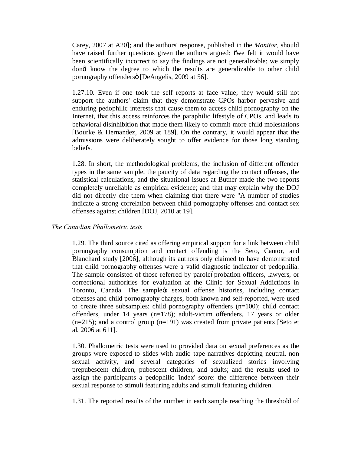Carey, 2007 at A20]; and the authors' response, published in the *Monitor,* should have raised further questions given the authors argued: owe felt it would have been scientifically incorrect to say the findings are not generalizable; we simply dong know the degree to which the results are generalizable to other child pornography offenders" [DeAngelis, 2009 at 56].

1.27.10. Even if one took the self reports at face value; they would still not support the authors' claim that they demonstrate CPOs harbor pervasive and enduring pedophilic interests that cause them to access child pornography on the Internet, that this access reinforces the paraphilic lifestyle of CPOs, and leads to behavioral disinhibition that made them likely to commit more child molestations [Bourke & Hernandez, 2009 at 189]. On the contrary, it would appear that the admissions were deliberately sought to offer evidence for those long standing beliefs.

1.28. In short, the methodological problems, the inclusion of different offender types in the same sample, the paucity of data regarding the contact offenses, the statistical calculations, and the situational issues at Butner made the two reports completely unreliable as empirical evidence; and that may explain why the DOJ did not directly cite them when claiming that there were "A number of studies indicate a strong correlation between child pornography offenses and contact sex offenses against children [DOJ, 2010 at 19].

## *The Canadian Phallometric tests*

1.29. The third source cited as offering empirical support for a link between child pornography consumption and contact offending is the Seto, Cantor, and Blanchard study [2006], although its authors only claimed to have demonstrated that child pornography offenses were a valid diagnostic indicator of pedophilia. The sample consisted of those referred by parole-oprobation officers, lawyers, or correctional authorities for evaluation at the Clinic for Sexual Addictions in Toronto, Canada. The samplegs sexual offense histories, including contact offenses and child pornography charges, both known and self-reported, were used to create three subsamples: child pornography offenders (n=100); child contact offenders, under 14 years (n=178); adult-victim offenders, 17 years or older  $(n=215)$ ; and a control group  $(n=191)$  was created from private patients [Seto et al, 2006 at 611].

1.30. Phallometric tests were used to provided data on sexual preferences as the groups were exposed to slides with audio tape narratives depicting neutral, non sexual activity, and several categories of sexualized stories involving prepubescent children, pubescent children, and adults; and the results used to assign the participants a pedophilic 'index' score: the difference between their sexual response to stimuli featuring adults and stimuli featuring children.

1.31. The reported results of the number in each sample reaching the threshold of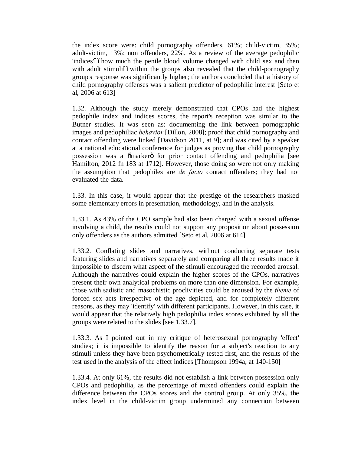the index score were: child pornography offenders, 61%; child-victim, 35%; adult-victim, 13%; non offenders, 22%. As a review of the average pedophilic 'indices'óóhow much the penile blood volume changed with child sex and then with adult stimulióówithin the groups also revealed that the child-pornography group's response was significantly higher; the authors concluded that a history of child pornography offenses was a salient predictor of pedophilic interest [Seto et al, 2006 at 613]

1.32. Although the study merely demonstrated that CPOs had the highest pedophile index and indices scores, the report's reception was similar to the Butner studies. It was seen as: documenting the link between pornographic images and pedophiliac *behavior* [Dillon, 2008]; proof that child pornography and contact offending were linked [Davidson 2011, at 9]; and was cited by a speaker at a national educational conference for judges as proving that child pornography possession was a  $\ddot{\text{o}}$  marker $\ddot{\text{o}}$  for prior contact offending and pedophilia [see Hamilton, 2012 fn 183 at 1712]. However, those doing so were not only making the assumption that pedophiles are *de facto* contact offenders; they had not evaluated the data.

1.33. In this case, it would appear that the prestige of the researchers masked some elementary errors in presentation, methodology, and in the analysis.

1.33.1. As 43% of the CPO sample had also been charged with a sexual offense involving a child, the results could not support any proposition about possession only offenders as the authors admitted [Seto et al, 2006 at 614].

1.33.2. Conflating slides and narratives, without conducting separate tests featuring slides and narratives separately and comparing all three results made it impossible to discern what aspect of the stimuli encouraged the recorded arousal. Although the narratives could explain the higher scores of the CPOs, narratives present their own analytical problems on more than one dimension. For example, those with sadistic and masochistic proclivities could be aroused by the *theme* of forced sex acts irrespective of the age depicted, and for completely different reasons, as they may 'identify' with different participants. However, in this case, it would appear that the relatively high pedophilia index scores exhibited by all the groups were related to the slides [see 1.33.7].

1.33.3. As I pointed out in my critique of heterosexual pornography 'effect' studies; it is impossible to identify the reason for a subject's reaction to any stimuli unless they have been psychometrically tested first, and the results of the test used in the analysis of the effect indices [Thompson 1994a, at 140-150**]**

1.33.4. At only 61%, the results did not establish a link between possession only CPOs and pedophilia, as the percentage of mixed offenders could explain the difference between the CPOs scores and the control group. At only 35%, the index level in the child-victim group undermined any connection between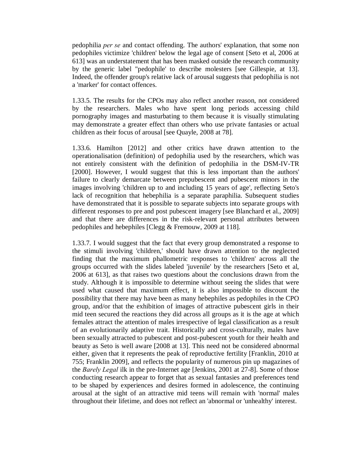pedophilia *per se* and contact offending. The authors' explanation, that some non pedophiles victimize 'children' below the legal age of consent [Seto et al, 2006 at 613] was an understatement that has been masked outside the research community by the generic label "pedophile' to describe molesters [see Gillespie, at 13]. Indeed, the offender group's relative lack of arousal suggests that pedophilia is not a 'marker' for contact offences.

1.33.5. The results for the CPOs may also reflect another reason, not considered by the researchers. Males who have spent long periods accessing child pornography images and masturbating to them because it is visually stimulating may demonstrate a greater effect than others who use private fantasies or actual children as their focus of arousal [see Quayle, 2008 at 78].

1.33.6. Hamilton [2012] and other critics have drawn attention to the operationalisation (definition) of pedophilia used by the researchers, which was not entirely consistent with the definition of pedophilia in the DSM-IV-TR [2000]. However, I would suggest that this is less important than the authors' failure to clearly demarcate between prepubescent and pubescent minors in the images involving 'children up to and including 15 years of age', reflecting Seto's lack of recognition that hebephilia is a separate paraphilia. Subsequent studies have demonstrated that it is possible to separate subjects into separate groups with different responses to pre and post pubescent imagery [see Blanchard et al., 2009] and that there are differences in the risk-relevant personal attributes between pedophiles and hebephiles [Clegg & Fremouw, 2009 at 118].

1.33.7. I would suggest that the fact that every group demonstrated a response to the stimuli involving 'children,' should have drawn attention to the neglected finding that the maximum phallometric responses to 'children' across all the groups occurred with the slides labeled 'juvenile' by the researchers [Seto et al, 2006 at 613], as that raises two questions about the conclusions drawn from the study. Although it is impossible to determine without seeing the slides that were used what caused that maximum effect, it is also impossible to discount the possibility that there may have been as many hebephiles as pedophiles in the CPO group, and/or that the exhibition of images of attractive pubescent girls in their mid teen secured the reactions they did across all groups as it is the age at which females attract the attention of males irrespective of legal classification as a result of an evolutionarily adaptive trait. Historically and cross-culturally, males have been sexually attracted to pubescent and post-pubescent youth for their health and beauty as Seto is well aware [2008 at 13]. This need not be considered abnormal either, given that it represents the peak of reproductive fertility [Franklin, 2010 at 755; Franklin 2009], and reflects the popularity of numerous pin up magazines of the *Barely Legal* ilk in the pre-Internet age [Jenkins, 2001 at 27-8]. Some of those conducting research appear to forget that as sexual fantasies and preferences tend to be shaped by experiences and desires formed in adolescence, the continuing arousal at the sight of an attractive mid teens will remain with 'normal' males throughout their lifetime, and does not reflect an 'abnormal or 'unhealthy' interest.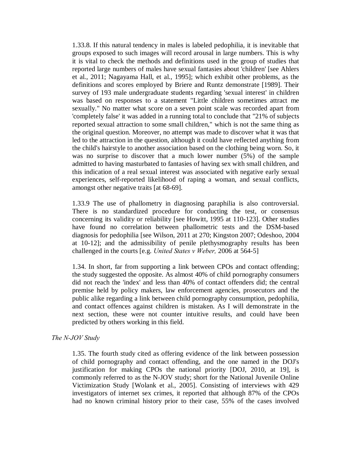1.33.8. If this natural tendency in males is labeled pedophilia, it is inevitable that groups exposed to such images will record arousal in large numbers. This is why it is vital to check the methods and definitions used in the group of studies that reported large numbers of males have sexual fantasies about 'children' [see Ahlers et al., 2011; Nagayama Hall, et al., 1995]; which exhibit other problems, as the definitions and scores employed by Briere and Runtz demonstrate [1989]. Their survey of 193 male undergraduate students regarding 'sexual interest' in children was based on responses to a statement "Little children sometimes attract me sexually." No matter what score on a seven point scale was recorded apart from 'completely false' it was added in a running total to conclude that "21% of subjects reported sexual attraction to some small children," which is not the same thing as the original question. Moreover, no attempt was made to discover what it was that led to the attraction in the question, although it could have reflected anything from the child's hairstyle to another association based on the clothing being worn. So, it was no surprise to discover that a much lower number (5%) of the sample admitted to having masturbated to fantasies of having sex with small children, and this indication of a real sexual interest was associated with negative early sexual experiences, self-reported likelihood of raping a woman, and sexual conflicts, amongst other negative traits [at 68-69].

1.33.9 The use of phallometry in diagnosing paraphilia is also controversial. There is no standardized procedure for conducting the test, or consensus concerning its validity or reliability [see Howitt, 1995 at 110-123]. Other studies have found no correlation between phallometric tests and the DSM-based diagnosis for pedophilia [see Wilson, 2011 at 270; Kingston 2007; Odeshoo, 2004 at 10-12]; and the admissibility of penile plethysmography results has been challenged in the courts [e.g. *United States v Weber,* 2006 at 564-5]

1.34. In short, far from supporting a link between CPOs and contact offending; the study suggested the opposite. As almost 40% of child pornography consumers did not reach the 'index' and less than 40% of contact offenders did; the central premise held by policy makers, law enforcement agencies, prosecutors and the public alike regarding a link between child pornography consumption, pedophilia, and contact offences against children is mistaken. As I will demonstrate in the next section, these were not counter intuitive results, and could have been predicted by others working in this field.

#### *The N-JOV Study*

1.35. The fourth study cited as offering evidence of the link between possession of child pornography and contact offending, and the one named in the DOJ's justification for making CPOs the national priority [DOJ, 2010, at 19], is commonly referred to as the N-JOV study; short for the National Juvenile Online Victimization Study [Wolank et al., 2005]. Consisting of interviews with 429 investigators of internet sex crimes, it reported that although 87% of the CPOs had no known criminal history prior to their case, 55% of the cases involved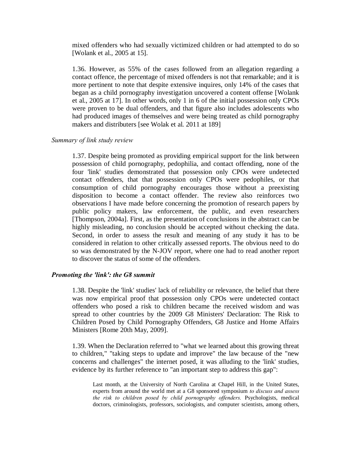mixed offenders who had sexually victimized children or had attempted to do so [Wolank et al., 2005 at 15].

1.36. However, as 55% of the cases followed from an allegation regarding a contact offence, the percentage of mixed offenders is not that remarkable; and it is more pertinent to note that despite extensive inquires, only 14% of the cases that began as a child pornography investigation uncovered a content offense [Wolank et al., 2005 at 17]. In other words, only 1 in 6 of the initial possession only CPOs were proven to be dual offenders, and that figure also includes adolescents who had produced images of themselves and were being treated as child pornography makers and distributers [see Wolak et al. 2011 at 189]

## *Summary of link study review*

1.37. Despite being promoted as providing empirical support for the link between possession of child pornography, pedophilia, and contact offending, none of the four 'link' studies demonstrated that possession only CPOs were undetected contact offenders, that that possession only CPOs were pedophiles, or that consumption of child pornography encourages those without a preexisting disposition to become a contact offender. The review also reinforces two observations I have made before concerning the promotion of research papers by public policy makers, law enforcement, the public, and even researchers [Thompson, 2004a]. First, as the presentation of conclusions in the abstract can be highly misleading, no conclusion should be accepted without checking the data. Second, in order to assess the result and meaning of any study it has to be considered in relation to other critically assessed reports. The obvious need to do so was demonstrated by the N-JOV report, where one had to read another report to discover the status of some of the offenders.

#### *Promoting the 'link': the G8 summit*

1.38. Despite the 'link' studies' lack of reliability or relevance, the belief that there was now empirical proof that possession only CPOs were undetected contact offenders who posed a risk to children became the received wisdom and was spread to other countries by the 2009 G8 Ministers' Declaration: The Risk to Children Posed by Child Pornography Offenders, G8 Justice and Home Affairs Ministers [Rome 20th May, 2009].

1.39. When the Declaration referred to "what we learned about this growing threat to children," "taking steps to update and improve" the law because of the "new concerns and challenges" the internet posed, it was alluding to the 'link' studies, evidence by its further reference to "an important step to address this gap":

Last month, at the University of North Carolina at Chapel Hill, in the United States, experts from around the world met at a G8 sponsored symposium *to discuss and assess the risk to children posed by child pornography offenders.* Psychologists, medical doctors, criminologists, professors, sociologists, and computer scientists, among others,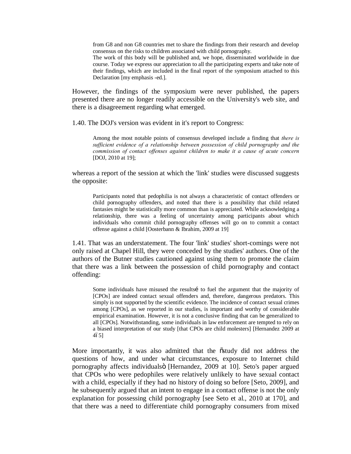from G8 and non G8 countries met to share the findings from their research and develop consensus on the risks to children associated with child pornography.

The work of this body will be published and, we hope, disseminated worldwide in due course. Today we express our appreciation to all the participating experts and take note of their findings, which are included in the final report of the symposium attached to this Declaration [my emphasis -ed.].

However, the findings of the symposium were never published, the papers presented there are no longer readily accessible on the University's web site, and there is a disagreement regarding what emerged.

1.40. The DOJ's version was evident in it's report to Congress:

Among the most notable points of consensus developed include a finding that *there is sufficient evidence of a relationship between possession of child pornography and the commission of contact offenses against children to make it a cause of acute concern*  [DOJ, 2010 at 19];

whereas a report of the session at which the 'link' studies were discussed suggests the opposite:

Participants noted that pedophilia is not always a characteristic of contact offenders or child pornography offenders, and noted that there is a possibility that child related fantasies might be statistically more common than is appreciated. While acknowledging a relationship, there was a feeling of uncertainty among participants about which individuals who commit child pornography offenses will go on to commit a contact offense against a child [Oosterbann & Ibrahim, 2009 at 19]

1.41. That was an understatement. The four 'link' studies' short-comings were not only raised at Chapel Hill, they were conceded by the studies' authors. One of the authors of the Butner studies cautioned against using them to promote the claim that there was a link between the possession of child pornography and contact offending:

Some individuals have misused the results to fuel the argument that the majority of [CPOs] are indeed contact sexual offenders and, therefore, dangerous predators. This simply is not supported by the scientific evidence. The incidence of contact sexual crimes among [CPOs], as we reported in our studies, is important and worthy of considerable empirical examination. However, it is not a conclusive finding that can be generalized to all [CPOs]. Notwithstanding, some individuals in law enforcement are tempted to rely on a biased interpretation of our study [that CPOs are child molesters] [Hernandez 2009 at  $465$ ]

More importantly, it was also admitted that the  $\tilde{\text{o}}$ study did not address the questions of how, and under what circumstances, exposure to Internet child pornography affects individualsö [Hernandez, 2009 at 10]. Seto's paper argued that CPOs who were pedophiles were relatively unlikely to have sexual contact with a child, especially if they had no history of doing so before [Seto, 2009], and he subsequently argued that an intent to engage in a contact offense is not the only explanation for possessing child pornography [see Seto et al., 2010 at 170], and that there was a need to differentiate child pornography consumers from mixed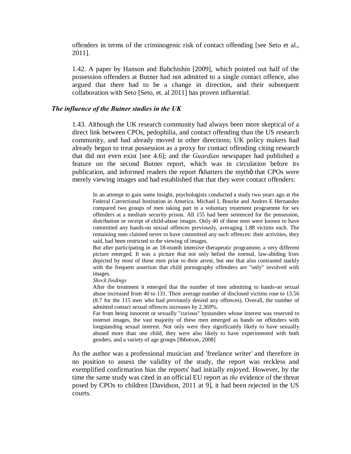offenders in terms of the criminogenic risk of contact offending [see Seto et al., 2011].

1.42. A paper by Hanson and Babchishin [2009], which pointed out half of the possession offenders at Butner had not admitted to a single contact offence, also argued that there had to be a change in direction, and their subsequent collaboration with Seto [Seto, et. al 2011] has proven influential.

#### *The influence of the Butner studies in the UK*

1.43. Although the UK research community had always been more skeptical of a direct link between CPOs, pedophilia, and contact offending than the US research community, and had already moved in other directions; UK policy makers had already begun to treat possession as a proxy for contact offending citing research that did not even exist [see 4.6]; and the *Guardian* newspaper had published a feature on the second Butner report, which was in circulation before its publication, and informed readers the report  $\ddot{\circ}$  shatters the mytho that CPOs were merely viewing images and had established that that they were contact offenders:

In an attempt to gain some insight, psychologists conducted a study two years ago at the Federal Correctional Institution in America. Michael L Bourke and Andres E Hernandez compared two groups of men taking part in a voluntary treatment programme for sex offenders at a medium security prison. All 155 had been sentenced for the possession, distribution or receipt of child-abuse images. Only 40 of these men were known to have committed any hands-on sexual offences previously, averaging 1.88 victims each. The remaining men claimed never to have committed any such offences: their activities, they said, had been restricted to the viewing of images.

But after participating in an 18-month intensive therapeutic programme, a very different picture emerged. It was a picture that not only belied the normal, law-abiding lives depicted by most of these men prior to their arrest, but one that also contrasted starkly with the frequent assertion that child pornography offenders are "only" involved with images.

#### *Shock findings*

After the treatment it emerged that the number of men admitting to hands-on sexual abuse increased from 40 to 131. Their average number of disclosed victims rose to 13.56 (8.7 for the 115 men who had previously denied any offences). Overall, the number of admitted contact sexual offences increases by 2,369%.

Far from being innocent or sexually "curious" bystanders whose interest was reserved to internet images, the vast majority of these men emerged as hands on offenders with longstanding sexual interest. Not only were they significantly likely to have sexually abused more than one child, they were also likely to have experimented with both genders, and a variety of age groups [Ibbotson, 2008]

As the author was a professional musician and 'freelance writer' and therefore in no position to assess the validity of the study, the report was reckless and exemplified confirmation bias the reports' had initially enjoyed. However, by the time the same study was cited in an official EU report as *the* evidence of the threat posed by CPOs to children [Davidson, 2011 at 9], it had been rejected in the US courts.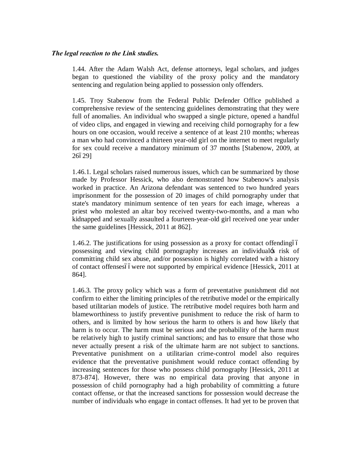## *The legal reaction to the Link studies.*

1.44. After the Adam Walsh Act, defense attorneys, legal scholars, and judges began to questioned the viability of the proxy policy and the mandatory sentencing and regulation being applied to possession only offenders.

1.45. Troy Stabenow from the Federal Public Defender Office published a comprehensive review of the sentencing guidelines demonstrating that they were full of anomalies. An individual who swapped a single picture, opened a handful of video clips, and engaged in viewing and receiving child pornography for a few hours on one occasion, would receive a sentence of at least 210 months; whereas a man who had convinced a thirteen year-old girl on the internet to meet regularly for sex could receive a mandatory minimum of 37 months [Stabenow, 2009, at 266291

1.46.1. Legal scholars raised numerous issues, which can be summarized by those made by Professor Hessick, who also demonstrated how Stabenow's analysis worked in practice. An Arizona defendant was sentenced to two hundred years imprisonment for the possession of 20 images of child pornography under that state's mandatory minimum sentence of ten years for each image, whereas a priest who molested an altar boy received twenty-two-months, and a man who kidnapped and sexually assaulted a fourteen-year-old girl received one year under the same guidelines [Hessick, 2011 at 862].

1.46.2. The justifications for using possession as a proxy for contact offending oo possessing and viewing child pornography increases an individual's risk of committing child sex abuse, and/or possession is highly correlated with a history of contact offensesóówere not supported by empirical evidence [Hessick, 2011 at 864].

1.46.3. The proxy policy which was a form of preventative punishment did not confirm to either the limiting principles of the retributive model or the empirically based utilitarian models of justice. The retributive model requires both harm and blameworthiness to justify preventive punishment to reduce the risk of harm to others, and is limited by how serious the harm to others is and how likely that harm is to occur. The harm must be serious and the probability of the harm must be relatively high to justify criminal sanctions; and has to ensure that those who never actually present a risk of the ultimate harm are not subject to sanctions. Preventative punishment on a utilitarian crime-control model also requires evidence that the preventative punishment would reduce contact offending by increasing sentences for those who possess child pornography [Hessick, 2011 at 873-874]. However, there was no empirical data proving that anyone in possession of child pornography had a high probability of committing a future contact offense, or that the increased sanctions for possession would decrease the number of individuals who engage in contact offenses. It had yet to be proven that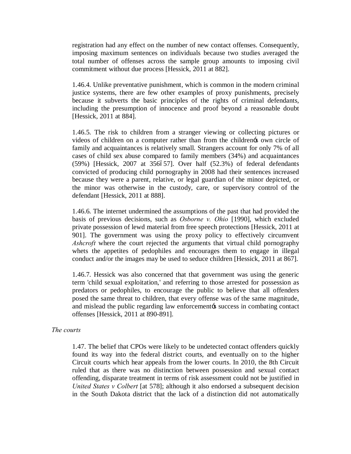registration had any effect on the number of new contact offenses. Consequently, imposing maximum sentences on individuals because two studies averaged the total number of offenses across the sample group amounts to imposing civil commitment without due process [Hessick, 2011 at 882].

1.46.4. Unlike preventative punishment, which is common in the modern criminal justice systems, there are few other examples of proxy punishments, precisely because it subverts the basic principles of the rights of criminal defendants, including the presumption of innocence and proof beyond a reasonable doubt [Hessick, 2011 at 884].

1.46.5. The risk to children from a stranger viewing or collecting pictures or videos of children on a computer rather than from the children's own circle of family and acquaintances is relatively small. Strangers account for only 7% of all cases of child sex abuse compared to family members (34%) and acquaintances  $(59%)$  [Hessick, 2007 at 356657]. Over half  $(52.3%)$  of federal defendants convicted of producing child pornography in 2008 had their sentences increased because they were a parent, relative, or legal guardian of the minor depicted, or the minor was otherwise in the custody, care, or supervisory control of the defendant [Hessick, 2011 at 888].

1.46.6. The internet undermined the assumptions of the past that had provided the basis of previous decisions, such as *Osborne v. Ohio* [1990], which excluded private possession of lewd material from free speech protections [Hessick, 2011 at 901]. The government was using the proxy policy to effectively circumvent *Ashcroft* where the court rejected the arguments that virtual child pornography whets the appetites of pedophiles and encourages them to engage in illegal conduct and/or the images may be used to seduce children [Hessick, 2011 at 867].

1.46.7. Hessick was also concerned that that government was using the generic term 'child sexual exploitation,' and referring to those arrested for possession as predators or pedophiles, to encourage the public to believe that all offenders posed the same threat to children, that every offense was of the same magnitude, and mislead the public regarding law enforcement's success in combating contact offenses [Hessick, 2011 at 890-891].

#### *The courts*

1.47. The belief that CPOs were likely to be undetected contact offenders quickly found its way into the federal district courts, and eventually on to the higher Circuit courts which hear appeals from the lower courts. In 2010, the 8th Circuit ruled that as there was no distinction between possession and sexual contact offending, disparate treatment in terms of risk assessment could not be justified in *United States v Colbert* [at 578]; although it also endorsed a subsequent decision in the South Dakota district that the lack of a distinction did not automatically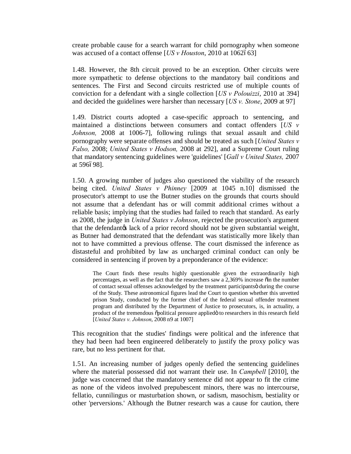create probable cause for a search warrant for child pornography when someone was accused of a contact offense [*US v Houston*, 2010 at 1062663]

1.48. However, the 8th circuit proved to be an exception. Other circuits were more sympathetic to defense objections to the mandatory bail conditions and sentences. The First and Second circuits restricted use of multiple counts of conviction for a defendant with a single collection [*US v Polouizzi*, 2010 at 394] and decided the guidelines were harsher than necessary [*US v. Stone*, 2009 at 97]

1.49. District courts adopted a case-specific approach to sentencing, and maintained a distinctions between consumers and contact offenders [*US v Johnson,* 2008 at 1006-7], following rulings that sexual assault and child pornography were separate offenses and should be treated as such [*United States v Falso,* 2008; *United States v Hodson,* 2008 at 292], and a Supreme Court ruling that mandatory sentencing guidelines were 'guidelines' [*Gall v United States,* 2007 at 596698].

1.50. A growing number of judges also questioned the viability of the research being cited. *United States v Phinney* [2009 at 1045 n.10] dismissed the prosecutor's attempt to use the Butner studies on the grounds that courts should not assume that a defendant has or will commit additional crimes without a reliable basis; implying that the studies had failed to reach that standard. As early as 2008, the judge in *United States v Johnson*, rejected the prosecution's argument that the defendant the lack of a prior record should not be given substantial weight, as Butner had demonstrated that the defendant was statistically more likely than not to have committed a previous offense. The court dismissed the inference as distasteful and prohibited by law as uncharged criminal conduct can only be considered in sentencing if proven by a preponderance of the evidence:

The Court finds these results highly questionable given the extraordinarily high percentages, as well as the fact that the researchers saw a 2,369% increase  $\ddot{\text{o}}$  in the number of contact sexual offenses acknowledged by the treatment participantsö during the course of the Study. These astronomical figures lead the Court to question whether this unvetted prison Study, conducted by the former chief of the federal sexual offender treatment program and distributed by the Department of Justice to prosecutors, is, in actuality, a product of the tremendous  $\ddot{\text{opolitional}}$  pressure applied to researchers in this research field [*United States v. Johnson*, 2008 n9 at 1007]

This recognition that the studies' findings were political and the inference that they had been had been engineered deliberately to justify the proxy policy was rare, but no less pertinent for that.

1.51. An increasing number of judges openly defied the sentencing guidelines where the material possessed did not warrant their use. In *Campbell* [2010], the judge was concerned that the mandatory sentence did not appear to fit the crime as none of the videos involved prepubescent minors, there was no intercourse, fellatio, cunnilingus or masturbation shown, or sadism, masochism, bestiality or other 'perversions.' Although the Butner research was a cause for caution, there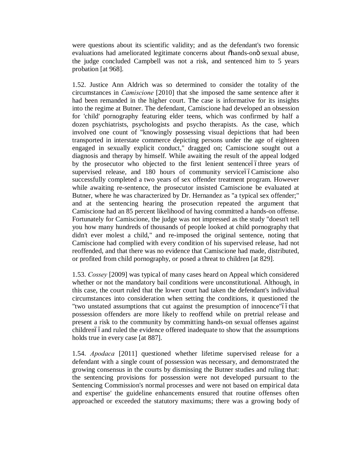were questions about its scientific validity; and as the defendant's two forensic evaluations had ameliorated legitimate concerns about õhands-onö sexual abuse, the judge concluded Campbell was not a risk, and sentenced him to 5 years probation [at 968].

1.52. Justice Ann Aldrich was so determined to consider the totality of the circumstances in *Camiscione* [2010] that she imposed the same sentence after it had been remanded in the higher court. The case is informative for its insights into the regime at Butner. The defendant, Camiscione had developed an obsession for 'child' pornography featuring elder teens, which was confirmed by half a dozen psychiatrists, psychologists and psycho therapists. As the case, which involved one count of "knowingly possessing visual depictions that had been transported in interstate commerce depicting persons under the age of eighteen engaged in sexually explicit conduct," dragged on; Camiscione sought out a diagnosis and therapy by himself. While awaiting the result of the appeal lodged by the prosecutor who objected to the first lenient sentenceóóthree years of supervised release, and 180 hours of community serviceóóCamiscione also successfully completed a two years of sex offender treatment program. However while awaiting re-sentence, the prosecutor insisted Camiscione be evaluated at Butner, where he was characterized by Dr. Hernandez as "a typical sex offender;" and at the sentencing hearing the prosecution repeated the argument that Camiscione had an 85 percent likelihood of having committed a hands-on offense. Fortunately for Camiscione, the judge was not impressed as the study "doesn't tell you how many hundreds of thousands of people looked at child pornography that didn't ever molest a child," and re-imposed the original sentence, noting that Camiscione had complied with every condition of his supervised release, had not reoffended, and that there was no evidence that Camiscione had made, distributed, or profited from child pornography, or posed a threat to children [at 829].

1.53. *Cossey* [2009] was typical of many cases heard on Appeal which considered whether or not the mandatory bail conditions were unconstitutional. Although, in this case, the court ruled that the lower court had taken the defendant's individual circumstances into consideration when setting the conditions, it questioned the "two unstated assumptions that cut against the presumption of innocence" of that possession offenders are more likely to reoffend while on pretrial release and present a risk to the community by committing hands-on sexual offenses against childrenóóand ruled the evidence offered inadequate to show that the assumptions holds true in every case [at 887].

1.54. *Apodaca* [2011] questioned whether lifetime supervised release for a defendant with a single count of possession was necessary, and demonstrated the growing consensus in the courts by dismissing the Butner studies and ruling that: the sentencing provisions for possession were not developed pursuant to the Sentencing Commission's normal processes and were not based on empirical data and expertise' the guideline enhancements ensured that routine offenses often approached or exceeded the statutory maximums; there was a growing body of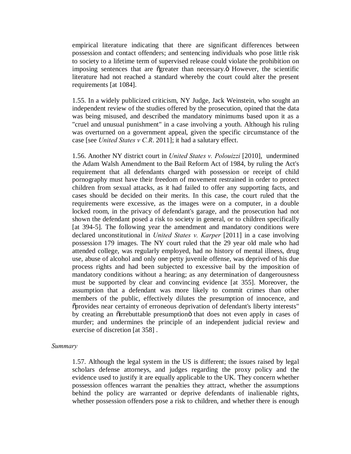empirical literature indicating that there are significant differences between possession and contact offenders; and sentencing individuals who pose little risk to society to a lifetime term of supervised release could violate the prohibition on imposing sentences that are ogreater than necessary. The scientific literature had not reached a standard whereby the court could alter the present requirements [at 1084].

1.55. In a widely publicized criticism, NY Judge, Jack Weinstein, who sought an independent review of the studies offered by the prosecution, opined that the data was being misused, and described the mandatory minimums based upon it as a "cruel and unusual punishment" in a case involving a youth. Although his ruling was overturned on a government appeal, given the specific circumstance of the case [see *United States v C.R*. 2011]; it had a salutary effect.

1.56. Another NY district court in *United States v. Polouizzi* [2010], undermined the Adam Walsh Amendment to the Bail Reform Act of 1984, by ruling the Act's requirement that all defendants charged with possession or receipt of child pornography must have their freedom of movement restrained in order to protect children from sexual attacks, as it had failed to offer any supporting facts, and cases should be decided on their merits. In this case, the court ruled that the requirements were excessive, as the images were on a computer, in a double locked room, in the privacy of defendant's garage, and the prosecution had not shown the defendant posed a risk to society in general, or to children specifically [at 394-5]. The following year the amendment and mandatory conditions were declared unconstitutional in *United States v. Karper* [2011] in a case involving possession 179 images. The NY court ruled that the 29 year old male who had attended college, was regularly employed, had no history of mental illness, drug use, abuse of alcohol and only one petty juvenile offense, was deprived of his due process rights and had been subjected to excessive bail by the imposition of mandatory conditions without a hearing; as any determination of dangerousness must be supported by clear and convincing evidence [at 355]. Moreover, the assumption that a defendant was more likely to commit crimes than other members of the public, effectively dilutes the presumption of innocence, and "provides near certainty of erroneous deprivation of defendant's liberty interests" by creating an  $\tilde{o}$  irrebuttable presumption $\tilde{o}$  that does not even apply in cases of murder; and undermines the principle of an independent judicial review and exercise of discretion [at 358] .

#### *Summary*

1.57. Although the legal system in the US is different; the issues raised by legal scholars defense attorneys, and judges regarding the proxy policy and the evidence used to justify it are equally applicable to the UK. They concern whether possession offences warrant the penalties they attract, whether the assumptions behind the policy are warranted or deprive defendants of inalienable rights, whether possession offenders pose a risk to children, and whether there is enough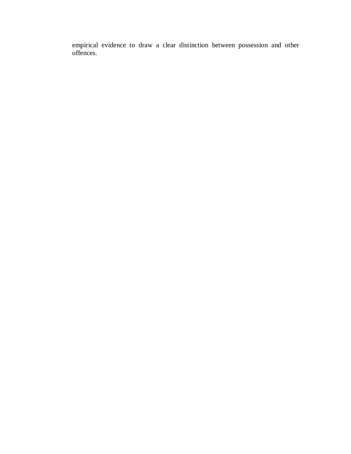empirical evidence to draw a clear distinction between possession and other offences.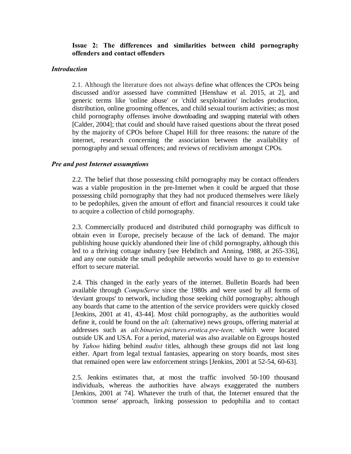## **Issue 2: The differences and similarities between child pornography offenders and contact offenders**

#### *Introduction*

2.1. Although the literature does not always define what offences the CPOs being discussed and/or assessed have committed [Henshaw et al. 2015, at 2], and generic terms like 'online abuse' or 'child sexploitation' includes production, distribution, online grooming offences, and child sexual tourism activities; as most child pornography offenses involve downloading and swapping material with others [Calder, 2004]; that could and should have raised questions about the threat posed by the majority of CPOs before Chapel Hill for three reasons: the nature of the internet, research concerning the association between the availability of pornography and sexual offences; and reviews of recidivism amongst CPOs.

## *Pre and post Internet assumptions*

2.2. The belief that those possessing child pornography may be contact offenders was a viable proposition in the pre-Internet when it could be argued that those possessing child pornography that they had not produced themselves were likely to be pedophiles, given the amount of effort and financial resources it could take to acquire a collection of child pornography.

2.3. Commercially produced and distributed child pornography was difficult to obtain even in Europe, precisely because of the lack of demand. The major publishing house quickly abandoned their line of child pornography, although this led to a thriving cottage industry [see Hebditch and Anning, 1988, at 265-336], and any one outside the small pedophile networks would have to go to extensive effort to secure material.

2.4. This changed in the early years of the internet. Bulletin Boards had been available through *CompuServe* since the 1980s and were used by all forms of 'deviant groups' to network, including those seeking child pornography; although any boards that came to the attention of the service providers were quickly closed [Jenkins, 2001 at 41, 43-44]. Most child pornography, as the authorities would define it, could be found on the *alt.* (alternative) news groups, offering material at addresses such as *alt.binaries.pictures.erotica.pre-teen;* which were located outside UK and USA. For a period, material was also available on Egroups hosted by *Yahoo* hiding behind *nudist* titles, although these groups did not last long either. Apart from legal textual fantasies, appearing on story boards, most sites that remained open were law enforcement strings [Jenkins, 2001 at 52-54, 60-63].

2.5. Jenkins estimates that, at most the traffic involved 50-100 thousand individuals, whereas the authorities have always exaggerated the numbers [Jenkins, 2001 at 74]. Whatever the truth of that, the Internet ensured that the 'common sense' approach, linking possession to pedophilia and to contact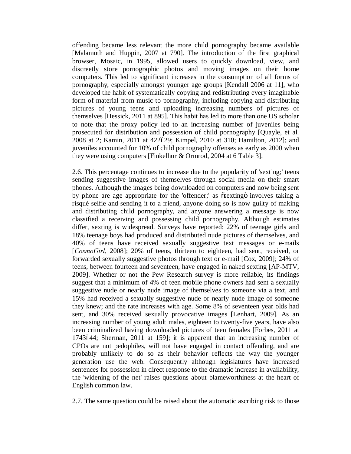offending became less relevant the more child pornography became available [Malamuth and Huppin, 2007 at 790]. The introduction of the first graphical browser, Mosaic, in 1995, allowed users to quickly download, view, and discreetly store pornographic photos and moving images on their home computers. This led to significant increases in the consumption of all forms of pornography, especially amongst younger age groups [Kendall 2006 at 11], who developed the habit of systematically copying and redistributing every imaginable form of material from music to pornography, including copying and distributing pictures of young teens and uploading increasing numbers of pictures of themselves [Hessick, 2011 at 895]. This habit has led to more than one US scholar to note that the proxy policy led to an increasing number of juveniles being prosecuted for distribution and possession of child pornography [Quayle, et al. 2008 at 2; Kamin, 2011 at 422629; Kimpel, 2010 at 310; Hamilton, 2012]; and juveniles accounted for 10% of child pornography offenses as early as 2000 when they were using computers [Finkelhor & Ormrod, 2004 at 6 Table 3].

2.6. This percentage continues to increase due to the popularity of 'sexting;' teens sending suggestive images of themselves through social media on their smart phones. Although the images being downloaded on computers and now being sent by phone are age appropriate for the 'offender;' as  $\tilde{c}$  sexting involves taking a risqué selfie and sending it to a friend, anyone doing so is now guilty of making and distributing child pornography, and anyone answering a message is now classified a receiving and possessing child pornography. Although estimates differ, sexting is widespread. Surveys have reported: 22% of teenage girls and 18% teenage boys had produced and distributed nude pictures of themselves, and 40% of teens have received sexually suggestive text messages or e-mails [*CosmoGirl*, 2008]; 20% of teens, thirteen to eighteen, had sent, received, or forwarded sexually suggestive photos through text or e-mail [Cox, 2009]; 24% of teens, between fourteen and seventeen, have engaged in naked sexting [AP-MTV, 2009]. Whether or not the Pew Research survey is more reliable, its findings suggest that a minimum of 4% of teen mobile phone owners had sent a sexually suggestive nude or nearly nude image of themselves to someone via a text, and 15% had received a sexually suggestive nude or nearly nude image of someone they knew; and the rate increases with age. Some 8% of seventeen year olds had sent, and 30% received sexually provocative images [Lenhart, 2009]. As an increasing number of young adult males, eighteen to twenty-five years, have also been criminalized having downloaded pictures of teen females [Forbes, 2011 at 1743644; Sherman, 2011 at 159]; it is apparent that an increasing number of CPOs are not pedophiles, will not have engaged in contact offending, and are probably unlikely to do so as their behavior reflects the way the younger generation use the web. Consequently although legislatures have increased sentences for possession in direct response to the dramatic increase in availability, the 'widening of the net' raises questions about blameworthiness at the heart of English common law.

2.7. The same question could be raised about the automatic ascribing risk to those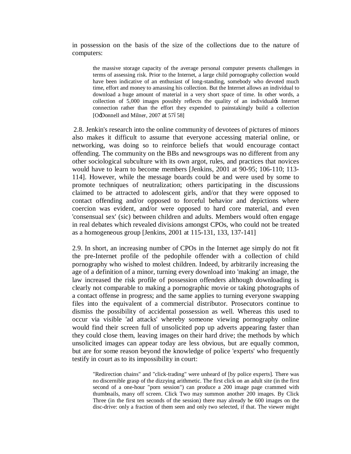in possession on the basis of the size of the collections due to the nature of computers:

the massive storage capacity of the average personal computer presents challenges in terms of assessing risk. Prior to the Internet, a large child pornography collection would have been indicative of an enthusiast of long-standing, somebody who devoted much time, effort and money to amassing his collection. But the Internet allows an individual to download a huge amount of material in a very short space of time. In other words, a collection of 5,000 images possibly reflects the quality of an individual's Internet connection rather than the effort they expended to painstakingly build a collection [O:Donnell and Milner, 2007 at 57658]

2.8. Jenkin's research into the online community of devotees of pictures of minors also makes it difficult to assume that everyone accessing material online, or networking, was doing so to reinforce beliefs that would encourage contact offending. The community on the BBs and newsgroups was no different from any other sociological subculture with its own argot, rules, and practices that novices would have to learn to become members [Jenkins, 2001 at 90-95; 106-110; 113- 114]. However, while the message boards could be and were used by some to promote techniques of neutralization; others participating in the discussions claimed to be attracted to adolescent girls, and/or that they were opposed to contact offending and/or opposed to forceful behavior and depictions where coercion was evident, and/or were opposed to hard core material, and even 'consensual sex' (sic) between children and adults. Members would often engage in real debates which revealed divisions amongst CPOs, who could not be treated as a homogeneous group [Jenkins, 2001 at 115-131, 133, 137-141]

2.9. In short, an increasing number of CPOs in the Internet age simply do not fit the pre-Internet profile of the pedophile offender with a collection of child pornography who wished to molest children. Indeed, by arbitrarily increasing the age of a definition of a minor, turning every download into 'making' an image, the law increased the risk profile of possession offenders although downloading is clearly not comparable to making a pornographic movie or taking photographs of a contact offense in progress; and the same applies to turning everyone swapping files into the equivalent of a commercial distributor. Prosecutors continue to dismiss the possibility of accidental possession as well. Whereas this used to occur via visible 'ad attacks' whereby someone viewing pornography online would find their screen full of unsolicited pop up adverts appearing faster than they could close them, leaving images on their hard drive; the methods by which unsolicited images can appear today are less obvious, but are equally common, but are for some reason beyond the knowledge of police 'experts' who frequently testify in court as to its impossibility in court:

"Redirection chains" and "click-trading" were unheard of [by police experts]. There was no discernible grasp of the dizzying arithmetic. The first click on an adult site (in the first second of a one-hour "porn session") can produce a 200 image page crammed with thumbnails, many off screen. Click Two may summon another 200 images. By Click Three (in the first ten seconds of the session) there may already be 600 images on the disc-drive: only a fraction of them seen and only two selected, if that. The viewer might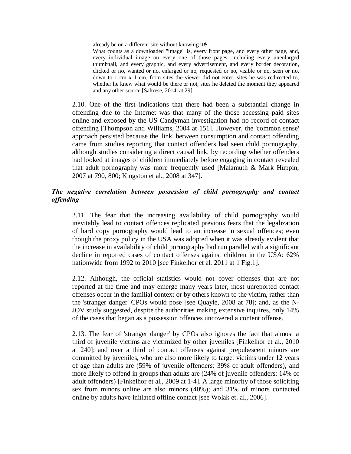already be on a different site without knowing iti

What counts as a downloaded "image" is, every front page, and every other page, and, every individual image on every one of those pages, including every unenlarged thumbnail, and every graphic, and every advertisement, and every border decoration, clicked or no, wanted or no, enlarged or no, requested or no, visible or no, seen or no, down to 1 cm x 1 cm, from sites the viewer did not enter, sites he was redirected to, whether he knew what would be there or not, sites he deleted the moment they appeared and any other source [Saltrese, 2014, at 29].

2.10. One of the first indications that there had been a substantial change in offending due to the Internet was that many of the those accessing paid sites online and exposed by the US Candyman investigation had no record of contact offending [Thompson and Williams, 2004 at 151]. However, the 'common sense' approach persisted because the 'link' between consumption and contact offending came from studies reporting that contact offenders had seen child pornography, although studies considering a direct causal link, by recording whether offenders had looked at images of children immediately before engaging in contact revealed that adult pornography was more frequently used [Malamuth & Mark Huppin, 2007 at 790, 800; Kingston et al., 2008 at 347].

## *The negative correlation between possession of child pornography and contact offending*

2.11. The fear that the increasing availability of child pornography would inevitably lead to contact offences replicated previous fears that the legalization of hard copy pornography would lead to an increase in sexual offences; even though the proxy policy in the USA was adopted when it was already evident that the increase in availability of child pornography had run parallel with a significant decline in reported cases of contact offenses against children in the USA: 62% nationwide from 1992 to 2010 [see Finkelhor et al. 2011 at 1 Fig.1].

2.12. Although, the official statistics would not cover offenses that are not reported at the time and may emerge many years later, most unreported contact offenses occur in the familial context or by others known to the victim, rather than the 'stranger danger' CPOs would pose [see Quayle, 2008 at 78]; and, as the N-JOV study suggested, despite the authorities making extensive inquires, only 14% of the cases that began as a possession offences uncovered a content offense.

2.13. The fear of 'stranger danger' by CPOs also ignores the fact that almost a third of juvenile victims are victimized by other juveniles [Finkelhor et al., 2010 at 240]; and over a third of contact offenses against prepubescent minors are committed by juveniles, who are also more likely to target victims under 12 years of age than adults are (59% of juvenile offenders: 39% of adult offenders), and more likely to offend in groups than adults are (24% of juvenile offenders: 14% of adult offenders) [Finkelhor et al., 2009 at 1-4]. A large minority of those soliciting sex from minors online are also minors (40%); and 31% of minors contacted online by adults have initiated offline contact [see Wolak et. al., 2006].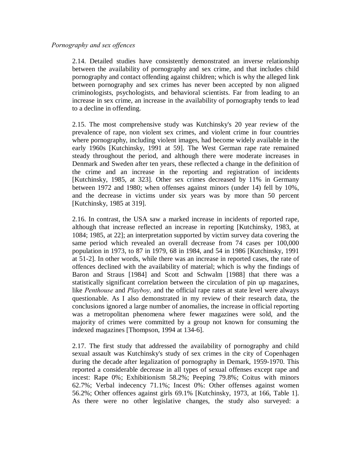## *Pornography and sex offences*

2.14. Detailed studies have consistently demonstrated an inverse relationship between the availability of pornography and sex crime, and that includes child pornography and contact offending against children; which is why the alleged link between pornography and sex crimes has never been accepted by non aligned criminologists, psychologists, and behavioral scientists. Far from leading to an increase in sex crime, an increase in the availability of pornography tends to lead to a decline in offending.

2.15. The most comprehensive study was Kutchinsky's 20 year review of the prevalence of rape, non violent sex crimes, and violent crime in four countries where pornography, including violent images, had become widely available in the early 1960s [Kutchinsky, 1991 at 59]. The West German rape rate remained steady throughout the period, and although there were moderate increases in Denmark and Sweden after ten years, these reflected a change in the definition of the crime and an increase in the reporting and registration of incidents [Kutchinsky, 1985, at 323]. Other sex crimes decreased by 11% in Germany between 1972 and 1980; when offenses against minors (under 14) fell by 10%, and the decrease in victims under six years was by more than 50 percent [Kutchinsky, 1985 at 319].

2.16. In contrast, the USA saw a marked increase in incidents of reported rape, although that increase reflected an increase in reporting [Kutchinsky, 1983, at 1084; 1985, at 22]; an interpretation supported by victim survey data covering the same period which revealed an overall decrease from 74 cases per 100,000 population in 1973, to 87 in 1979, 68 in 1984, and 54 in 1986 [Kutchinsky, 1991 at 51-2]. In other words, while there was an increase in reported cases, the rate of offences declined with the availability of material; which is why the findings of Baron and Straus [1984] and Scott and Schwalm [1988] that there was a statistically significant correlation between the circulation of pin up magazines, like *Penthouse* and *Playboy,* and the official rape rates at state level were always questionable. As I also demonstrated in my review of their research data, the conclusions ignored a large number of anomalies, the increase in official reporting was a metropolitan phenomena where fewer magazines were sold, and the majority of crimes were committed by a group not known for consuming the indexed magazines [Thompson, 1994 at 134-6].

2.17. The first study that addressed the availability of pornography and child sexual assault was Kutchinsky's study of sex crimes in the city of Copenhagen during the decade after legalization of pornography in Demark, 1959-1970. This reported a considerable decrease in all types of sexual offenses except rape and incest: Rape 0%; Exhibitionism 58.2%; Peeping 79.8%; Coitus with minors 62.7%; Verbal indecency 71.1%; Incest 0%: Other offenses against women 56.2%; Other offences against girls 69.1% [Kutchinsky, 1973, at 166, Table 1]. As there were no other legislative changes, the study also surveyed: a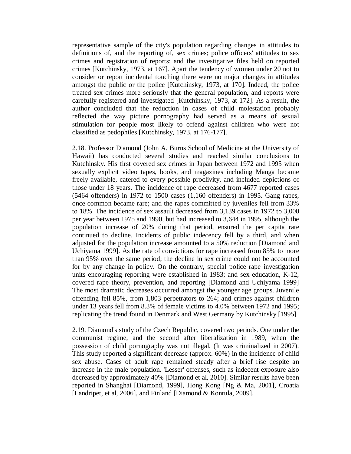representative sample of the city's population regarding changes in attitudes to definitions of, and the reporting of, sex crimes; police officers' attitudes to sex crimes and registration of reports; and the investigative files held on reported crimes [Kutchinsky, 1973, at 167]. Apart the tendency of women under 20 not to consider or report incidental touching there were no major changes in attitudes amongst the public or the police [Kutchinsky, 1973, at 170]. Indeed, the police treated sex crimes more seriously that the general population, and reports were carefully registered and investigated [Kutchinsky, 1973, at 172]. As a result, the author concluded that the reduction in cases of child molestation probably reflected the way picture pornography had served as a means of sexual stimulation for people most likely to offend against children who were not classified as pedophiles [Kutchinsky, 1973, at 176-177].

2.18. Professor Diamond (John A. Burns School of Medicine at the University of Hawaii) has conducted several studies and reached similar conclusions to Kutchinsky. His first covered sex crimes in Japan between 1972 and 1995 when sexually explicit video tapes, books, and magazines including Manga became freely available, catered to every possible proclivity, and included depictions of those under 18 years. The incidence of rape decreased from 4677 reported cases (5464 offenders) in 1972 to 1500 cases (1,160 offenders) in 1995. Gang rapes, once common became rare; and the rapes committed by juveniles fell from 33% to 18%. The incidence of sex assault decreased from 3,139 cases in 1972 to 3,000 per year between 1975 and 1990, but had increased to 3,644 in 1995, although the population increase of 20% during that period, ensured the per capita rate continued to decline. Incidents of public indecency fell by a third, and when adjusted for the population increase amounted to a 50% reduction [Diamond and Uchiyama 1999]. As the rate of convictions for rape increased from 85% to more than 95% over the same period; the decline in sex crime could not be accounted for by any change in policy. On the contrary, special police rape investigation units encouraging reporting were established in 1983; and sex education, K-12, covered rape theory, prevention, and reporting [Diamond and Uchiyama 1999] The most dramatic decreases occurred amongst the younger age groups. Juvenile offending fell 85%, from 1,803 perpetrators to 264; and crimes against children under 13 years fell from 8.3% of female victims to 4.0% between 1972 and 1995; replicating the trend found in Denmark and West Germany by Kutchinsky [1995]

2.19. Diamond's study of the Czech Republic, covered two periods. One under the communist regime, and the second after liberalization in 1989, when the possession of child pornography was not illegal. (It was criminalized in 2007). This study reported a significant decrease (approx. 60%) in the incidence of child sex abuse. Cases of adult rape remained steady after a brief rise despite an increase in the male population. 'Lesser' offenses, such as indecent exposure also decreased by approximately 40% [Diamond et al, 2010]. Similar results have been reported in Shanghai [Diamond, 1999], Hong Kong [Ng & Ma, 2001], Croatia [Landripet, et al, 2006], and Finland [Diamond & Kontula, 2009].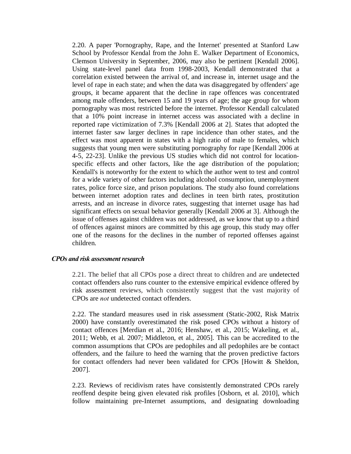2.20. A paper 'Pornography, Rape, and the Internet' presented at Stanford Law School by Professor Kendal from the John E. Walker Department of Economics, Clemson University in September, 2006, may also be pertinent [Kendall 2006]. Using state-level panel data from 1998-2003, Kendall demonstrated that a correlation existed between the arrival of, and increase in, internet usage and the level of rape in each state; and when the data was disaggregated by offenders' age groups, it became apparent that the decline in rape offences was concentrated among male offenders, between 15 and 19 years of age; the age group for whom pornography was most restricted before the internet. Professor Kendall calculated that a 10% point increase in internet access was associated with a decline in reported rape victimization of 7.3% [Kendall 2006 at 2]. States that adopted the internet faster saw larger declines in rape incidence than other states, and the effect was most apparent in states with a high ratio of male to females, which suggests that young men were substituting pornography for rape [Kendall 2006 at 4-5, 22-23]. Unlike the previous US studies which did not control for locationspecific effects and other factors, like the age distribution of the population; Kendall's is noteworthy for the extent to which the author went to test and control for a wide variety of other factors including alcohol consumption, unemployment rates, police force size, and prison populations. The study also found correlations between internet adoption rates and declines in teen birth rates, prostitution arrests, and an increase in divorce rates, suggesting that internet usage has had significant effects on sexual behavior generally [Kendall 2006 at 3]. Although the issue of offenses against children was not addressed, as we know that up to a third of offences against minors are committed by this age group, this study may offer one of the reasons for the declines in the number of reported offenses against children.

## *CPOs and risk assessment research*

2.21. The belief that all CPOs pose a direct threat to children and are undetected contact offenders also runs counter to the extensive empirical evidence offered by risk assessment reviews, which consistently suggest that the vast majority of CPOs are *not* undetected contact offenders.

2.22. The standard measures used in risk assessment (Static-2002, Risk Matrix 2000) have constantly overestimated the risk posed CPOs without a history of contact offences [Merdian et al., 2016; Henshaw, et al., 2015; Wakeling, et al., 2011; Webb, et al. 2007; Middleton, et al., 2005]. This can be accredited to the common assumptions that CPOs are pedophiles and all pedophiles are be contact offenders, and the failure to heed the warning that the proven predictive factors for contact offenders had never been validated for CPOs [Howitt & Sheldon, 2007].

2.23. Reviews of recidivism rates have consistently demonstrated CPOs rarely reoffend despite being given elevated risk profiles [Osborn, et al. 2010], which follow maintaining pre-Internet assumptions, and designating downloading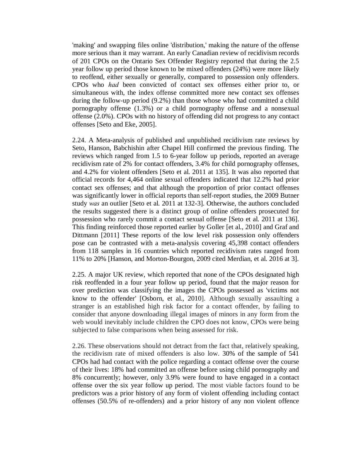'making' and swapping files online 'distribution,' making the nature of the offense more serious than it may warrant. An early Canadian review of recidivism records of 201 CPOs on the Ontario Sex Offender Registry reported that during the 2.5 year follow up period those known to be mixed offenders (24%) were more likely to reoffend, either sexually or generally, compared to possession only offenders. CPOs who *had* been convicted of contact sex offenses either prior to, or simultaneous with, the index offense committed more new contact sex offenses during the follow-up period (9.2%) than those whose who had committed a child pornography offense (1.3%) or a child pornography offense and a nonsexual offense (2.0%). CPOs with no history of offending did not progress to any contact offenses [Seto and Eke, 2005].

2.24. A Meta-analysis of published and unpublished recidivism rate reviews by Seto, Hanson, Babchishin after Chapel Hill confirmed the previous finding. The reviews which ranged from 1.5 to 6-year follow up periods, reported an average recidivism rate of 2% for contact offenders, 3.4% for child pornography offenses, and 4.2% for violent offenders [Seto et al. 2011 at 135]. It was also reported that official records for 4,464 online sexual offenders indicated that 12.2% had prior contact sex offenses; and that although the proportion of prior contact offenses was significantly lower in official reports than self-report studies, the 2009 Butner study *was* an outlier [Seto et al. 2011 at 132-3]. Otherwise, the authors concluded the results suggested there is a distinct group of online offenders prosecuted for possession who rarely commit a contact sexual offense [Seto et al. 2011 at 136]. This finding reinforced those reported earlier by Goller [et al., 2010] and Graf and Dittmann [2011] These reports of the low level risk possession only offenders pose can be contrasted with a meta-analysis covering 45,398 contact offenders from 118 samples in 16 countries which reported recidivism rates ranged from 11% to 20% [Hanson, and Morton-Bourgon, 2009 cited Merdian, et al. 2016 at 3].

2.25. A major UK review, which reported that none of the CPOs designated high risk reoffended in a four year follow up period, found that the major reason for over prediction was classifying the images the CPOs possessed as 'victims not know to the offender' [Osborn, et al., 2010]. Although sexually assaulting a stranger is an established high risk factor for a contact offender, by failing to consider that anyone downloading illegal images of minors in any form from the web would inevitably include children the CPO does not know, CPOs were being subjected to false comparisons when being assessed for risk.

2.26. These observations should not detract from the fact that, relatively speaking, the recidivism rate of mixed offenders is also low. 30% of the sample of 541 CPOs had had contact with the police regarding a contact offense over the course of their lives: 18% had committed an offense before using child pornography and 8% concurrently; however, only 3.9% were found to have engaged in a contact offense over the six year follow up period. The most viable factors found to be predictors was a prior history of any form of violent offending including contact offenses (50.5% of re-offenders) and a prior history of any non violent offence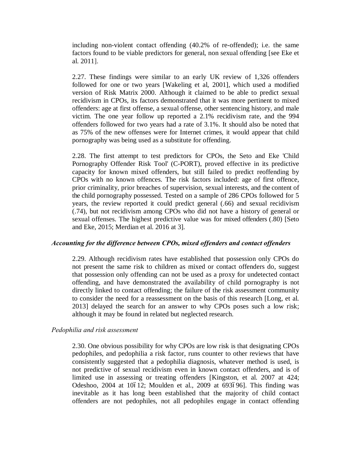including non-violent contact offending (40.2% of re-offended); i.e. the same factors found to be viable predictors for general, non sexual offending [see Eke et al. 2011].

2.27. These findings were similar to an early UK review of 1,326 offenders followed for one or two years [Wakeling et al, 2001], which used a modified version of Risk Matrix 2000. Although it claimed to be able to predict sexual recidivism in CPOs, its factors demonstrated that it was more pertinent to mixed offenders: age at first offense, a sexual offense, other sentencing history, and male victim. The one year follow up reported a 2.1% recidivism rate, and the 994 offenders followed for two years had a rate of 3.1%. It should also be noted that as 75% of the new offenses were for Internet crimes, it would appear that child pornography was being used as a substitute for offending.

2.28. The first attempt to test predictors for CPOs, the Seto and Eke 'Child Pornography Offender Risk Tool' (C-PORT), proved effective in its predictive capacity for known mixed offenders, but still failed to predict reoffending by CPOs with no known offences. The risk factors included: age of first offence, prior criminality, prior breaches of supervision, sexual interests, and the content of the child pornography possessed. Tested on a sample of 286 CPOs followed for 5 years, the review reported it could predict general (.66) and sexual recidivism (.74), but not recidivism among CPOs who did not have a history of general or sexual offenses. The highest predictive value was for mixed offenders (.80) [Seto and Eke, 2015; Merdian et al. 2016 at 3].

## *Accounting for the difference between CPOs, mixed offenders and contact offenders*

2.29. Although recidivism rates have established that possession only CPOs do not present the same risk to children as mixed or contact offenders do, suggest that possession only offending can not be used as a proxy for undetected contact offending, and have demonstrated the availability of child pornography is not directly linked to contact offending; the failure of the risk assessment community to consider the need for a reassessment on the basis of this research [Long, et al. 2013] delayed the search for an answer to why CPOs poses such a low risk; although it may be found in related but neglected research.

# *Pedophilia and risk assessment*

2.30. One obvious possibility for why CPOs are low risk is that designating CPOs pedophiles, and pedophilia a risk factor, runs counter to other reviews that have consistently suggested that a pedophilia diagnosis, whatever method is used, is not predictive of sexual recidivism even in known contact offenders, and is of limited use in assessing or treating offenders [Kingston, et al. 2007 at 424; Odeshoo, 2004 at 10612; Moulden et al., 2009 at 693696]. This finding was inevitable as it has long been established that the majority of child contact offenders are not pedophiles, not all pedophiles engage in contact offending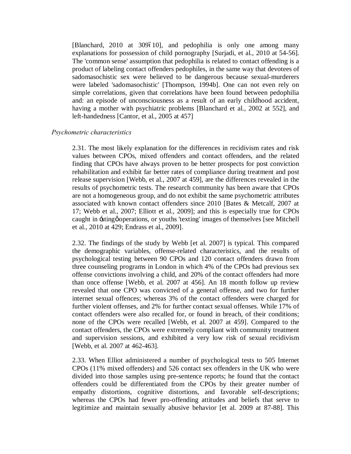[Blanchard, 2010 at 309610], and pedophilia is only one among many explanations for possession of child pornography [Surjadi, et al., 2010 at 54-56]. The 'common sense' assumption that pedophilia is related to contact offending is a product of labeling contact offenders pedophiles, in the same way that devotees of sadomasochistic sex were believed to be dangerous because sexual-murderers were labeled 'sadomasochistic' [Thompson, 1994b]. One can not even rely on simple correlations, given that correlations have been found between pedophilia and: an episode of unconsciousness as a result of an early childhood accident, having a mother with psychiatric problems [Blanchard et al., 2002 at 552], and left-handedness [Cantor, et al., 2005 at 457]

## *Psychometric characteristics*

2.31. The most likely explanation for the differences in recidivism rates and risk values between CPOs, mixed offenders and contact offenders, and the related finding that CPOs have always proven to be better prospects for post conviction rehabilitation and exhibit far better rates of compliance during treatment and post release supervision [Webb, et al., 2007 at 459], are the differences revealed in the results of psychometric tests. The research community has been aware that CPOs are not a homogeneous group, and do not exhibit the same psychometric attributes associated with known contact offenders since 2010 [Bates & Metcalf, 2007 at 17; Webb et al., 2007; Elliott et al., 2009]; and this is especially true for CPOs caught in -sting operations, or youths 'texting' images of themselves [see Mitchell et al., 2010 at 429; Endrass et al., 2009].

2.32. The findings of the study by Webb [et al. 2007] is typical. This compared the demographic variables, offense-related characteristics, and the results of psychological testing between 90 CPOs and 120 contact offenders drawn from three counseling programs in London in which 4% of the CPOs had previous sex offense convictions involving a child, and 20% of the contact offenders had more than once offense [Webb, et al. 2007 at 456]. An 18 month follow up review revealed that one CPO was convicted of a general offense, and two for further internet sexual offences; whereas 3% of the contact offenders were charged for further violent offenses, and 2% for further contact sexual offenses. While 17% of contact offenders were also recalled for, or found in breach, of their conditions; none of the CPOs were recalled [Webb, et al. 2007 at 459]. Compared to the contact offenders, the CPOs were extremely compliant with community treatment and supervision sessions, and exhibited a very low risk of sexual recidivism [Webb, et al. 2007 at 462-463].

2.33. When Elliot administered a number of psychological tests to 505 Internet CPOs (11% mixed offenders) and 526 contact sex offenders in the UK who were divided into those samples using pre-sentence reports; he found that the contact offenders could be differentiated from the CPOs by their greater number of empathy distortions, cognitive distortions, and favorable self-descriptions; whereas the CPOs had fewer pro-offending attitudes and beliefs that serve to legitimize and maintain sexually abusive behavior [et al. 2009 at 87-88]. This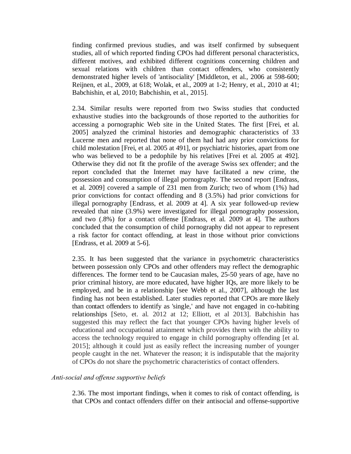finding confirmed previous studies, and was itself confirmed by subsequent studies, all of which reported finding CPOs had different personal characteristics, different motives, and exhibited different cognitions concerning children and sexual relations with children than contact offenders, who consistently demonstrated higher levels of 'antisociality' [Middleton, et al., 2006 at 598-600; Reijnen, et al., 2009, at 618; Wolak, et al., 2009 at 1-2; Henry, et al., 2010 at 41; Babchishin, et al, 2010; Babchishin, et al., 2015].

2.34. Similar results were reported from two Swiss studies that conducted exhaustive studies into the backgrounds of those reported to the authorities for accessing a pornographic Web site in the United States. The first [Frei, et al. 2005] analyzed the criminal histories and demographic characteristics of 33 Lucerne men and reported that none of them had had any prior convictions for child molestation [Frei, et al. 2005 at 491], or psychiatric histories, apart from one who was believed to be a pedophile by his relatives [Frei et al. 2005 at 492]. Otherwise they did not fit the profile of the average Swiss sex offender; and the report concluded that the Internet may have facilitated a new crime, the possession and consumption of illegal pornography. The second report [Endrass, et al. 2009] covered a sample of 231 men from Zurich; two of whom (1%) had prior convictions for contact offending and 8 (3.5%) had prior convictions for illegal pornography [Endrass, et al. 2009 at 4]. A six year followed-up review revealed that nine (3.9%) were investigated for illegal pornography possession, and two (.8%) for a contact offense [Endrass, et al. 2009 at 4]. The authors concluded that the consumption of child pornography did not appear to represent a risk factor for contact offending, at least in those without prior convictions [Endrass, et al. 2009 at 5-6].

2.35. It has been suggested that the variance in psychometric characteristics between possession only CPOs and other offenders may reflect the demographic differences. The former tend to be Caucasian males, 25-50 years of age, have no prior criminal history, are more educated, have higher IQs, are more likely to be employed, and be in a relationship [see Webb et al., 2007], although the last finding has not been established. Later studies reported that CPOs are more likely than contact offenders to identify as 'single,' and have not engaged in co-habiting relationships [Seto, et. al. 2012 at 12; Elliott, et al 2013]. Babchishin has suggested this may reflect the fact that younger CPOs having higher levels of educational and occupational attainment which provides them with the ability to access the technology required to engage in child pornography offending [et al. 2015]; although it could just as easily reflect the increasing number of younger people caught in the net. Whatever the reason; it is indisputable that the majority of CPOs do not share the psychometric characteristics of contact offenders.

## *Anti-social and offense supportive beliefs*

2.36. The most important findings, when it comes to risk of contact offending, is that CPOs and contact offenders differ on their antisocial and offense-supportive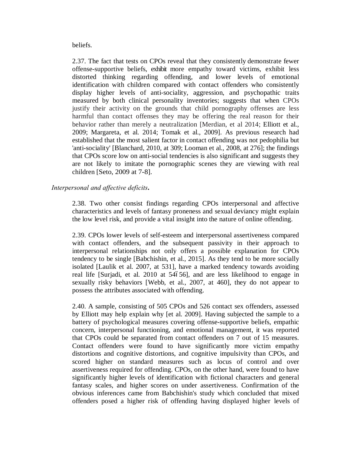beliefs.

2.37. The fact that tests on CPOs reveal that they consistently demonstrate fewer offense-supportive beliefs, exhibit more empathy toward victims, exhibit less distorted thinking regarding offending, and lower levels of emotional identification with children compared with contact offenders who consistently display higher levels of anti-sociality, aggression, and psychopathic traits measured by both clinical personality inventories; suggests that when CPOs justify their activity on the grounds that child pornography offenses are less harmful than contact offenses they may be offering the real reason for their behavior rather than merely a neutralization [Merdian, et al 2014; Elliott et al., 2009; Margareta, et al. 2014; Tomak et al., 2009]. As previous research had established that the most salient factor in contact offending was not pedophilia but 'anti-sociality' [Blanchard, 2010, at 309; Looman et al., 2008, at 276]; the findings that CPOs score low on anti-social tendencies is also significant and suggests they are not likely to imitate the pornographic scenes they are viewing with real children [Seto, 2009 at 7-8].

# *Interpersonal and affective deficits***.**

2.38. Two other consist findings regarding CPOs interpersonal and affective characteristics and levels of fantasy proneness and sexual deviancy might explain the low level risk, and provide a vital insight into the nature of online offending.

2.39. CPOs lower levels of self-esteem and interpersonal assertiveness compared with contact offenders, and the subsequent passivity in their approach to interpersonal relationships not only offers a possible explanation for CPOs tendency to be single [Babchishin, et al., 2015]. As they tend to be more socially isolated [Laulik et al. 2007, at 531], have a marked tendency towards avoiding real life [Surjadi, et al. 2010 at 54656], and are less likelihood to engage in sexually risky behaviors [Webb, et al., 2007, at 460], they do not appear to possess the attributes associated with offending.

2.40. A sample, consisting of 505 CPOs and 526 contact sex offenders, assessed by Elliott may help explain why [et al. 2009]. Having subjected the sample to a battery of psychological measures covering offense-supportive beliefs, empathic concern, interpersonal functioning, and emotional management, it was reported that CPOs could be separated from contact offenders on 7 out of 15 measures. Contact offenders were found to have significantly more victim empathy distortions and cognitive distortions, and cognitive impulsivity than CPOs, and scored higher on standard measures such as locus of control and over assertiveness required for offending. CPOs, on the other hand, were found to have significantly higher levels of identification with fictional characters and general fantasy scales, and higher scores on under assertiveness. Confirmation of the obvious inferences came from Babchishin's study which concluded that mixed offenders posed a higher risk of offending having displayed higher levels of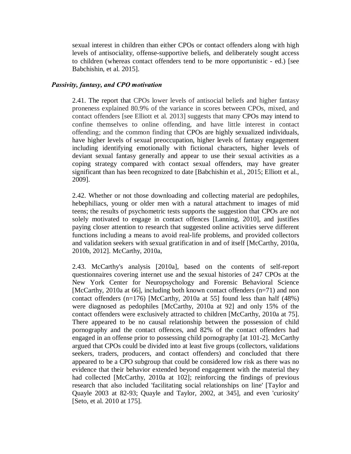sexual interest in children than either CPOs or contact offenders along with high levels of antisociality, offense-supportive beliefs, and deliberately sought access to children (whereas contact offenders tend to be more opportunistic - ed.) [see Babchishin, et al. 2015].

## *Passivity, fantasy, and CPO motivation*

2.41. The report that CPOs lower levels of antisocial beliefs and higher fantasy proneness explained 80.9% of the variance in scores between CPOs, mixed, and contact offenders [see Elliott et al. 2013] suggests that many CPOs may intend to confine themselves to online offending, and have little interest in contact offending; and the common finding that CPOs are highly sexualized individuals, have higher levels of sexual preoccupation, higher levels of fantasy engagement including identifying emotionally with fictional characters, higher levels of deviant sexual fantasy generally and appear to use their sexual activities as a coping strategy compared with contact sexual offenders, may have greater significant than has been recognized to date [Babchishin et al., 2015; Elliott et al., 2009].

2.42. Whether or not those downloading and collecting material are pedophiles, hebephiliacs, young or older men with a natural attachment to images of mid teens; the results of psychometric tests supports the suggestion that CPOs are not solely motivated to engage in contact offences [Lanning, 2010], and justifies paying closer attention to research that suggested online activities serve different functions including a means to avoid real-life problems, and provided collectors and validation seekers with sexual gratification in and of itself [McCarthy, 2010a, 2010b, 2012]. McCarthy, 2010a,

2.43. McCarthy's analysis [2010a], based on the contents of self-report questionnaires covering internet use and the sexual histories of 247 CPOs at the New York Center for Neuropsychology and Forensic Behavioral Science [McCarthy, 2010a at 66], including both known contact offenders (n=71) and non contact offenders  $(n=176)$  [McCarthy, 2010a at 55] found less than half  $(48%)$ were diagnosed as pedophiles [McCarthy, 2010a at 92] and only 15% of the contact offenders were exclusively attracted to children [McCarthy, 2010a at 75]. There appeared to be no causal relationship between the possession of child pornography and the contact offences, and 82% of the contact offenders had engaged in an offense prior to possessing child pornography [at 101-2]. McCarthy argued that CPOs could be divided into at least five groups (collectors, validations seekers, traders, producers, and contact offenders) and concluded that there appeared to be a CPO subgroup that could be considered low risk as there was no evidence that their behavior extended beyond engagement with the material they had collected [McCarthy, 2010a at 102]; reinforcing the findings of previous research that also included 'facilitating social relationships on line' [Taylor and Quayle 2003 at 82-93; Quayle and Taylor, 2002, at 345], and even 'curiosity' [Seto, et al. 2010 at 175].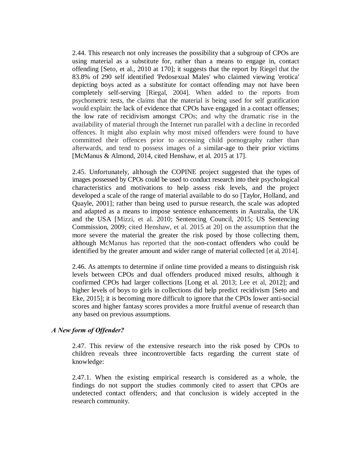2.44. This research not only increases the possibility that a subgroup of CPOs are using material as a substitute for, rather than a means to engage in, contact offending [Seto, et al., 2010 at 170]; it suggests that the report by Riegel that the 83.8% of 290 self identified 'Pedosexual Males' who claimed viewing 'erotica' depicting boys acted as a substitute for contact offending may not have been completely self-serving [Riegal, 2004]. When added to the reports from psychometric tests, the claims that the material is being used for self gratification would explain: the lack of evidence that CPOs have engaged in a contact offenses; the low rate of recidivism amongst CPOs; and why the dramatic rise in the availability of material through the Internet run parallel with a decline in recorded offences. It might also explain why most mixed offenders were found to have committed their offences prior to accessing child pornography rather than afterwards, and tend to possess images of a similar-age to their prior victims [McManus & Almond, 2014, cited Henshaw, et al. 2015 at 17].

2.45. Unfortunately, although the COPINE project suggested that the types of images possessed by CPOs could be used to conduct research into their psychological characteristics and motivations to help assess risk levels, and the project developed a scale of the range of material available to do so [Taylor, Holland, and Quayle, 2001]; rather than being used to pursue research, the scale was adopted and adapted as a means to impose sentence enhancements in Australia, the UK and the USA [Mizzi, et al. 2010; Sentencing Council, 2015; US Sentencing Commission, 2009; cited Henshaw, et al. 2015 at 20] on the assumption that the more severe the material the greater the risk posed by those collecting them, although McManus has reported that the non-contact offenders who could be identified by the greater amount and wider range of material collected [et al, 2014].

2.46. As attempts to determine if online time provided a means to distinguish risk levels between CPOs and dual offenders produced mixed results, although it confirmed CPOs had larger collections [Long et al. 2013; Lee et al, 2012]; and higher levels of boys to girls in collections did help predict recidivism [Seto and Eke, 2015]; it is becoming more difficult to ignore that the CPOs lower anti-social scores and higher fantasy scores provides a more fruitful avenue of research than any based on previous assumptions.

# *A New form of Offender?*

2.47. This review of the extensive research into the risk posed by CPOs to children reveals three incontrovertible facts regarding the current state of knowledge:

2.47.1. When the existing empirical research is considered as a whole, the findings do not support the studies commonly cited to assert that CPOs are undetected contact offenders; and that conclusion is widely accepted in the research community.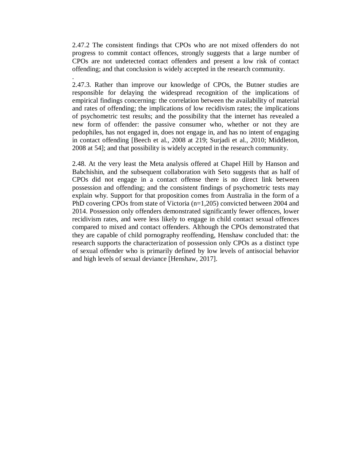2.47.2 The consistent findings that CPOs who are not mixed offenders do not progress to commit contact offences, strongly suggests that a large number of CPOs are not undetected contact offenders and present a low risk of contact offending; and that conclusion is widely accepted in the research community.

.

2.47.3. Rather than improve our knowledge of CPOs, the Butner studies are responsible for delaying the widespread recognition of the implications of empirical findings concerning: the correlation between the availability of material and rates of offending; the implications of low recidivism rates; the implications of psychometric test results; and the possibility that the internet has revealed a new form of offender: the passive consumer who, whether or not they are pedophiles, has not engaged in, does not engage in, and has no intent of engaging in contact offending [Beech et al., 2008 at 219; Surjadi et al., 2010; Middleton, 2008 at 54]; and that possibility is widely accepted in the research community.

2.48. At the very least the Meta analysis offered at Chapel Hill by Hanson and Babchishin, and the subsequent collaboration with Seto suggests that as half of CPOs did not engage in a contact offense there is no direct link between possession and offending; and the consistent findings of psychometric tests may explain why. Support for that proposition comes from Australia in the form of a PhD covering CPOs from state of Victoria (n=1,205) convicted between 2004 and 2014. Possession only offenders demonstrated significantly fewer offences, lower recidivism rates, and were less likely to engage in child contact sexual offences compared to mixed and contact offenders. Although the CPOs demonstrated that they are capable of child pornography reoffending, Henshaw concluded that: the research supports the characterization of possession only CPOs as a distinct type of sexual offender who is primarily defined by low levels of antisocial behavior and high levels of sexual deviance [Henshaw, 2017].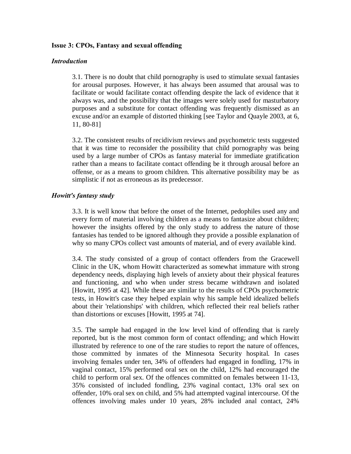## **Issue 3: CPOs, Fantasy and sexual offending**

## *Introduction*

3.1. There is no doubt that child pornography is used to stimulate sexual fantasies for arousal purposes. However, it has always been assumed that arousal was to facilitate or would facilitate contact offending despite the lack of evidence that it always was, and the possibility that the images were solely used for masturbatory purposes and a substitute for contact offending was frequently dismissed as an excuse and/or an example of distorted thinking [see Taylor and Quayle 2003, at 6, 11, 80-81]

3.2. The consistent results of recidivism reviews and psychometric tests suggested that it was time to reconsider the possibility that child pornography was being used by a large number of CPOs as fantasy material for immediate gratification rather than a means to facilitate contact offending be it through arousal before an offense, or as a means to groom children. This alternative possibility may be as simplistic if not as erroneous as its predecessor.

## *Howitt's fantasy study*

3.3. It is well know that before the onset of the Internet, pedophiles used any and every form of material involving children as a means to fantasize about children; however the insights offered by the only study to address the nature of those fantasies has tended to be ignored although they provide a possible explanation of why so many CPOs collect vast amounts of material, and of every available kind.

3.4. The study consisted of a group of contact offenders from the Gracewell Clinic in the UK, whom Howitt characterized as somewhat immature with strong dependency needs, displaying high levels of anxiety about their physical features and functioning, and who when under stress became withdrawn and isolated [Howitt, 1995 at 42]. While these are similar to the results of CPOs psychometric tests, in Howitt's case they helped explain why his sample held idealized beliefs about their 'relationships' with children, which reflected their real beliefs rather than distortions or excuses [Howitt, 1995 at 74].

3.5. The sample had engaged in the low level kind of offending that is rarely reported, but is the most common form of contact offending; and which Howitt illustrated by reference to one of the rare studies to report the nature of offences, those committed by inmates of the Minnesota Security hospital. In cases involving females under ten, 34% of offenders had engaged in fondling, 17% in vaginal contact, 15% performed oral sex on the child, 12% had encouraged the child to perform oral sex. Of the offences committed on females between 11-13, 35% consisted of included fondling, 23% vaginal contact, 13% oral sex on offender, 10% oral sex on child, and 5% had attempted vaginal intercourse. Of the offences involving males under 10 years, 28% included anal contact, 24%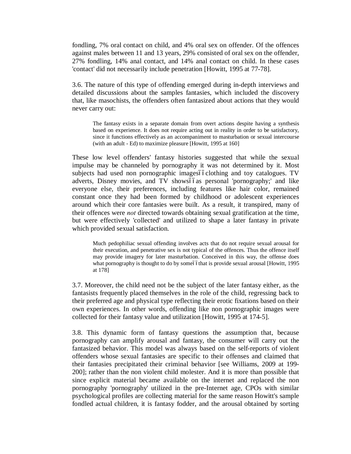fondling, 7% oral contact on child, and 4% oral sex on offender. Of the offences against males between 11 and 13 years, 29% consisted of oral sex on the offender, 27% fondling, 14% anal contact, and 14% anal contact on child. In these cases 'contact' did not necessarily include penetration [Howitt, 1995 at 77-78].

3.6. The nature of this type of offending emerged during in-depth interviews and detailed discussions about the samples fantasies, which included the discovery that, like masochists, the offenders often fantasized about actions that they would never carry out:

The fantasy exists in a separate domain from overt actions despite having a synthesis based on experience. It does not require acting out in reality in order to be satisfactory, since it functions effectively as an accompaniment to masturbation or sexual intercourse (with an adult - Ed) to maximize pleasure [Howitt, 1995 at 160]

These low level offenders' fantasy histories suggested that while the sexual impulse may be channeled by pornography it was not determined by it. Most subjects had used non pornographic imagesóóclothing and toy catalogues. TV adverts, Disney movies, and TV showsóóas personal 'pornography;' and like everyone else, their preferences, including features like hair color, remained constant once they had been formed by childhood or adolescent experiences around which their core fantasies were built. As a result, it transpired, many of their offences were *not* directed towards obtaining sexual gratification at the time, but were effectively 'collected' and utilized to shape a later fantasy in private which provided sexual satisfaction.

Much pedophiliac sexual offending involves acts that do not require sexual arousal for their execution, and penetrative sex is not typical of the offences. Thus the offence itself may provide imagery for later masturbation. Conceived in this way, the offense does what pornography is thought to do by some of that is provide sexual arousal [Howitt, 1995] at 178]

3.7. Moreover, the child need not be the subject of the later fantasy either, as the fantasists frequently placed themselves in the role of the child, regressing back to their preferred age and physical type reflecting their erotic fixations based on their own experiences. In other words, offending like non pornographic images were collected for their fantasy value and utilization [Howitt, 1995 at 174-5].

3.8. This dynamic form of fantasy questions the assumption that, because pornography can amplify arousal and fantasy, the consumer will carry out the fantasized behavior. This model was always based on the self-reports of violent offenders whose sexual fantasies are specific to their offenses and claimed that their fantasies precipitated their criminal behavior [see Williams, 2009 at 199- 200]; rather than the non violent child molester. And it is more than possible that since explicit material became available on the internet and replaced the non pornography 'pornography' utilized in the pre-Internet age, CPOs with similar psychological profiles are collecting material for the same reason Howitt's sample fondled actual children, it is fantasy fodder, and the arousal obtained by sorting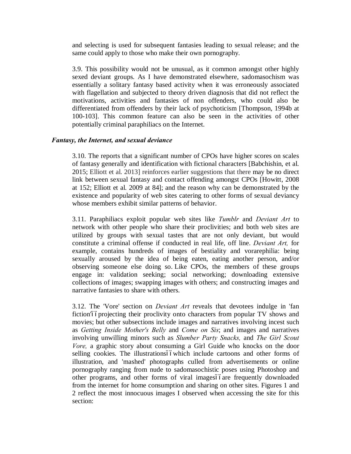and selecting is used for subsequent fantasies leading to sexual release; and the same could apply to those who make their own pornography.

3.9. This possibility would not be unusual, as it common amongst other highly sexed deviant groups. As I have demonstrated elsewhere, sadomasochism was essentially a solitary fantasy based activity when it was erroneously associated with flagellation and subjected to theory driven diagnosis that did not reflect the motivations, activities and fantasies of non offenders, who could also be differentiated from offenders by their lack of psychoticism [Thompson, 1994b at 100-103]. This common feature can also be seen in the activities of other potentially criminal paraphiliacs on the Internet.

# *Fantasy, the Internet, and sexual deviance*

3.10. The reports that a significant number of CPOs have higher scores on scales of fantasy generally and identification with fictional characters [Babchishin, et al. 2015; Elliott et al. 2013] reinforces earlier suggestions that there may be no direct link between sexual fantasy and contact offending amongst CPOs [Howitt, 2008 at 152; Elliott et al. 2009 at 84]; and the reason why can be demonstrated by the existence and popularity of web sites catering to other forms of sexual deviancy whose members exhibit similar patterns of behavior.

3.11. Paraphiliacs exploit popular web sites like *Tumblr* and *Deviant Art* to network with other people who share their proclivities; and both web sites are utilized by groups with sexual tastes that are not only deviant, but would constitute a criminal offense if conducted in real life, off line. *Deviant Art,* for example, contains hundreds of images of bestiality and vorarephilia: being sexually aroused by the idea of being eaten, eating another person, and/or observing someone else doing so. Like CPOs, the members of these groups engage in: validation seeking; social networking; downloading extensive collections of images; swapping images with others; and constructing images and narrative fantasies to share with others.

3.12. The 'Vore' section on *Deviant Art* reveals that devotees indulge in 'fan fiction'<sub>o</sub>projecting their proclivity onto characters from popular TV shows and movies; but other subsections include images and narratives involving incest such as *Getting Inside Mother's Belly* and *Come on Sis*; and images and narratives involving unwilling minors such as *Slumber Party Snacks,* and *The Girl Scout Vore,* a graphic story about consuming a Girl Guide who knocks on the door selling cookies. The illustrationsóówhich include cartoons and other forms of illustration, and 'mashed' photographs culled from advertisements or online pornography ranging from nude to sadomasochistic poses using Photoshop and other programs, and other forms of viral imagesóóare frequently downloaded from the internet for home consumption and sharing on other sites. Figures 1 and 2 reflect the most innocuous images I observed when accessing the site for this section: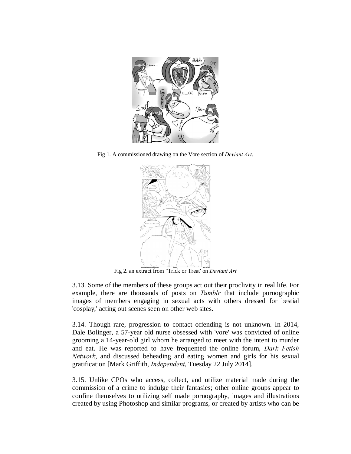

Fig 1. A commissioned drawing on the Vore section of *Deviant Art*.



Fig 2. an extract from "Trick or Treat' on *Deviant Art*

3.13. Some of the members of these groups act out their proclivity in real life. For example, there are thousands of posts on *Tumblr* that include pornographic images of members engaging in sexual acts with others dressed for bestial 'cosplay,' acting out scenes seen on other web sites.

3.14. Though rare, progression to contact offending is not unknown. In 2014, Dale Bolinger, a 57-year old nurse obsessed with 'vore' was convicted of online grooming a 14-year-old girl whom he arranged to meet with the intent to murder and eat. He was reported to have frequented the online forum, *Dark Fetish Network*, and discussed beheading and eating women and girls for his sexual gratification [Mark Griffith, *Independent*, Tuesday 22 July 2014].

3.15. Unlike CPOs who access, collect, and utilize material made during the commission of a crime to indulge their fantasies; other online groups appear to confine themselves to utilizing self made pornography, images and illustrations created by using Photoshop and similar programs, or created by artists who can be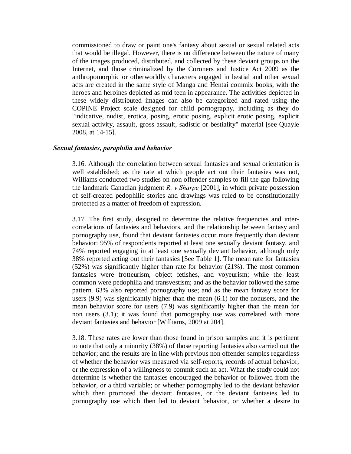commissioned to draw or paint one's fantasy about sexual or sexual related acts that would be illegal. However, there is no difference between the nature of many of the images produced, distributed, and collected by these deviant groups on the Internet, and those criminalized by the Coroners and Justice Act 2009 as the anthropomorphic or otherworldly characters engaged in bestial and other sexual acts are created in the same style of Manga and Hentai commix books, with the heroes and heroines depicted as mid teen in appearance. The activities depicted in these widely distributed images can also be categorized and rated using the COPINE Project scale designed for child pornography, including as they do "indicative, nudist, erotica, posing, erotic posing, explicit erotic posing, explicit sexual activity, assault, gross assault, sadistic or bestiality" material [see Quayle 2008, at 14-15].

## *Sexual fantasies, paraphilia and behavior*

3.16. Although the correlation between sexual fantasies and sexual orientation is well established; as the rate at which people act out their fantasies was not, Williams conducted two studies on non offender samples to fill the gap following the landmark Canadian judgment *R. v Sharpe* [2001], in which private possession of self-created pedophilic stories and drawings was ruled to be constitutionally protected as a matter of freedom of expression.

3.17. The first study, designed to determine the relative frequencies and intercorrelations of fantasies and behaviors, and the relationship between fantasy and pornography use, found that deviant fantasies occur more frequently than deviant behavior: 95% of respondents reported at least one sexually deviant fantasy, and 74% reported engaging in at least one sexually deviant behavior, although only 38% reported acting out their fantasies [See Table 1]. The mean rate for fantasies (52%) was significantly higher than rate for behavior (21%). The most common fantasies were frotteurism, object fetishes, and voyeurism; while the least common were pedophilia and transvestism; and as the behavior followed the same pattern. 63% also reported pornography use; and as the mean fantasy score for users (9.9) was significantly higher than the mean (6.1) for the nonusers, and the mean behavior score for users (7.9) was significantly higher than the mean for non users (3.1); it was found that pornography use was correlated with more deviant fantasies and behavior [Williams, 2009 at 204].

3.18. These rates are lower than those found in prison samples and it is pertinent to note that only a minority (38%) of those reporting fantasies also carried out the behavior; and the results are in line with previous non offender samples regardless of whether the behavior was measured via self-reports, records of actual behavior, or the expression of a willingness to commit such an act. What the study could not determine is whether the fantasies encouraged the behavior or followed from the behavior, or a third variable; or whether pornography led to the deviant behavior which then promoted the deviant fantasies, or the deviant fantasies led to pornography use which then led to deviant behavior, or whether a desire to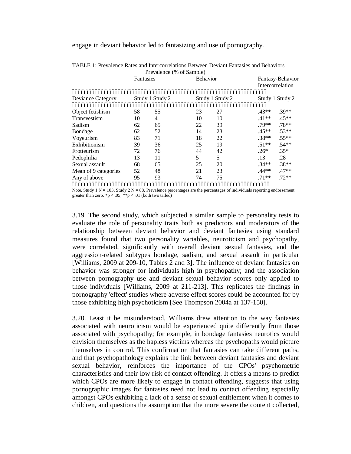engage in deviant behavior led to fantasizing and use of pornography.

|                      |           | Prevalence (% of Sample) |    |                 |         |                                      |  |
|----------------------|-----------|--------------------------|----|-----------------|---------|--------------------------------------|--|
|                      | Fantasies |                          |    | <b>Behavior</b> |         | Fantasy-Behavior<br>Intercorrelation |  |
|                      |           |                          |    |                 |         |                                      |  |
|                      |           |                          |    |                 |         |                                      |  |
| Deviance Category    |           | Study 1 Study 2          |    | Study 1 Study 2 |         | Study 1 Study 2                      |  |
|                      |           |                          |    |                 |         |                                      |  |
| Object fetishism     | 58        | 55                       | 23 | 27              | $.43**$ | $.39**$                              |  |
| Transvestism         | 10        | 4                        | 10 | 10              | .41**   | $.45**$                              |  |
| Sadism               | 62        | 65                       | 22 | 39              | $.79**$ | $.78**$                              |  |
| Bondage              | 62        | 52                       | 14 | 23              | $.45**$ | $.53**$                              |  |
| Voyeurism            | 83        | 71                       | 18 | 22              | $.38**$ | $.55**$                              |  |
| Exhibitionism        | 39        | 36                       | 25 | 19              | $.51**$ | $.54**$                              |  |
| Frotteurism          | 72        | 76                       | 44 | 42              | $.26*$  | $.35*$                               |  |
| Pedophilia           | 13        | 11                       | 5  | 5               | .13     | .28                                  |  |
| Sexual assault       | 68        | 65                       | 25 | 20              | $.34**$ | $.38**$                              |  |
| Mean of 9 categories | 52        | 48                       | 21 | 23              | .44**   | $.47**$                              |  |
| Any of above         | 95        | 93                       | 74 | 75              | $.71**$ | $.72**$                              |  |
|                      |           |                          |    |                 |         |                                      |  |

TABLE 1: Prevalence Rates and Intercorrelations Between Deviant Fantasies and Behaviors Prevalence (% of Sample)

Note. Study 1 N = 103, Study 2 N = 88. Prevalence percentages are the percentages of individuals reporting endorsement greater than zero. \*p < .05; \*\*p < .01 (both two tailed)

3.19. The second study, which subjected a similar sample to personality tests to evaluate the role of personality traits both as predictors and moderators of the relationship between deviant behavior and deviant fantasies using standard measures found that two personality variables, neuroticism and psychopathy, were correlated, significantly with overall deviant sexual fantasies, and the aggression-related subtypes bondage, sadism, and sexual assault in particular [Williams, 2009 at 209-10, Tables 2 and 3]. The influence of deviant fantasies on behavior was stronger for individuals high in psychopathy; and the association between pornography use and deviant sexual behavior scores only applied to those individuals [Williams, 2009 at 211-213]. This replicates the findings in pornography 'effect' studies where adverse effect scores could be accounted for by those exhibiting high psychoticism [See Thompson 2004a at 137-150].

3.20. Least it be misunderstood, Williams drew attention to the way fantasies associated with neuroticism would be experienced quite differently from those associated with psychopathy; for example, in bondage fantasies neurotics would envision themselves as the hapless victims whereas the psychopaths would picture themselves in control. This confirmation that fantasies can take different paths, and that psychopathology explains the link between deviant fantasies and deviant sexual behavior, reinforces the importance of the CPOs' psychometric characteristics and their low risk of contact offending. It offers a means to predict which CPOs are more likely to engage in contact offending, suggests that using pornographic images for fantasies need not lead to contact offending especially amongst CPOs exhibiting a lack of a sense of sexual entitlement when it comes to children, and questions the assumption that the more severe the content collected,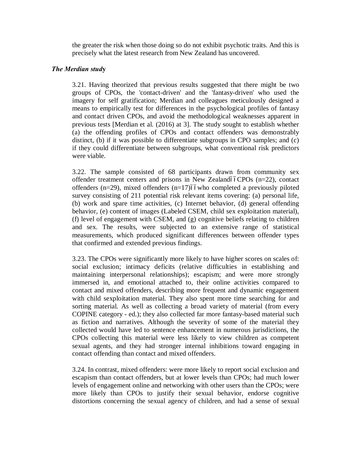the greater the risk when those doing so do not exhibit psychotic traits. And this is precisely what the latest research from New Zealand has uncovered.

# *The Merdian stud***y**

3.21. Having theorized that previous results suggested that there might be two groups of CPOs, the 'contact-driven' and the 'fantasy-driven' who used the imagery for self gratification; Merdian and colleagues meticulously designed a means to empirically test for differences in the psychological profiles of fantasy and contact driven CPOs, and avoid the methodological weaknesses apparent in previous tests [Merdian et al. (2016) at 3]. The study sought to establish whether (a) the offending profiles of CPOs and contact offenders was demonstrably distinct, (b) if it was possible to differentiate subgroups in CPO samples; and (c) if they could differentiate between subgroups, what conventional risk predictors were viable.

3.22. The sample consisted of 68 participants drawn from community sex offender treatment centers and prisons in New Zealandóó $CPOs$  (n=22), contact offenders (n=29), mixed offenders (n=17) $\delta$ ówho completed a previously piloted survey consisting of 211 potential risk relevant items covering: (a) personal life, (b) work and spare time activities, (c) Internet behavior, (d) general offending behavior, (e) content of images (Labeled CSEM, child sex exploitation material), (f) level of engagement with CSEM, and (g) cognitive beliefs relating to children and sex. The results, were subjected to an extensive range of statistical measurements, which produced significant differences between offender types that confirmed and extended previous findings.

3.23. The CPOs were significantly more likely to have higher scores on scales of: social exclusion; intimacy deficits (relative difficulties in establishing and maintaining interpersonal relationships); escapism; and were more strongly immersed in, and emotional attached to, their online activities compared to contact and mixed offenders, describing more frequent and dynamic engagement with child sexploitation material. They also spent more time searching for and sorting material. As well as collecting a broad variety of material (from every COPINE category - ed.); they also collected far more fantasy-based material such as fiction and narratives. Although the severity of some of the material they collected would have led to sentence enhancement in numerous jurisdictions, the CPOs collecting this material were less likely to view children as competent sexual agents, and they had stronger internal inhibitions toward engaging in contact offending than contact and mixed offenders.

3.24. In contrast, mixed offenders: were more likely to report social exclusion and escapism than contact offenders, but at lower levels than CPOs; had much lower levels of engagement online and networking with other users than the CPOs; were more likely than CPOs to justify their sexual behavior, endorse cognitive distortions concerning the sexual agency of children, and had a sense of sexual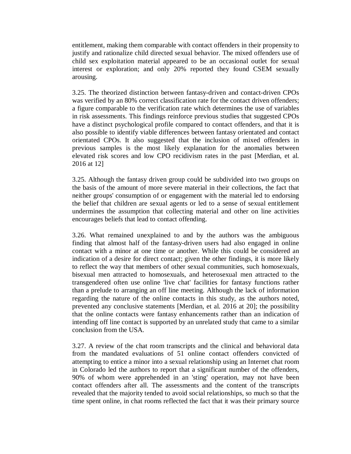entitlement, making them comparable with contact offenders in their propensity to justify and rationalize child directed sexual behavior. The mixed offenders use of child sex exploitation material appeared to be an occasional outlet for sexual interest or exploration; and only 20% reported they found CSEM sexually arousing.

3.25. The theorized distinction between fantasy-driven and contact-driven CPOs was verified by an 80% correct classification rate for the contact driven offenders; a figure comparable to the verification rate which determines the use of variables in risk assessments. This findings reinforce previous studies that suggested CPOs have a distinct psychological profile compared to contact offenders, and that it is also possible to identify viable differences between fantasy orientated and contact orientated CPOs. It also suggested that the inclusion of mixed offenders in previous samples is the most likely explanation for the anomalies between elevated risk scores and low CPO recidivism rates in the past [Merdian, et al. 2016 at 12]

3.25. Although the fantasy driven group could be subdivided into two groups on the basis of the amount of more severe material in their collections, the fact that neither groups' consumption of or engagement with the material led to endorsing the belief that children are sexual agents or led to a sense of sexual entitlement undermines the assumption that collecting material and other on line activities encourages beliefs that lead to contact offending.

3.26. What remained unexplained to and by the authors was the ambiguous finding that almost half of the fantasy-driven users had also engaged in online contact with a minor at one time or another. While this could be considered an indication of a desire for direct contact; given the other findings, it is more likely to reflect the way that members of other sexual communities, such homosexuals, bisexual men attracted to homosexuals, and heterosexual men attracted to the transgendered often use online 'live chat' facilities for fantasy functions rather than a prelude to arranging an off line meeting. Although the lack of information regarding the nature of the online contacts in this study, as the authors noted, prevented any conclusive statements [Merdian, et al. 2016 at 20]; the possibility that the online contacts were fantasy enhancements rather than an indication of intending off line contact is supported by an unrelated study that came to a similar conclusion from the USA.

3.27. A review of the chat room transcripts and the clinical and behavioral data from the mandated evaluations of 51 online contact offenders convicted of attempting to entice a minor into a sexual relationship using an Internet chat room in Colorado led the authors to report that a significant number of the offenders, 90% of whom were apprehended in an 'sting' operation, may not have been contact offenders after all. The assessments and the content of the transcripts revealed that the majority tended to avoid social relationships, so much so that the time spent online, in chat rooms reflected the fact that it was their primary source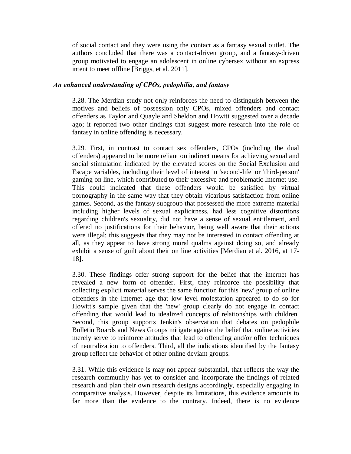of social contact and they were using the contact as a fantasy sexual outlet. The authors concluded that there was a contact-driven group, and a fantasy-driven group motivated to engage an adolescent in online cybersex without an express intent to meet offline [Briggs, et al. 2011].

# *An enhanced understanding of CPOs, pedophilia, and fantasy*

3.28. The Merdian study not only reinforces the need to distinguish between the motives and beliefs of possession only CPOs, mixed offenders and contact offenders as Taylor and Quayle and Sheldon and Howitt suggested over a decade ago; it reported two other findings that suggest more research into the role of fantasy in online offending is necessary.

3.29. First, in contrast to contact sex offenders, CPOs (including the dual offenders) appeared to be more reliant on indirect means for achieving sexual and social stimulation indicated by the elevated scores on the Social Exclusion and Escape variables, including their level of interest in 'second-life' or 'third-person' gaming on line, which contributed to their excessive and problematic Internet use. This could indicated that these offenders would be satisfied by virtual pornography in the same way that they obtain vicarious satisfaction from online games. Second, as the fantasy subgroup that possessed the more extreme material including higher levels of sexual explicitness, had less cognitive distortions regarding children's sexuality, did not have a sense of sexual entitlement, and offered no justifications for their behavior, being well aware that their actions were illegal; this suggests that they may not be interested in contact offending at all, as they appear to have strong moral qualms against doing so, and already exhibit a sense of guilt about their on line activities [Merdian et al. 2016, at 17- 18].

3.30. These findings offer strong support for the belief that the internet has revealed a new form of offender. First, they reinforce the possibility that collecting explicit material serves the same function for this 'new' group of online offenders in the Internet age that low level molestation appeared to do so for Howitt's sample given that the 'new' group clearly do not engage in contact offending that would lead to idealized concepts of relationships with children. Second, this group supports Jenkin's observation that debates on pedophile Bulletin Boards and News Groups mitigate against the belief that online activities merely serve to reinforce attitudes that lead to offending and/or offer techniques of neutralization to offenders. Third, all the indications identified by the fantasy group reflect the behavior of other online deviant groups.

3.31. While this evidence is may not appear substantial, that reflects the way the research community has yet to consider and incorporate the findings of related research and plan their own research designs accordingly, especially engaging in comparative analysis. However, despite its limitations, this evidence amounts to far more than the evidence to the contrary. Indeed, there is no evidence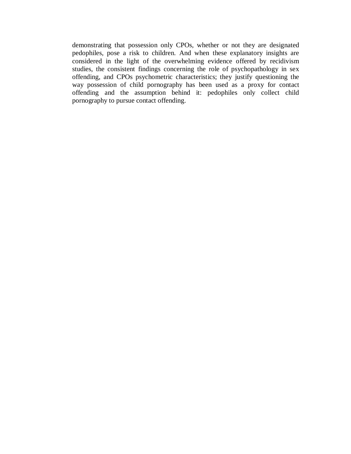demonstrating that possession only CPOs, whether or not they are designated pedophiles, pose a risk to children. And when these explanatory insights are considered in the light of the overwhelming evidence offered by recidivism studies, the consistent findings concerning the role of psychopathology in sex offending, and CPOs psychometric characteristics; they justify questioning the way possession of child pornography has been used as a proxy for contact offending and the assumption behind it: pedophiles only collect child pornography to pursue contact offending.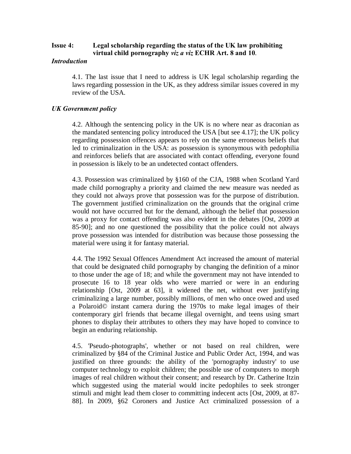# **Issue 4: Legal scholarship regarding the status of the UK law prohibiting virtual child pornography** *viz a viz* **ECHR Art. 8 and 10**.

## *Introduction*

4.1. The last issue that I need to address is UK legal scholarship regarding the laws regarding possession in the UK, as they address similar issues covered in my review of the USA.

# *UK Government policy*

4.2. Although the sentencing policy in the UK is no where near as draconian as the mandated sentencing policy introduced the USA [but see 4.17]; the UK policy regarding possession offences appears to rely on the same erroneous beliefs that led to criminalization in the USA: as possession is synonymous with pedophilia and reinforces beliefs that are associated with contact offending, everyone found in possession is likely to be an undetected contact offenders.

4.3. Possession was criminalized by §160 of the CJA, 1988 when Scotland Yard made child pornography a priority and claimed the new measure was needed as they could not always prove that possession was for the purpose of distribution. The government justified criminalization on the grounds that the original crime would not have occurred but for the demand, although the belief that possession was a proxy for contact offending was also evident in the debates [Ost, 2009 at 85-90]; and no one questioned the possibility that the police could not always prove possession was intended for distribution was because those possessing the material were using it for fantasy material.

4.4. The 1992 Sexual Offences Amendment Act increased the amount of material that could be designated child pornography by changing the definition of a minor to those under the age of 18; and while the government may not have intended to prosecute 16 to 18 year olds who were married or were in an enduring relationship [Ost, 2009 at 63], it widened the net, without ever justifying criminalizing a large number, possibly millions, of men who once owed and used a Polaroid© instant camera during the 1970s to make legal images of their contemporary girl friends that became illegal overnight, and teens using smart phones to display their attributes to others they may have hoped to convince to begin an enduring relationship.

4.5. 'Pseudo-photographs', whether or not based on real children, were criminalized by §84 of the Criminal Justice and Public Order Act, 1994, and was justified on three grounds: the ability of the 'pornography industry' to use computer technology to exploit children; the possible use of computers to morph images of real children without their consent; and research by Dr. Catherine Itzin which suggested using the material would incite pedophiles to seek stronger stimuli and might lead them closer to committing indecent acts [Ost, 2009, at 87- 88]. In 2009, §62 Coroners and Justice Act criminalized possession of a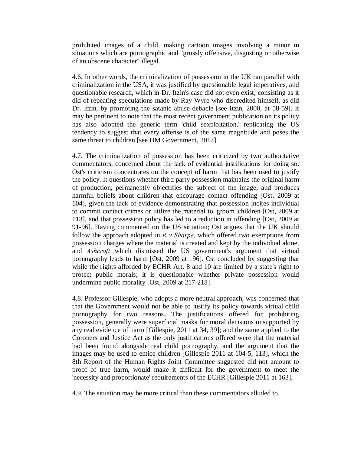prohibited images of a child, making cartoon images involving a minor in situations which are pornographic and "grossly offensive, disgusting or otherwise of an obscene character" illegal.

4.6. In other words, the criminalization of possession in the UK ran parallel with criminalization in the USA, it was justified by questionable legal imperatives, and questionable research, which in Dr. Itzin's case did not even exist, consisting as it did of repeating speculations made by Ray Wyre who discredited himself, as did Dr. Itzin, by promoting the satanic abuse debacle [see Itzin, 2000, at 58-59]. It may be pertinent to note that the most recent government publication on its policy has also adopted the generic term 'child sexploitation,' replicating the US tendency to suggest that every offense is of the same magnitude and poses the same threat to children [see HM Government, 2017]

4.7. The criminalization of possession has been criticized by two authoritative commentators, concerned about the lack of evidential justifications for doing so. Ost's criticism concentrates on the concept of harm that has been used to justify the policy. It questions whether third party possession maintains the original harm of production, permanently objectifies the subject of the image, and produces harmful beliefs about children that encourage contact offending [Ost, 2009 at 104], given the lack of evidence demonstrating that possession incites individual to commit contact crimes or utilize the material to 'groom' children [Ost, 2009 at 113], and that possession policy has led to a reduction in offending [Ost, 2009 at 91-96]. Having commented on the US situation; Ost argues that the UK should follow the approach adopted in *R v Sharpe,* which offered two exemptions from possession charges where the material is created and kept by the individual alone, and *Ashcroft* which dismissed the US government's argument that virtual pornography leads to harm [Ost, 2009 at 196]. Ost concluded by suggesting that while the rights afforded by ECHR Art. 8 and 10 are limited by a state's right to protect public morals; it is questionable whether private possession would undermine public morality [Ost, 2009 at 217-218].

4.8. Professor Gillespie, who adopts a more neutral approach, was concerned that that the Government would not be able to justify its policy towards virtual child pornography for two reasons. The justifications offered for prohibiting possession, generally were superficial masks for moral decisions unsupported by any real evidence of harm [Gillespie, 2011 at 34, 39]; and the same applied to the Coroners and Justice Act as the only justifications offered were that the material had been found alongside real child pornography, and the argument that the images may be used to entice children [Gillespie 2011 at 104-5, 113], which the 8th Report of the Human Rights Joint Committee suggested did not amount to proof of true harm, would make it difficult for the government to meet the 'necessity and proportionate' requirements of the ECHR [Gillespie 2011 at 163].

4.9. The situation may be more critical than these commentators alluded to.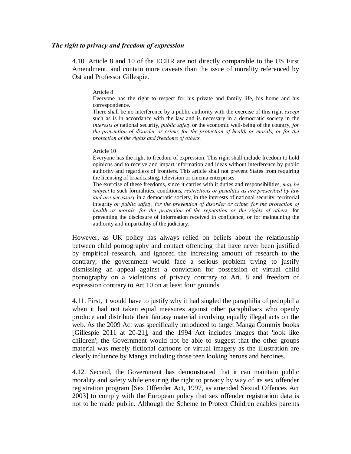### *The right to privacy and freedom of expression*

4.10. Article 8 and 10 of the ECHR are not directly comparable to the US First Amendment, and contain more caveats than the issue of morality referenced by Ost and Professor Gillespie.

#### Article 8

Everyone has the right to respect for his private and family life, his home and his correspondence.

There shall be no interference by a public authority with the exercise of this right *except* such as is in accordance with the law and is necessary in a democratic society in the *interests of* national security, *public safety* or the economic well-being of the country, *for the prevention of disorder or crime, for the protection of health or morals, or for the protection of the rights and freedoms of others.*

#### Article 10

Everyone has the right to freedom of expression. This right shall include freedom to hold opinions and to receive and impart information and ideas without interference by public authority and regardless of frontiers. This article shall not prevent States from requiring the licensing of broadcasting, television or cinema enterprises.

The exercise of these freedoms, since it carries with it duties and responsibilities, *may be subject* to such formalities, conditions*, restrictions or penalties as are prescribed by law and are necessary* in a democratic society, in the interests of national security, territorial integrity *or public safety, for the prevention of disorder or crime, for the protection of health or morals, for the protection of the reputation or the rights of others,* for preventing the disclosure of information received in confidence, or for maintaining the authority and impartiality of the judiciary.

However, as UK policy has always relied on beliefs about the relationship between child pornography and contact offending that have never been justified by empirical research, and ignored the increasing amount of research to the contrary; the government would face a serious problem trying to justify dismissing an appeal against a conviction for possession of virtual child pornography on a violations of privacy contrary to Art. 8 and freedom of expression contrary to Art 10 on at least four grounds.

4.11. First, it would have to justify why it had singled the paraphilia of pedophilia when it had not taken equal measures against other paraphiliacs who openly produce and distribute their fantasy material involving equally illegal acts on the web. As the 2009 Act was specifically introduced to target Manga Commix books [Gillespie 2011 at 20-21], and the 1994 Act includes images that 'look like children'; the Government would not be able to suggest that the other groups material was merely fictional cartoons or virtual imagery as the illustration are clearly influence by Manga including those teen looking heroes and heroines.

4.12. Second, the Government has demonstrated that it can maintain public morality and safety while ensuring the right to privacy by way of its sex offender registration program [Sex Offender Act, 1997, as amended Sexual Offences Act 2003] to comply with the European policy that sex offender registration data is not to be made public. Although the Scheme to Protect Children enables parents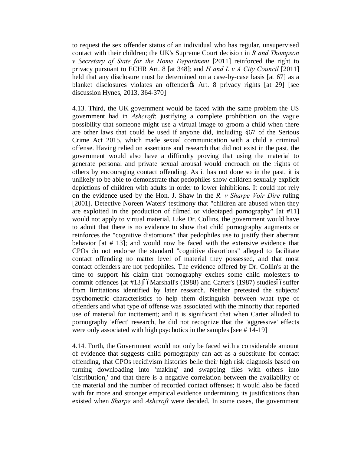to request the sex offender status of an individual who has regular, unsupervised contact with their children; the UK's Supreme Court decision in *R and Thompson v Secretary of State for the Home Department* [2011] reinforced the right to privacy pursuant to ECHR Art. 8 [at 348]; and *H and L v A City Council* [2011] held that any disclosure must be determined on a case-by-case basis [at 67] as a blanket disclosures violates an offender os Art. 8 privacy rights [at 29] [see discussion Hynes, 2013, 364-370]

4.13. Third, the UK government would be faced with the same problem the US government had in *Ashcroft*: justifying a complete prohibition on the vague possibility that someone might use a virtual image to groom a child when there are other laws that could be used if anyone did, including §67 of the Serious Crime Act 2015, which made sexual communication with a child a criminal offense. Having relied on assertions and research that did not exist in the past, the government would also have a difficulty proving that using the material to generate personal and private sexual arousal would encroach on the rights of others by encouraging contact offending. As it has not done so in the past, it is unlikely to be able to demonstrate that pedophiles show children sexually explicit depictions of children with adults in order to lower inhibitions. It could not rely on the evidence used by the Hon. J. Shaw in the *R. v Sharpe Voir Dire* ruling [2001]. Detective Noreen Waters' testimony that "children are abused when they are exploited in the production of filmed or videotaped pornography" [at #11] would not apply to virtual material. Like Dr. Collins, the government would have to admit that there is no evidence to show that child pornography augments or reinforces the "cognitive distortions" that pedophiles use to justify their aberrant behavior [at # 13]; and would now be faced with the extensive evidence that CPOs do not endorse the standard "cognitive distortions" alleged to facilitate contact offending no matter level of material they possessed, and that most contact offenders are not pedophiles. The evidence offered by Dr. Collin's at the time to support his claim that pornography excites some child molesters to commit offences [at #13]66Marshall's (1988) and Carter's (1987) studies66 suffer from limitations identified by later research. Neither pretested the subjects' psychometric characteristics to help them distinguish between what type of offenders and what type of offense was associated with the minority that reported use of material for incitement; and it is significant that when Carter alluded to pornography 'effect' research, he did not recognize that the 'aggressive' effects were only associated with high psychotics in the samples [see # 14-19]

4.14. Forth, the Government would not only be faced with a considerable amount of evidence that suggests child pornography can act as a substitute for contact offending, that CPOs recidivism histories belie their high risk diagnosis based on turning downloading into 'making' and swapping files with others into 'distribution,' and that there is a negative correlation between the availability of the material and the number of recorded contact offenses; it would also be faced with far more and stronger empirical evidence undermining its justifications than existed when *Sharpe* and *Ashcroft* were decided. In some cases, the government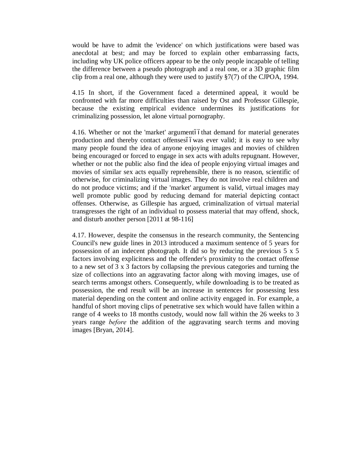would be have to admit the 'evidence' on which justifications were based was anecdotal at best; and may be forced to explain other embarrassing facts, including why UK police officers appear to be the only people incapable of telling the difference between a pseudo photograph and a real one, or a 3D graphic film clip from a real one, although they were used to justify §7(7) of the CJPOA, 1994.

4.15 In short, if the Government faced a determined appeal, it would be confronted with far more difficulties than raised by Ost and Professor Gillespie, because the existing empirical evidence undermines its justifications for criminalizing possession, let alone virtual pornography.

4.16. Whether or not the 'market' argumentóóthat demand for material generates production and thereby contact offensesóówas ever valid; it is easy to see why many people found the idea of anyone enjoying images and movies of children being encouraged or forced to engage in sex acts with adults repugnant. However, whether or not the public also find the idea of people enjoying virtual images and movies of similar sex acts equally reprehensible, there is no reason, scientific of otherwise, for criminalizing virtual images. They do not involve real children and do not produce victims; and if the 'market' argument is valid, virtual images may well promote public good by reducing demand for material depicting contact offenses. Otherwise, as Gillespie has argued, criminalization of virtual material transgresses the right of an individual to possess material that may offend, shock, and disturb another person [2011 at 98-116]

4.17. However, despite the consensus in the research community, the Sentencing Council's new guide lines in 2013 introduced a maximum sentence of 5 years for possession of an indecent photograph. It did so by reducing the previous 5 x 5 factors involving explicitness and the offender's proximity to the contact offense to a new set of 3 x 3 factors by collapsing the previous categories and turning the size of collections into an aggravating factor along with moving images, use of search terms amongst others. Consequently, while downloading is to be treated as possession, the end result will be an increase in sentences for possessing less material depending on the content and online activity engaged in. For example, a handful of short moving clips of penetrative sex which would have fallen within a range of 4 weeks to 18 months custody, would now fall within the 26 weeks to 3 years range *before* the addition of the aggravating search terms and moving images [Bryan, 2014].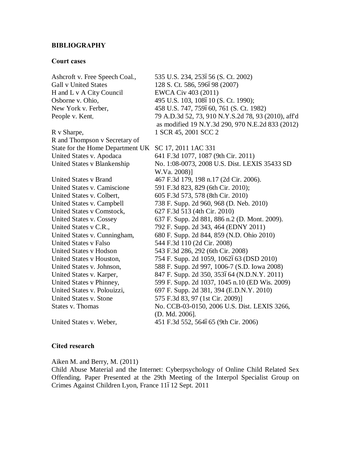## **BIBLIOGRAPHY**

#### **Court cases**

Ashcroft v. Free Speech Coal., 535 U.S. 234, 253656 (S. Ct. 2002) Gall v United States 128 S. Ct. 586, 596698 (2007) H and L v A City Council EWCA Civ 403 (2011) Osborne v. Ohio, 495 U.S. 103, 108610 (S. Ct. 1990); New York v. Ferber, 458 U.S. 747, 759660, 761 (S. Ct. 1982) People v. Kent*,* 79 A.D.3d 52, 73, 910 N.Y.S.2d 78, 93 (2010), aff'd as modified 19 N.Y.3d 290, 970 N.E.2d 833 (2012) R v Sharpe, 1 SCR 45, 2001 SCC 2 R and Thompson v Secretary of State for the Home Department UK SC 17, 2011 1AC 331 United States v. Apodaca 641 F.3d 1077, 1087 (9th Cir. 2011) United States v Blankenship No. 1:08-0073, 2008 U.S. Dist. LEXIS 35433 SD W.Va. 2008)] United States v Brand 467 F.3d 179, 198 n.17 (2d Cir. 2006). United States v. Camiscione 591 F.3d 823, 829 (6th Cir. 2010); United States v. Colbert, 605 F.3d 573, 578 (8th Cir. 2010) United States v. Campbell 738 F. Supp. 2d 960, 968 (D. Neb. 2010) United States v Comstock, 627 F.3d 513 (4th Cir. 2010) United States v. Cossey 637 F. Supp. 2d 881, 886 n.2 (D. Mont. 2009). United States v C.R., 792 F. Supp. 2d 343, 464 (EDNY 2011) United States v. Cunningham, 680 F. Supp. 2d 844, 859 (N.D. Ohio 2010) United States v Falso 544 F.3d 110 (2d Cir. 2008) United States v Hodson 543 F.3d 286, 292 (6th Cir. 2008) United States v Houston, 754 F. Supp. 2d 1059, 1062663 (DSD 2010) United States v. Johnson, 588 F. Supp. 2d 997, 1006-7 (S.D. Iowa 2008) United States v. Karper, 847 F. Supp. 2d 350, 353664 (N.D.N.Y. 2011) United States v Phinney, 599 F. Supp. 2d 1037, 1045 n.10 (ED Wis. 2009) United States v. Polouizzi, 697 F. Supp. 2d 381, 394 (E.D.N.Y. 2010) United States v. Stone 575 F.3d 83, 97 (1st Cir. 2009)] States v. Thomas No. CCB-03-0150, 2006 U.S. Dist. LEXIS 3266, (D. Md. 2006]. United States v. Weber, 451 F.3d 552, 564665 (9th Cir. 2006)

## **Cited research**

Aiken M. and Berry, M. (2011)

Child Abuse Material and the Internet: Cyberpsychology of Online Child Related Sex Offending. Paper Presented at the 29th Meeting of the Interpol Specialist Group on Crimes Against Children Lyon, France 11612 Sept. 2011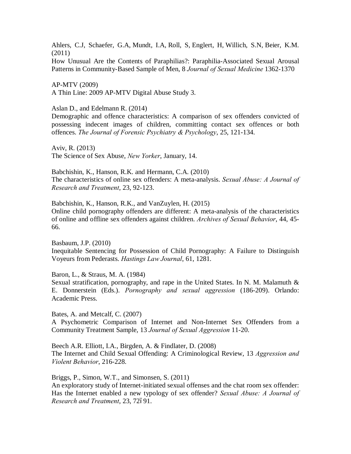Ahlers, C.J, Schaefer, G.A, Mundt, I.A, Roll, S, Englert, H, Willich, S.N, Beier, K.M. (2011)

How Unusual Are the Contents of Paraphilias?: Paraphilia-Associated Sexual Arousal Patterns in Community-Based Sample of Men, 8 *Journal of Sexual Medicine* 1362-1370

AP-MTV (2009) A Thin Line: 2009 AP-MTV Digital Abuse Study 3.

Aslan D., and Edelmann R. (2014)

Demographic and offence characteristics: A comparison of sex offenders convicted of possessing indecent images of children, committing contact sex offences or both offences. *The Journal of Forensic Psychiatry & Psychology*, 25, 121-134.

Aviv, R. (2013) The Science of Sex Abuse, *New Yorker*, January, 14.

Babchishin, K., Hanson, R.K. and Hermann, C.A. (2010) The characteristics of online sex offenders: A meta-analysis. *Sexual Abuse: A Journal of Research and Treatment*, 23, 92-123.

Babchishin, K., Hanson, R.K., and VanZuylen, H. (2015) Online child pornography offenders are different: A meta-analysis of the characteristics of online and offline sex offenders against children. *Archives of Sexual Behavior*, 44, 45- 66.

Basbaum, J.P. (2010) Inequitable Sentencing for Possession of Child Pornography: A Failure to Distinguish Voyeurs from Pederasts. *Hastings Law Journal*, 61, 1281.

Baron, L., & Straus, M. A. (1984)

Sexual stratification, pornography, and rape in the United States. In N. M. Malamuth & E. Donnerstein (Eds.). *Pornography and sexual aggression* (186-209). Orlando: Academic Press.

Bates, A. and Metcalf, C. (2007)

A Psychometric Comparison of Internet and Non-Internet Sex Offenders from a Community Treatment Sample, 13 *Journal of Sexual Aggression* 11-20.

Beech A.R. Elliott, I.A., Birgden, A. & Findlater, D. (2008) The Internet and Child Sexual Offending: A Criminological Review, 13 *Aggression and Violent Behavior*, 216-228.

Briggs, P., Simon, W.T., and Simonsen, S. (2011) An exploratory study of Internet-initiated sexual offenses and the chat room sex offender: Has the Internet enabled a new typology of sex offender? *Sexual Abuse: A Journal of Research and Treatment, 23, 72691.*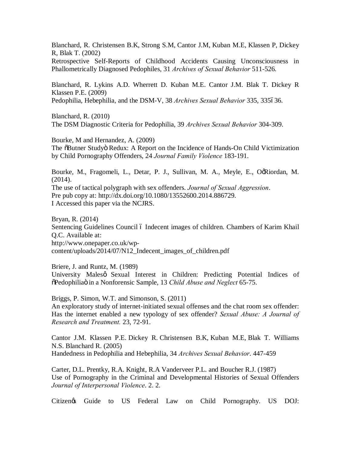Blanchard, R. Christensen B.K, Strong S.M, Cantor J.M, Kuban M.E, Klassen P, Dickey R, Blak T. (2002)

Retrospective Self-Reports of Childhood Accidents Causing Unconsciousness in Phallometrically Diagnosed Pedophiles, 31 *Archives of Sexual Behavior* 511-526.

Blanchard, R. Lykins A.D. Wherrett D. Kuban M.E. Cantor J.M. Blak T. Dickey R Klassen P.E. (2009) Pedophilia, Hebephilia, and the DSM-V, 38 Archives Sexual Behavior 335, 335636.

Blanchard, R. (2010) The DSM Diagnostic Criteria for Pedophilia, 39 *Archives Sexual Behavior* 304-309.

Bourke, M and Hernandez, A. (2009) The  $\delta$ Butner Studyö Redux: A Report on the Incidence of Hands-On Child Victimization by Child Pornography Offenders, 24 *Journal Family Violence* 183-191.

Bourke, M., Fragomeli, L., Detar, P. J., Sullivan, M. A., Meyle, E., OgRiordan, M. (2014).

The use of tactical polygraph with sex offenders. *Journal of Sexual Aggression*. Pre pub copy at: http://dx.doi.org/10.1080/13552600.2014.886729. I Accessed this paper via the NCJRS.

Bryan, R. (2014) Sentencing Guidelines Council ó Indecent images of children. Chambers of Karim Khail Q.C. Available at: http://www.onepaper.co.uk/wpcontent/uploads/2014/07/N12\_Indecent\_images\_of\_children.pdf

Briere, J. and Runtz, M. (1989) University Malesø Sexual Interest in Children: Predicting Potential Indices of  $\delta$ Pedophiliaö in a Nonforensic Sample, 13 *Child Abuse and Neglect* 65-75.

Briggs, P. Simon, W.T. and Simonson, S. (2011) An exploratory study of internet-initiated sexual offenses and the chat room sex offender: Has the internet enabled a new typology of sex offender? *Sexual Abuse: A Journal of Research and Treatment.* 23, 72-91.

Cantor J.M. Klassen P.E. Dickey R. Christensen B.K, Kuban M.E, Blak T. Williams N.S. Blanchard R. (2005) Handedness in Pedophilia and Hebephilia, 34 *Archives Sexual Behavior*. 447-459

Carter, D.L. Prentky, R.A. Knight, R.A Vanderveer P.L. and Boucher R.J. (1987) Use of Pornography in the Criminal and Developmental Histories of Sexual Offenders *Journal of Interpersonal Violence*. 2. 2.

Citizen's Guide to US Federal Law on Child Pornography. US DOJ: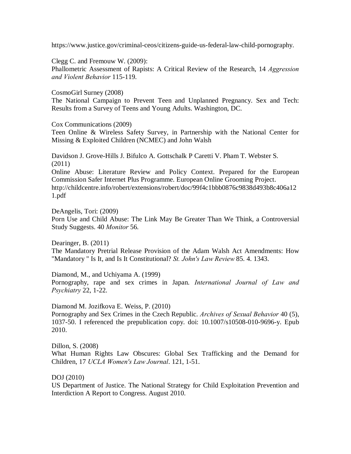https://www.justice.gov/criminal-ceos/citizens-guide-us-federal-law-child-pornography.

Clegg C. and Fremouw W. (2009):

Phallometric Assessment of Rapists: A Critical Review of the Research, 14 *Aggression and Violent Behavior* 115-119.

CosmoGirl Surney (2008)

The National Campaign to Prevent Teen and Unplanned Pregnancy. Sex and Tech: Results from a Survey of Teens and Young Adults. Washington, DC.

Cox Communications (2009)

Teen Online & Wireless Safety Survey, in Partnership with the National Center for Missing & Exploited Children (NCMEC) and John Walsh

Davidson J. Grove-Hills J. Bifulco A. Gottschalk P Caretti V. Pham T. Webster S. (2011)

Online Abuse: Literature Review and Policy Context. Prepared for the European Commission Safer Internet Plus Programme. European Online Grooming Project. http://childcentre.info/robert/extensions/robert/doc/99f4c1bbb0876c9838d493b8c406a12 1.pdf

DeAngelis, Tori: (2009) Porn Use and Child Abuse: The Link May Be Greater Than We Think, a Controversial Study Suggests. 40 *Monitor* 56.

Dearinger, B. (2011)

The Mandatory Pretrial Release Provision of the Adam Walsh Act Amendments: How "Mandatory " Is It, and Is It Constitutional? *St. John's Law Review* 85. 4. 1343.

Diamond, M., and Uchiyama A. (1999) Pornography, rape and sex crimes in Japan. *International Journal of Law and Psychiatry* 22, 1-22.

Diamond M. Jozifkova E. Weiss, P. (2010)

Pornography and Sex Crimes in the Czech Republic. *Archives of Sexual Behavior* 40 (5), 1037-50. I referenced the prepublication copy. doi: 10.1007/s10508-010-9696-y. Epub 2010.

Dillon, S. (2008)

What Human Rights Law Obscures: Global Sex Trafficking and the Demand for Children, 17 *UCLA Women's Law Journal*. 121, 1-51.

DOJ (2010)

US Department of Justice. The National Strategy for Child Exploitation Prevention and Interdiction A Report to Congress. August 2010.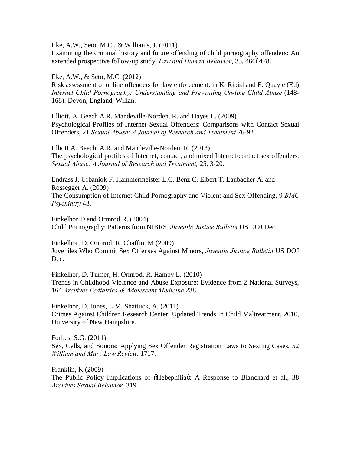Eke, A.W., Seto, M.C., & Williams, J. (2011)

Examining the criminal history and future offending of child pornography offenders: An extended prospective follow-up study. *Law and Human Behavior*, 35, 4666478.

Eke, A.W., & Seto, M.C. (2012)

Risk assessment of online offenders for law enforcement, in K. Ribisl and E. Quayle (Ed) *Internet Child Pornography: Understanding and Preventing On-line Child Abuse* (148- 168). Devon, England, Willan.

Elliott, A. Beech A.R. Mandeville-Norden, R. and Hayes E. (2009) Psychological Profiles of Internet Sexual Offenders: Comparisons with Contact Sexual Offenders, 21 *Sexual Abuse: A Journal of Research and Treatment* 76-92.

Elliott A. Beech, A.R. and Mandeville-Norden, R. (2013) The psychological profiles of Internet, contact, and mixed Internet/contact sex offenders. *Sexual Abuse: A Journal of Research and Treatment*, 25, 3-20.

Endrass J. Urbaniok F. Hammermeister L.C. Benz C. Elbert T. Laubacher A. and Rossegger A. (2009) The Consumption of Internet Child Pornography and Violent and Sex Offending, 9 *BMC Psychiatry* 43.

Finkelhor D and Ormrod R. (2004) Child Pornography: Patterns from NIBRS. *Juvenile Justice Bulletin* US DOJ Dec.

Finkelhor, D. Ormrod, R. Chaffin, M (2009) Juveniles Who Commit Sex Offenses Against Minors, *Juvenile Justice Bulletin* US DOJ Dec.

Finkelhor, D. Turner, H. Ormrod, R. Hamby L. (2010) Trends in Childhood Violence and Abuse Exposure: Evidence from 2 National Surveys, 164 *Archives Pediatrics & Adolescent Medicine* 238.

Finkelhor, D. Jones, L.M. Shattuck, A. (2011) Crimes Against Children Research Center: Updated Trends In Child Maltreatment, 2010, University of New Hampshire.

Forbes, S.G. (2011) Sex, Cells, and Sonora: Applying Sex Offender Registration Laws to Sexting Cases, 52 *William and Mary Law Review*. 1717.

Franklin, K (2009) The Public Policy Implications of  $\tilde{\theta}$ Hebephilia $\ddot{\theta}$ : A Response to Blanchard et al., 38 *Archives Sexual Behavior,* 319.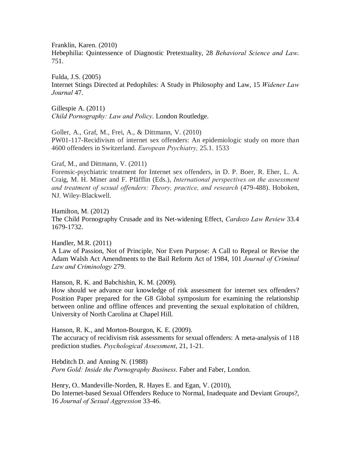Franklin, Karen. (2010)

Hebephilia: Quintessence of Diagnostic Pretextuality, 28 *Behavioral Science and Law*. 751.

Fulda, J.S. (2005) Internet Stings Directed at Pedophiles: A Study in Philosophy and Law, 15 *Widener Law Journal* 47.

Gillespie A. (2011) *Child Pornography: Law and Policy*. London Routledge.

Goller, A., Graf, M., Frei, A., & Dittmann, V. (2010) PW01-117-Recidivism of internet sex offenders: An epidemiologic study on more than 4600 offenders in Switzerland. *European Psychiatry,* 25.1. 1533

Graf, M., and Dittmann, V. (2011)

Forensic-psychiatric treatment for Internet sex offenders, in D. P. Boer, R. Eher, L. A. Craig, M. H. Miner and F. Pfäfflin (Eds.), *International perspectives on the assessment and treatment of sexual offenders: Theory, practice, and research* (479-488). Hoboken, NJ. Wiley-Blackwell.

Hamilton, M. (2012) The Child Pornography Crusade and its Net-widening Effect, *Cardozo Law Review* 33.4 1679-1732.

Handler, M.R. (2011) A Law of Passion, Not of Principle, Nor Even Purpose: A Call to Repeal or Revise the Adam Walsh Act Amendments to the Bail Reform Act of 1984, 101 *Journal of Criminal Law and Criminology* 279.

Hanson, R. K. and Babchishin, K. M. (2009).

How should we advance our knowledge of risk assessment for internet sex offenders? Position Paper prepared for the G8 Global symposium for examining the relationship between online and offline offences and preventing the sexual exploitation of children, University of North Carolina at Chapel Hill.

Hanson, R. K., and Morton-Bourgon, K. E. (2009). The accuracy of recidivism risk assessments for sexual offenders: A meta-analysis of 118 prediction studies. *Psychological Assessment*, 21, 1-21.

Hebditch D. and Anning N. (1988) *Porn Gold: Inside the Pornography Business*. Faber and Faber, London.

Henry, O., Mandeville-Norden, R. Hayes E. and Egan, V. (2010), Do Internet-based Sexual Offenders Reduce to Normal, Inadequate and Deviant Groups?, 16 *Journal of Sexual Aggression* 33-46.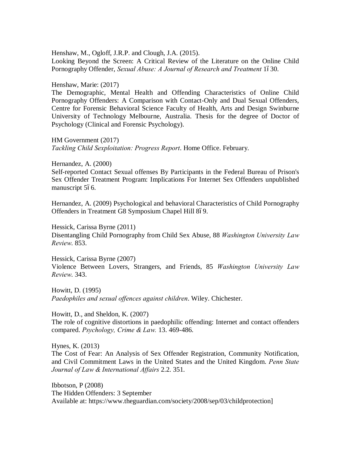Henshaw, M., Ogloff, J.R.P. and Clough, J.A. (2015). Looking Beyond the Screen: A Critical Review of the Literature on the Online Child Pornography Offender, *Sexual Abuse: A Journal of Research and Treatment* 1630.

Henshaw, Marie: (2017)

The Demographic, Mental Health and Offending Characteristics of Online Child Pornography Offenders: A Comparison with Contact-Only and Dual Sexual Offenders, Centre for Forensic Behavioral Science Faculty of Health, Arts and Design Swinburne University of Technology Melbourne, Australia. Thesis for the degree of Doctor of Psychology (Clinical and Forensic Psychology).

HM Government (2017) *Tackling Child Sexploitation: Progress Report*. Home Office. February.

Hernandez, A. (2000)

Self-reported Contact Sexual offenses By Participants in the Federal Bureau of Prison's Sex Offender Treatment Program: Implications For Internet Sex Offenders unpublished manuscript 566.

Hernandez, A. (2009) Psychological and behavioral Characteristics of Child Pornography Offenders in Treatment G8 Symposium Chapel Hill 8–9.

Hessick, Carissa Byrne (2011) Disentangling Child Pornography from Child Sex Abuse, 88 *Washington University Law Review*. 853.

Hessick, Carissa Byrne (2007) Violence Between Lovers, Strangers, and Friends, 85 *Washington University Law Review*. 343.

Howitt, D. (1995) *Paedophiles and sexual offences against children*. Wiley. Chichester.

Howitt, D., and Sheldon, K. (2007) The role of cognitive distortions in paedophilic offending: Internet and contact offenders compared. *Psychology, Crime & Law.* 13. 469-486.

Hynes, K. (2013)

The Cost of Fear: An Analysis of Sex Offender Registration, Community Notification, and Civil Commitment Laws in the United States and the United Kingdom. *Penn State Journal of Law & International Affairs* 2.2. 351.

Ibbotson, P (2008) The Hidden Offenders: 3 September Available at: https://www.theguardian.com/society/2008/sep/03/childprotection]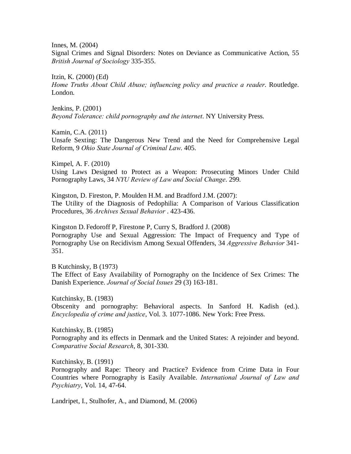Innes, M. (2004)

Signal Crimes and Signal Disorders: Notes on Deviance as Communicative Action, 55 *British Journal of Sociology* 335-355.

Itzin, K. (2000) (Ed) *Home Truths About Child Abuse; influencing policy and practice a reader*. Routledge. London.

Jenkins, P. (2001) *Beyond Tolerance: child pornography and the internet*. NY University Press.

Kamin, C.A. (2011) Unsafe Sexting: The Dangerous New Trend and the Need for Comprehensive Legal Reform, 9 *Ohio State Journal of Criminal Law*. 405.

Kimpel, A. F. (2010) Using Laws Designed to Protect as a Weapon: Prosecuting Minors Under Child Pornography Laws, 34 *NYU Review of Law and Social Change*. 299.

Kingston, D. Fireston, P. Moulden H.M. and Bradford J.M. (2007): The Utility of the Diagnosis of Pedophilia: A Comparison of Various Classification Procedures, 36 *Archives Sexual Behavior* . 423-436.

Kingston D. Fedoroff P, Firestone P, Curry S, Bradford J. (2008) Pornography Use and Sexual Aggression: The Impact of Frequency and Type of Pornography Use on Recidivism Among Sexual Offenders, 34 *Aggressive Behavior* 341- 351.

B Kutchinsky, B (1973) The Effect of Easy Availability of Pornography on the Incidence of Sex Crimes: The Danish Experience. *Journal of Social Issues* 29 (3) 163-181.

Kutchinsky, B. (1983) Obscenity and pornography: Behavioral aspects. In Sanford H. Kadish (ed.). *Encyclopedia of crime and justice*, Vol. 3. 1077-1086. New York: Free Press.

Kutchinsky, B. (1985) Pornography and its effects in Denmark and the United States: A rejoinder and beyond. *Comparative Social Research*, 8, 301-330.

Kutchinsky, B. (1991)

Pornography and Rape: Theory and Practice? Evidence from Crime Data in Four Countries where Pornography is Easily Available. *International Journal of Law and Psychiatry*, Vol. 14, 47-64.

Landripet, I., Stulhofer, A., and Diamond, M. (2006)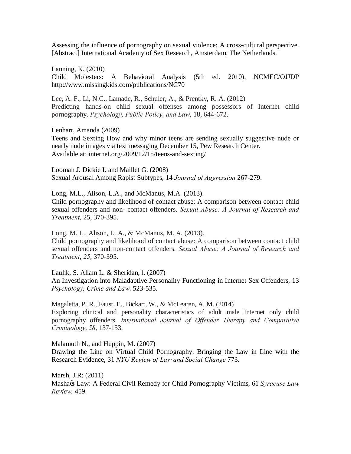Assessing the influence of pornography on sexual violence: A cross-cultural perspective. [Abstract] International Academy of Sex Research, Amsterdam, The Netherlands.

Lanning, K. (2010) Child Molesters: A Behavioral Analysis (5th ed. 2010), NCMEC/OJJDP http://www.missingkids.com/publications/NC70

Lee, A. F., Li, N.C., Lamade, R., Schuler, A., & Prentky, R. A. (2012) Predicting hands-on child sexual offenses among possessors of Internet child pornography. *Psychology, Public Policy, and Law*, 18, 644-672.

Lenhart, Amanda (2009) Teens and Sexting How and why minor teens are sending sexually suggestive nude or nearly nude images via text messaging December 15, Pew Research Center. Available at: internet.org/2009/12/15/teens-and-sexting/

Looman J. Dickie I. and Maillet G. (2008) Sexual Arousal Among Rapist Subtypes, 14 *Journal of Aggression* 267-279.

Long, M.L., Alison, L.A., and McManus, M.A. (2013). Child pornography and likelihood of contact abuse: A comparison between contact child sexual offenders and non- contact offenders. *Sexual Abuse: A Journal of Research and Treatment*, 25, 370-395.

Long, M. L., Alison, L. A., & McManus, M. A. (2013). Child pornography and likelihood of contact abuse: A comparison between contact child sexual offenders and non-contact offenders. *Sexual Abuse: A Journal of Research and Treatment*, *25*, 370-395.

Laulik, S. Allam L. & Sheridan, l. (2007) An Investigation into Maladaptive Personality Functioning in Internet Sex Offenders, 13 *Psychology, Crime and Law*. 523-535.

Magaletta, P. R., Faust, E., Bickart, W., & McLearen, A. M. (2014) Exploring clinical and personality characteristics of adult male Internet only child pornography offenders. *International Journal of Offender Therapy and Comparative Criminology*, *58*, 137-153.

Malamuth N., and Huppin, M. (2007) Drawing the Line on Virtual Child Pornography: Bringing the Law in Line with the Research Evidence, 31 *NYU Review of Law and Social Change* 773.

Marsh, J.R: (2011) Masha $\alpha$  Law: A Federal Civil Remedy for Child Pornography Victims, 61 Syracuse Law *Review.* 459.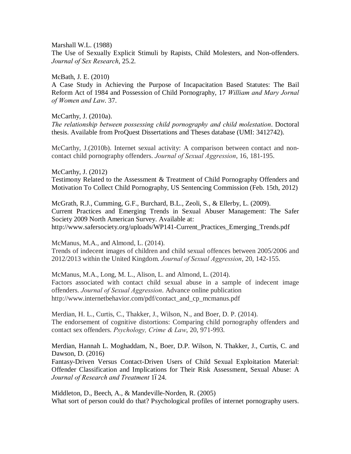Marshall W.L. (1988)

The Use of Sexually Explicit Stimuli by Rapists, Child Molesters, and Non-offenders. *Journal of Sex Research*, 25.2.

McBath, J. E. (2010)

A Case Study in Achieving the Purpose of Incapacitation Based Statutes: The Bail Reform Act of 1984 and Possession of Child Pornography, 17 *William and Mary Jornal of Women and Law*. 37.

McCarthy, J. (2010a).

*The relationship between possessing child pornography and child molestation*. Doctoral thesis. Available from ProQuest Dissertations and Theses database (UMI: 3412742).

McCarthy, J.(2010b). Internet sexual activity: A comparison between contact and noncontact child pornography offenders. *Journal of Sexual Aggression*, 16, 181-195.

McCarthy, J. (2012) Testimony Related to the Assessment & Treatment of Child Pornography Offenders and Motivation To Collect Child Pornography, US Sentencing Commission (Feb. 15th, 2012)

McGrath, R.J., Cumming, G.F., Burchard, B.L., Zeoli, S., & Ellerby, L. (2009). Current Practices and Emerging Trends in Sexual Abuser Management: The Safer Society 2009 North American Survey. Available at: http://www.safersociety.org/uploads/WP141-Current\_Practices\_Emerging\_Trends.pdf

McManus, M.A., and Almond, L. (2014).

Trends of indecent images of children and child sexual offences between 2005/2006 and 2012/2013 within the United Kingdom. *Journal of Sexual Aggression*, 20, 142-155.

McManus, M.A., Long, M. L., Alison, L. and Almond, L. (2014). Factors associated with contact child sexual abuse in a sample of indecent image offenders. *Journal of Sexual Aggression*. Advance online publication http://www.internetbehavior.com/pdf/contact\_and\_cp\_mcmanus.pdf

Merdian, H. L., Curtis, C., Thakker, J., Wilson, N., and Boer, D. P. (2014). The endorsement of cognitive distortions: Comparing child pornography offenders and contact sex offenders. *Psychology, Crime & Law*, 20, 971-993.

Merdian, Hannah L. Moghaddam, N., Boer, D.P. Wilson, N. Thakker, J., Curtis, C. and Dawson, D. (2016)

Fantasy-Driven Versus Contact-Driven Users of Child Sexual Exploitation Material: Offender Classification and Implications for Their Risk Assessment, Sexual Abuse: A *Journal of Research and Treatment* 1–24.

Middleton, D., Beech, A., & Mandeville-Norden, R. (2005) What sort of person could do that? Psychological profiles of internet pornography users.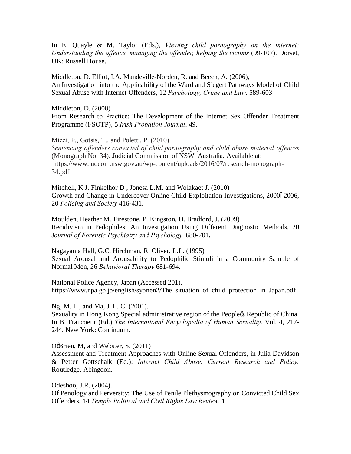In E. Quayle & M. Taylor (Eds.), *Viewing child pornography on the internet: Understanding the offence, managing the offender, helping the victims* (99-107). Dorset, UK: Russell House.

Middleton, D. Elliot, I.A. Mandeville-Norden, R. and Beech, A. (2006), An Investigation into the Applicability of the Ward and Siegert Pathways Model of Child Sexual Abuse with Internet Offenders, 12 *Psychology, Crime and Law*. 589-603

Middleton, D. (2008) From Research to Practice: The Development of the Internet Sex Offender Treatment Programme (i-SOTP), 5 *Irish Probation Journal*. 49.

Mizzi, P., Gotsis, T., and Poletti, P. (2010).

*Sentencing offenders convicted of child pornography and child abuse material offences*  (Monograph No. 34). Judicial Commission of NSW, Australia. Available at: https://www.judcom.nsw.gov.au/wp-content/uploads/2016/07/research-monograph-34.pdf

Mitchell, K.J. Finkelhor D , Jonesa L.M. and Wolakaet J. (2010) Growth and Change in Undercover Online Child Exploitation Investigations, 200062006, 20 *Policing and Society* 416-431.

Moulden, Heather M., Firestone, P. Kingston, D. Bradford, J. (2009) Recidivism in Pedophiles: An Investigation Using Different Diagnostic Methods, 20 J*ournal of Forensic Psychiatry and Psychology*. 680-701**.** 

Nagayama Hall, G.C. Hirchman, R. Oliver, L.L. (1995) Sexual Arousal and Arousability to Pedophilic Stimuli in a Community Sample of Normal Men, 26 *Behavioral Therapy* 681-694.

National Police Agency, Japan (Accessed 201). https://www.npa.go.jp/english/syonen2/The\_situation\_of\_child\_protection\_in\_Japan.pdf

Ng, M. L., and Ma, J. L. C. (2001).

Sexuality in Hong Kong Special administrative region of the People& Republic of China. In B. Francoeur (Ed.) *The International Encyclopedia of Human Sexuality*. Vol. 4, 217- 244. New York: Continuum.

O& Drien, M, and Webster, S, (2011)

Assessment and Treatment Approaches with Online Sexual Offenders, in Julia Davidson & Petter Gottschalk (Ed.): *Internet Child Abuse: Current Research and Policy.* Routledge. Abingdon.

Odeshoo, J.R. (2004). Of Penology and Perversity: The Use of Penile Plethysmography on Convicted Child Sex Offenders, 14 *Temple Political and Civil Rights Law Review*. 1.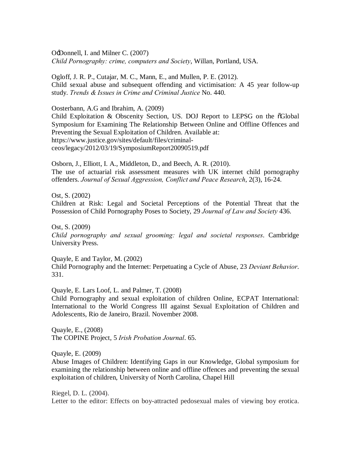O'Donnell, I. and Milner C. (2007) *Child Pornography: crime, computers and Society*, Willan, Portland, USA.

Ogloff, J. R. P., Cutajar, M. C., Mann, E., and Mullen, P. E. (2012). Child sexual abuse and subsequent offending and victimisation: A 45 year follow-up study. *Trends & Issues in Crime and Criminal Justice* No. 440.

Oosterbann, A.G and Ibrahim, A. (2009)

Child Exploitation & Obscenity Section, US. DOJ Report to LEPSG on the  $\tilde{o}Global$ Symposium for Examining The Relationship Between Online and Offline Offences and Preventing the Sexual Exploitation of Children. Available at: https://www.justice.gov/sites/default/files/criminalceos/legacy/2012/03/19/SymposiumReport20090519.pdf

Osborn, J., Elliott, I. A., Middleton, D., and Beech, A. R. (2010). The use of actuarial risk assessment measures with UK internet child pornography offenders. *Journal of Sexual Aggression, Conflict and Peace Research*, 2(3), 16-24.

Ost, S. (2002) Children at Risk: Legal and Societal Perceptions of the Potential Threat that the Possession of Child Pornography Poses to Society, 29 *Journal of Law and Society* 436.

Ost, S. (2009) *Child pornography and sexual grooming: legal and societal responses*. Cambridge University Press.

Quayle, E and Taylor, M. (2002) Child Pornography and the Internet: Perpetuating a Cycle of Abuse, 23 *Deviant Behavior*. 331.

Quayle, E. Lars Loof, L. and Palmer, T. (2008)

Child Pornography and sexual exploitation of children Online, ECPAT International: International to the World Congress III against Sexual Exploitation of Children and Adolescents, Rio de Janeiro, Brazil. November 2008.

Quayle, E., (2008) The COPINE Project, 5 *Irish Probation Journal*. 65.

Quayle, E. (2009)

Abuse Images of Children: Identifying Gaps in our Knowledge, Global symposium for examining the relationship between online and offline offences and preventing the sexual exploitation of children, University of North Carolina, Chapel Hill

Riegel, D. L. (2004). Letter to the editor: Effects on boy-attracted pedosexual males of viewing boy erotica.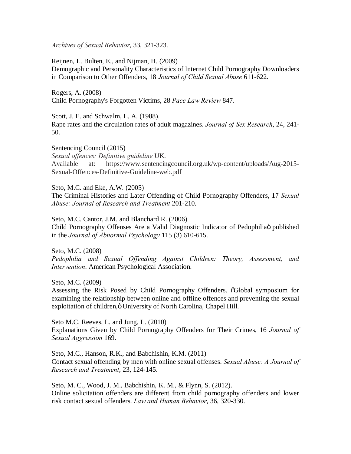*Archives of Sexual Behavior*, 33, 321-323.

Reijnen, L. Bulten, E., and Nijman, H. (2009)

Demographic and Personality Characteristics of Internet Child Pornography Downloaders in Comparison to Other Offenders, 18 *Journal of Child Sexual Abuse* 611-622.

Rogers, A. (2008) Child Pornography's Forgotten Victims, 28 *Pace Law Review* 847.

Scott, J. E. and Schwalm, L. A. (1988). Rape rates and the circulation rates of adult magazines. *Journal of Sex Research*, 24, 241- 50.

Sentencing Council (2015) *Sexual offences: Definitive guideline* UK. Available at: https://www.sentencingcouncil.org.uk/wp-content/uploads/Aug-2015- Sexual-Offences-Definitive-Guideline-web.pdf

Seto, M.C. and Eke, A.W. (2005) The Criminal Histories and Later Offending of Child Pornography Offenders, 17 *Sexual Abuse: Journal of Research and Treatment* 201-210.

Seto, M.C. Cantor, J.M. and Blanchard R. (2006) Child Pornography Offenses Are a Valid Diagnostic Indicator of Pedophiliaö published in the *Journal of Abnormal Psychology* 115 (3) 610-615.

Seto, M.C. (2008) *Pedophilia and Sexual Offending Against Children: Theory, Assessment, and Intervention*. American Psychological Association.

Seto, M.C. (2009)

Assessing the Risk Posed by Child Pornography Offenders.  $\tilde{o}G$ lobal symposium for examining the relationship between online and offline offences and preventing the sexual exploitation of children, ö University of North Carolina, Chapel Hill.

Seto M.C. Reeves, L. and Jung, L. (2010) Explanations Given by Child Pornography Offenders for Their Crimes, 16 *Journal of Sexual Aggression* 169.

Seto, M.C., Hanson, R.K., and Babchishin, K.M. (2011) Contact sexual offending by men with online sexual offenses. *Sexual Abuse: A Journal of Research and Treatment*, 23, 124-145.

Seto, M. C., Wood, J. M., Babchishin, K. M., & Flynn, S. (2012). Online solicitation offenders are different from child pornography offenders and lower risk contact sexual offenders. *Law and Human Behavior*, 36, 320-330.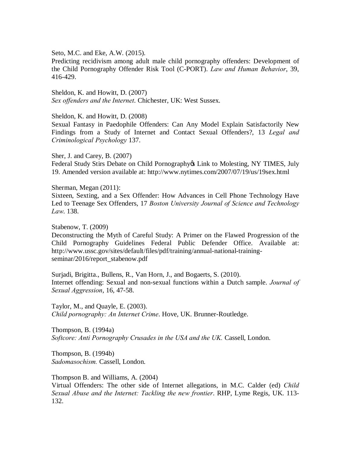Seto, M.C. and Eke, A.W. (2015).

Predicting recidivism among adult male child pornography offenders: Development of the Child Pornography Offender Risk Tool (C-PORT). *Law and Human Behavior*, 39, 416-429.

Sheldon, K. and Howitt, D. (2007) *Sex offenders and the Internet*. Chichester, UK: West Sussex.

Sheldon, K. and Howitt, D. (2008)

Sexual Fantasy in Paedophile Offenders: Can Any Model Explain Satisfactorily New Findings from a Study of Internet and Contact Sexual Offenders?, 13 *Legal and Criminological Psychology* 137.

Sher, J. and Carey, B. (2007) Federal Study Stirs Debate on Child Pornography & Link to Molesting, NY TIMES, July 19. Amended version available at: http://www.nytimes.com/2007/07/19/us/19sex.html

Sherman, Megan (2011): Sixteen, Sexting, and a Sex Offender: How Advances in Cell Phone Technology Have Led to Teenage Sex Offenders, 17 *Boston University Journal of Science and Technology Law*. 138.

Stabenow, T. (2009) Deconstructing the Myth of Careful Study: A Primer on the Flawed Progression of the Child Pornography Guidelines Federal Public Defender Office. Available at: http://www.ussc.gov/sites/default/files/pdf/training/annual-national-trainingseminar/2016/report\_stabenow.pdf

Surjadi, Brigitta., Bullens, R., Van Horn, J., and Bogaerts, S. (2010). Internet offending: Sexual and non-sexual functions within a Dutch sample. *Journal of Sexual Aggression*, 16, 47-58.

Taylor, M., and Quayle, E. (2003). *Child pornography: An Internet Crime*. Hove, UK. Brunner-Routledge.

Thompson, B. (1994a) *Softcore: Anti Pornography Crusades in the USA and the UK.* Cassell, London.

Thompson, B. (1994b) *Sadomasochism.* Cassell, London.

Thompson B. and Williams, A. (2004)

Virtual Offenders: The other side of Internet allegations, in M.C. Calder (ed) *Child Sexual Abuse and the Internet: Tackling the new frontier*. RHP, Lyme Regis, UK. 113- 132.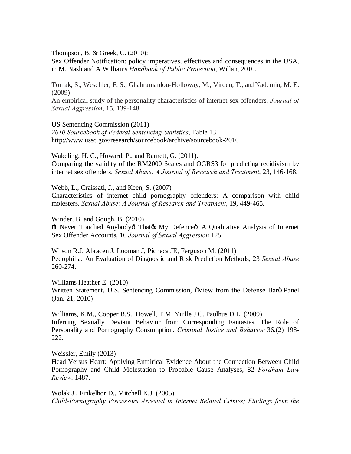Thompson, B. & Greek, C. (2010):

Sex Offender Notification: policy imperatives, effectives and consequences in the USA, in M. Nash and A Williams *Handbook of Public Protection*, Willan, 2010.

Tomak, S., Weschler, F. S., Ghahramanlou-Holloway, M., Virden, T., and Nademin, M. E. (2009)

An empirical study of the personality characteristics of internet sex offenders. *Journal of Sexual Aggression*, 15, 139-148.

US Sentencing Commission (2011) *2010 Sourcebook of Federal Sentencing Statistics*, Table 13. http://www.ussc.gov/research/sourcebook/archive/sourcebook-2010

Wakeling, H. C., Howard, P., and Barnett, G. (2011). Comparing the validity of the RM2000 Scales and OGRS3 for predicting recidivism by internet sex offenders. *Sexual Abuse: A Journal of Research and Treatment*, 23, 146-168.

Webb, L., Craissati, J., and Keen, S. (2007) Characteristics of internet child pornography offenders: A comparison with child molesters. *Sexual Abuse: A Journal of Research and Treatment*, 19, 449-465.

Winder, B. and Gough, B. (2010)  $\tilde{\text{o}}$ I Never Touched Anybodyô Thatøs My Defenceö: A Qualitative Analysis of Internet Sex Offender Accounts, 16 *Journal of Sexual Aggression* 125.

Wilson R.J. Abracen J, Looman J, Picheca JE, Ferguson M. (2011) Pedophilia: An Evaluation of Diagnostic and Risk Prediction Methods, 23 *Sexual Abuse* 260-274.

Williams Heather E. (2010) Written Statement, U.S. Sentencing Commission,  $\tilde{o}View$  from the Defense Baro Panel (Jan. 21, 2010)

Williams, K.M., Cooper B.S., Howell, T.M. Yuille J.C. Paulhus D.L. (2009) Inferring Sexually Deviant Behavior from Corresponding Fantasies, The Role of Personality and Pornography Consumption. *Criminal Justice and Behavior* 36.(2) 198- 222.

Weissler, Emily (2013) Head Versus Heart: Applying Empirical Evidence About the Connection Between Child Pornography and Child Molestation to Probable Cause Analyses, 82 *Fordham Law Review*. 1487.

Wolak J., Finkelhor D., Mitchell K.J. (2005) *Child-Pornography Possessors Arrested in Internet Related Crimes; Findings from the*